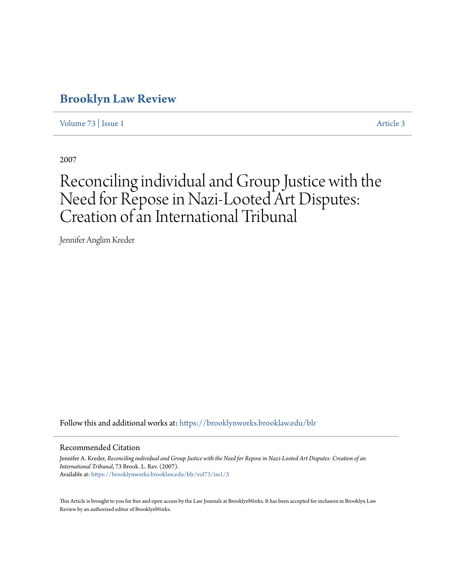## **[Brooklyn Law Review](https://brooklynworks.brooklaw.edu/blr?utm_source=brooklynworks.brooklaw.edu%2Fblr%2Fvol73%2Fiss1%2F3&utm_medium=PDF&utm_campaign=PDFCoverPages)**

[Volume 73](https://brooklynworks.brooklaw.edu/blr/vol73?utm_source=brooklynworks.brooklaw.edu%2Fblr%2Fvol73%2Fiss1%2F3&utm_medium=PDF&utm_campaign=PDFCoverPages) | [Issue 1](https://brooklynworks.brooklaw.edu/blr/vol73/iss1?utm_source=brooklynworks.brooklaw.edu%2Fblr%2Fvol73%2Fiss1%2F3&utm_medium=PDF&utm_campaign=PDFCoverPages) [Article 3](https://brooklynworks.brooklaw.edu/blr/vol73/iss1/3?utm_source=brooklynworks.brooklaw.edu%2Fblr%2Fvol73%2Fiss1%2F3&utm_medium=PDF&utm_campaign=PDFCoverPages)

2007

# Reconciling individual and Group Justice with the Need for Repose in Nazi-Looted Art Disputes: Creation of an International Tribunal

Jennifer Anglim Kreder

Follow this and additional works at: [https://brooklynworks.brooklaw.edu/blr](https://brooklynworks.brooklaw.edu/blr?utm_source=brooklynworks.brooklaw.edu%2Fblr%2Fvol73%2Fiss1%2F3&utm_medium=PDF&utm_campaign=PDFCoverPages)

### Recommended Citation

Jennifer A. Kreder, *Reconciling individual and Group Justice with the Need for Repose in Nazi-Looted Art Disputes: Creation of an International Tribunal*, 73 Brook. L. Rev. (2007). Available at: [https://brooklynworks.brooklaw.edu/blr/vol73/iss1/3](https://brooklynworks.brooklaw.edu/blr/vol73/iss1/3?utm_source=brooklynworks.brooklaw.edu%2Fblr%2Fvol73%2Fiss1%2F3&utm_medium=PDF&utm_campaign=PDFCoverPages)

This Article is brought to you for free and open access by the Law Journals at BrooklynWorks. It has been accepted for inclusion in Brooklyn Law Review by an authorized editor of BrooklynWorks.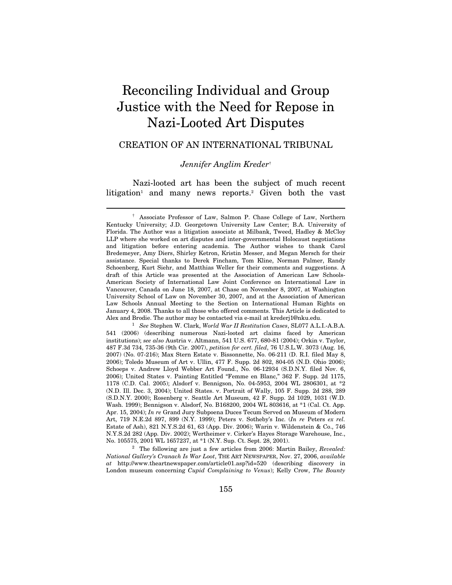## Reconciling Individual and Group Justice with the Need for Repose in Nazi-Looted Art Disputes

### CREATION OF AN INTERNATIONAL TRIBUNAL

### Jennifer Anglim Kreder†

Nazi-looted art has been the subject of much recent litigation<sup>1</sup> and many news reports.<sup>2</sup> Given both the vast

 $\overline{a}$ 

541 (2006) (describing numerous Nazi-looted art claims faced by American institutions); see also Austria v. Altmann, 541 U.S. 677, 680-81 (2004); Orkin v. Taylor, 487 F.3d 734, 735-36 (9th Cir. 2007), petition for cert. filed, 76 U.S.L.W. 3073 (Aug. 16, 2007) (No. 07-216); Max Stern Estate v. Bissonnette, No. 06-211 (D. R.I. filed May 8, 2006); Toledo Museum of Art v. Ullin, 477 F. Supp. 2d 802, 804-05 (N.D. Ohio 2006); Schoeps v. Andrew Lloyd Webber Art Found., No. 06-12934 (S.D.N.Y. filed Nov. 6, 2006); United States v. Painting Entitled "Femme en Blanc," 362 F. Supp. 2d 1175, 1178 (C.D. Cal. 2005); Alsdorf v. Bennigson, No. 04-5953, 2004 WL 2806301, at \*2 (N.D. Ill. Dec. 3, 2004); United States. v. Portrait of Wally, 105 F. Supp. 2d 288, 289 (S.D.N.Y. 2000); Rosenberg v. Seattle Art Museum, 42 F. Supp. 2d 1029, 1031 (W.D. Wash. 1999); Bennigson v. Alsdorf, No. B168200, 2004 WL 803616, at \*1 (Cal. Ct. App. Apr. 15, 2004); In re Grand Jury Subpoena Duces Tecum Served on Museum of Modern Art, 719 N.E.2d 897, 899 (N.Y. 1999); Peters v. Sotheby's Inc. (In re Peters ex rel. Estate of Ash), 821 N.Y.S.2d 61, 63 (App. Div. 2006); Warin v. Wildenstein & Co., 746 N.Y.S.2d 282 (App. Div. 2002); Wertheimer v. Cirker's Hayes Storage Warehouse, Inc., No. 105575, 2001 WL 1657237, at \*1 (N.Y. Sup. Ct. Sept. 28, 2001).<br><sup>2</sup> The following are just a few articles from 2006: Martin Bailey, *Revealed:* 

National Gallery's Cranach Is War Loot, THE ART NEWSPAPER, Nov. 27, 2006, available at http://www.theartnewspaper.com/article01.asp?id=520 (describing discovery in London museum concerning Cupid Complaining to Venus); Kelly Crow, The Bounty

 <sup>†</sup> Associate Professor of Law, Salmon P. Chase College of Law, Northern Kentucky University; J.D. Georgetown University Law Center; B.A. University of Florida. The Author was a litigation associate at Milbank, Tweed, Hadley & McCloy LLP where she worked on art disputes and inter-governmental Holocaust negotiations and litigation before entering academia. The Author wishes to thank Carol Bredemeyer, Amy Diers, Shirley Ketron, Kristin Messer, and Megan Mersch for their assistance. Special thanks to Derek Fincham, Tom Kline, Norman Palmer, Randy Schoenberg, Kurt Siehr, and Matthias Weller for their comments and suggestions. A draft of this Article was presented at the Association of American Law Schools-American Society of International Law Joint Conference on International Law in Vancouver, Canada on June 18, 2007, at Chase on November 8, 2007, at Washington University School of Law on November 30, 2007, and at the Association of American Law Schools Annual Meeting to the Section on International Human Rights on January 4, 2008. Thanks to all those who offered comments. This Article is dedicated to Alex and Brodie. The author may be contacted via e-mail at krederj1@nku.edu.<br><sup>1</sup> See Stephen W. Clark, World War II Restitution Cases, SL077 A.L.I.-A.B.A.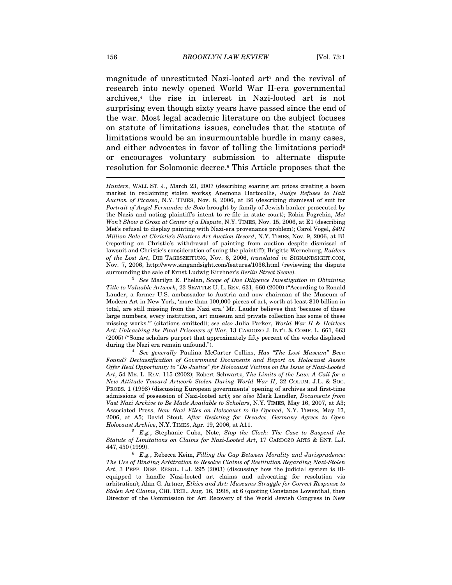magnitude of unrestituted Nazi-looted art<sup>3</sup> and the revival of research into newly opened World War II-era governmental archives,4 the rise in interest in Nazi-looted art is not surprising even though sixty years have passed since the end of the war. Most legal academic literature on the subject focuses on statute of limitations issues, concludes that the statute of limitations would be an insurmountable hurdle in many cases, and either advocates in favor of tolling the limitations period<sup>5</sup> or encourages voluntary submission to alternate dispute resolution for Solomonic decree.6 This Article proposes that the

Found? Declassification of Government Documents and Report on Holocaust Assets Offer Real Opportunity to "Do Justice" for Holocaust Victims on the Issue of Nazi-Looted Art, 54 ME. L. REV. 115 (2002); Robert Schwartz, The Limits of the Law: A Call for a New Attitude Toward Artwork Stolen During World War II, 32 COLUM. J.L. & SOC. PROBS. 1 (1998) (discussing European governments' opening of archives and first-time admissions of possession of Nazi-looted art); see also Mark Landler, Documents from Vast Nazi Archive to Be Made Available to Scholars, N.Y. TIMES, May 16, 2007, at A3; Associated Press, New Nazi Files on Holocaust to Be Opened, N.Y. TIMES, May 17, 2006, at A5; David Stout, After Resisting for Decades, Germany Agrees to Open

Holocaust Archive, N.Y. TIMES, Apr. 19, 2006, at A11. 5 E.g., Stephanie Cuba, Note, Stop the Clock: The Case to Suspend the Statute of Limitations on Claims for Nazi-Looted Art, 17 CARDOZO ARTS & ENT. L.J. 447, 450 (1999).

 $6$  E.g., Rebecca Keim, Filling the Gap Between Morality and Jurisprudence: The Use of Binding Arbitration to Resolve Claims of Restitution Regarding Nazi-Stolen Art, 3 PEPP. DISP. RESOL. L.J. 295 (2003) (discussing how the judicial system is illequipped to handle Nazi-looted art claims and advocating for resolution via arbitration); Alan G. Artner, Ethics and Art: Museums Struggle for Correct Response to Stolen Art Claims, CHI. TRIB., Aug. 16, 1998, at 6 (quoting Constance Lowenthal, then Director of the Commission for Art Recovery of the World Jewish Congress in New

Hunters, WALL ST. J., March 23, 2007 (describing soaring art prices creating a boom market in reclaiming stolen works); Anemona Hartocollis, Judge Refuses to Halt Auction of Picasso, N.Y. TIMES, Nov. 8, 2006, at B6 (describing dismissal of suit for Portrait of Angel Fernandez de Soto brought by family of Jewish banker persecuted by the Nazis and noting plaintiff's intent to re-file in state court); Robin Pogrebin, Met Won't Show a Grosz at Center of a Dispute, N.Y. TIMES, Nov. 15, 2006, at E1 (describing Met's refusal to display painting with Nazi-era provenance problem); Carol Vogel, \$491 Million Sale at Christie's Shatters Art Auction Record, N.Y. TIMES, Nov. 9, 2006, at B1 (reporting on Christie's withdrawal of painting from auction despite dismissal of lawsuit and Christie's consideration of suing the plaintiff); Brigitte Werneburg, Raiders of the Lost Art, DIE TAGESZEITUNG, Nov. 6, 2006, translated in SIGNANDSIGHT.COM, Nov. 7, 2006, http://www.singandsight.com/features/1036.html (reviewing the dispute surrounding the sale of Ernst Ludwig Kirchner's Berlin Street Scene).<br><sup>3</sup> See Marilyn E. Phelan, Scope of Due Diligence Investigation in Obtaining

Title to Valuable Artwork, 23 SEATTLE U. L. REV. 631, 660 (2000) ("According to Ronald Lauder, a former U.S. ambassador to Austria and now chairman of the Museum of Modern Art in New York, 'more than 100,000 pieces of art, worth at least \$10 billion in total, are still missing from the Nazi era.' Mr. Lauder believes that 'because of these large numbers, every institution, art museum and private collection has some of these missing works.'" (citations omitted)); see also Julia Parker, World War II & Heirless Art: Unleashing the Final Prisoners of War, 13 CARDOZO J. INT'L & COMP. L. 661, 663 (2005) ("Some scholars purport that approximately fifty percent of the works displaced during the Nazi era remain unfound.").<br><sup>4</sup> See generally Paulina McCarter Collins, Has "The Lost Museum" Been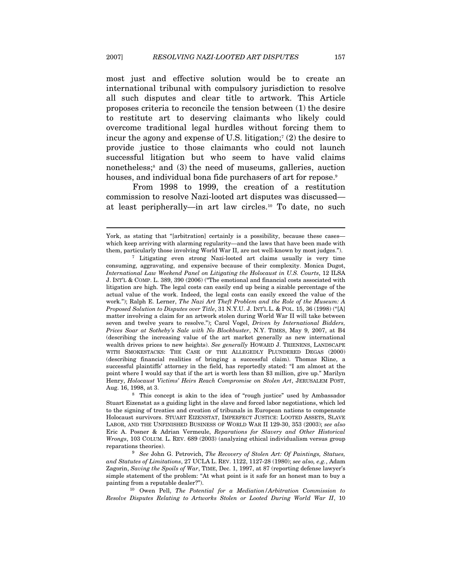most just and effective solution would be to create an international tribunal with compulsory jurisdiction to resolve all such disputes and clear title to artwork. This Article proposes criteria to reconcile the tension between (1) the desire to restitute art to deserving claimants who likely could overcome traditional legal hurdles without forcing them to incur the agony and expense of U.S. litigation; $(2)$  the desire to provide justice to those claimants who could not launch successful litigation but who seem to have valid claims nonetheless; $\delta$  and (3) the need of museums, galleries, auction houses, and individual bona fide purchasers of art for repose.<sup>9</sup>

From 1998 to 1999, the creation of a restitution commission to resolve Nazi-looted art disputes was discussed at least peripherally—in art law circles.10 To date, no such

York, as stating that "[arbitration] certainly is a possibility, because these cases which keep arriving with alarming regularity—and the laws that have been made with them, particularly those involving World War II, are not well-known by most judges.").

<sup>&</sup>lt;sup>7</sup> Litigating even strong Nazi-looted art claims usually is very time consuming, aggravating, and expensive because of their complexity. Monica Dugot, International Law Weekend Panel on Litigating the Holocaust in U.S. Courts, 12 ILSA J. INT'L & COMP. L. 389, 390 (2006) ("The emotional and financial costs associated with litigation are high. The legal costs can easily end up being a sizable percentage of the actual value of the work. Indeed, the legal costs can easily exceed the value of the work."); Ralph E. Lerner, The Nazi Art Theft Problem and the Role of the Museum: A Proposed Solution to Disputes over Title, 31 N.Y.U. J. INT'L L. & POL. 15, 36 (1998) ("[A] matter involving a claim for an artwork stolen during World War II will take between seven and twelve years to resolve."); Carol Vogel, Driven by International Bidders, Prices Soar at Sotheby's Sale with No Blockbuster, N.Y. TIMES, May 9, 2007, at B4 (describing the increasing value of the art market generally as new international wealth drives prices to new heights). See generally HOWARD J. TRIENENS, LANDSCAPE WITH SMOKESTACKS: THE CASE OF THE ALLEGEDLY PLUNDERED DEGAS (2000) (describing financial realities of bringing a successful claim). Thomas Kline, a successful plaintiffs' attorney in the field, has reportedly stated: "I am almost at the point where I would say that if the art is worth less than \$3 million, give up." Marilyn Henry, Holocaust Victims' Heirs Reach Compromise on Stolen Art, JERUSALEM POST, Aug. 16, 1998, at 3.

 $8$  This concept is akin to the idea of "rough justice" used by Ambassador Stuart Eizenstat as a guiding light in the slave and forced labor negotiations, which led to the signing of treaties and creation of tribunals in European nations to compensate Holocaust survivors. STUART EIZENSTAT, IMPERFECT JUSTICE: LOOTED ASSETS, SLAVE LABOR, AND THE UNFINISHED BUSINESS OF WORLD WAR II 129-30, 353 (2003); see also Eric A. Posner & Adrian Vermeule, Reparations for Slavery and Other Historical Wrongs, 103 COLUM. L. REV. 689 (2003) (analyzing ethical individualism versus group reparations theories). <sup>9</sup> See John G. Petrovich, *The Recovery of Stolen Art: Of Paintings, Statues,* 

and Statutes of Limitations, 27 UCLA L. REV. 1122, 1127-28 (1980); see also, e.g., Adam Zagorin, Saving the Spoils of War, TIME, Dec. 1, 1997, at 87 (reporting defense lawyer's simple statement of the problem: "At what point is it safe for an honest man to buy a

painting from a reputable dealer?").<br><sup>10</sup> Owen Pell, *The Potential for a Mediation/Arbitration Commission to* Resolve Disputes Relating to Artworks Stolen or Looted During World War II, 10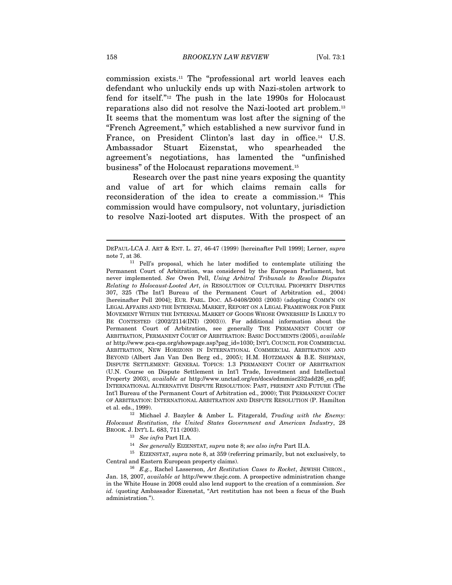commission exists.11 The "professional art world leaves each defendant who unluckily ends up with Nazi-stolen artwork to fend for itself."12 The push in the late 1990s for Holocaust reparations also did not resolve the Nazi-looted art problem.13 It seems that the momentum was lost after the signing of the "French Agreement," which established a new survivor fund in France, on President Clinton's last day in office.<sup>14</sup> U.S. Ambassador Stuart Eizenstat, who spearheaded the agreement's negotiations, has lamented the "unfinished business" of the Holocaust reparations movement.15

Research over the past nine years exposing the quantity and value of art for which claims remain calls for reconsideration of the idea to create a commission.16 This commission would have compulsory, not voluntary, jurisdiction to resolve Nazi-looted art disputes. With the prospect of an

DEPAUL-LCA J. ART & ENT. L. 27, 46-47 (1999) [hereinafter Pell 1999]; Lerner, supra note 7, at 36.<br><sup>11</sup> Pell's proposal, which he later modified to contemplate utilizing the

Permanent Court of Arbitration, was considered by the European Parliament, but never implemented. See Owen Pell, Using Arbitral Tribunals to Resolve Disputes Relating to Holocaust-Looted Art, in RESOLUTION OF CULTURAL PROPERTY DISPUTES 307, 325 (The Int'l Bureau of the Permanent Court of Arbitration ed., 2004) [hereinafter Pell 2004]; EUR. PARL. DOC. A5-0408/2003 (2003) (adopting COMM'N ON LEGAL AFFAIRS AND THE INTERNAL MARKET, REPORT ON A LEGAL FRAMEWORK FOR FREE MOVEMENT WITHIN THE INTERNAL MARKET OF GOODS WHOSE OWNERSHIP IS LIKELY TO BE CONTESTED (2002/2114(INI) (2003))). For additional information about the Permanent Court of Arbitration, see generally THE PERMANENT COURT OF ARBITRATION, PERMANENT COURT OF ARBITRATION: BASIC DOCUMENTS (2005), available at http://www.pca-cpa.org/showpage.asp?pag\_id=1030; INT'L COUNCIL FOR COMMERCIAL ARBITRATION, NEW HORIZONS IN INTERNATIONAL COMMERCIAL ARBITRATION AND BEYOND (Albert Jan Van Den Berg ed., 2005); H.M. HOTZMANN & B.E. SHIFMAN, DISPUTE SETTLEMENT: GENERAL TOPICS: 1.3 PERMANENT COURT OF ARBITRATION (U.N. Course on Dispute Settlement in Int'l Trade, Investment and Intellectual Property 2003), available at http://www.unctad.org/en/docs/edmmisc232add26\_en.pdf; INTERNATIONAL ALTERNATIVE DISPUTE RESOLUTION: PAST, PRESENT AND FUTURE (The Int'l Bureau of the Permanent Court of Arbitration ed., 2000); THE PERMANENT COURT OF ARBITRATION: INTERNATIONAL ARBITRATION AND DISPUTE RESOLUTION (P. Hamilton

et al. eds., 1999). 12 Michael J. Bazyler & Amber L. Fitzgerald, Trading with the Enemy: Holocaust Restitution, the United States Government and American Industry, 28 BROOK. J. INT'L L. 683, 711 (2003).  $13\text{}$  See infra Part II.A.  $14\text{}$  See generally EIZENSTAT, supra note 8; see also infra Part II.A.  $15\text{}$  EIZENSTAT, supra note 8, at 359 (referring primarily, but not exclusivel

Central and Eastern European property claims). 16 E.g., Rachel Lasserson, Art Restitution Cases to Rocket, JEWISH CHRON.,

Jan. 18, 2007, available at http://www.thejc.com. A prospective administration change in the White House in 2008 could also lend support to the creation of a commission. See id. (quoting Ambassador Eizenstat, "Art restitution has not been a focus of the Bush administration.").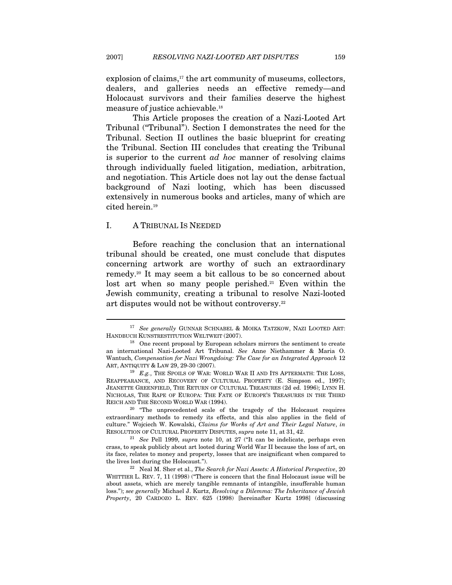explosion of claims,<sup>17</sup> the art community of museums, collectors, dealers, and galleries needs an effective remedy—and Holocaust survivors and their families deserve the highest measure of justice achievable.18

This Article proposes the creation of a Nazi-Looted Art Tribunal ("Tribunal"). Section I demonstrates the need for the Tribunal. Section II outlines the basic blueprint for creating the Tribunal. Section III concludes that creating the Tribunal is superior to the current ad hoc manner of resolving claims through individually fueled litigation, mediation, arbitration, and negotiation. This Article does not lay out the dense factual background of Nazi looting, which has been discussed extensively in numerous books and articles, many of which are cited herein.19

### I. A TRIBUNAL IS NEEDED

 $\overline{a}$ 

Before reaching the conclusion that an international tribunal should be created, one must conclude that disputes concerning artwork are worthy of such an extraordinary remedy.20 It may seem a bit callous to be so concerned about lost art when so many people perished.<sup>21</sup> Even within the Jewish community, creating a tribunal to resolve Nazi-looted art disputes would not be without controversy.22

<sup>&</sup>lt;sup>17</sup> See generally GUNNAR SCHNABEL & MOIKA TATZKOW, NAZI LOOTED ART: HANDBUCH KUNSTRESTITUTION WELTWEIT (2007). 18 One recent proposal by European scholars mirrors the sentiment to create

an international Nazi-Looted Art Tribunal. See Anne Niethammer & Maria O. Wantuch, Compensation for Nazi Wrongdoing: The Case for an Integrated Approach 12<br>ART, ANTIQUITY & LAW 29, 29-30 (2007).

 $^{19}$   $E.g.,$  THE SPOILS OF WAR: WORLD WAR II AND ITS AFTERMATH: THE LOSS, REAPPEARANCE, AND RECOVERY OF CULTURAL PROPERTY (E. Simpson ed., 1997); JEANETTE GREENFIELD, THE RETURN OF CULTURAL TREASURES (2d ed. 1996); LYNN H. NICHOLAS, THE RAPE OF EUROPA: THE FATE OF EUROPE'S TREASURES IN THE THIRD REICH AND THE SECOND WORLD WAR (1994).

<sup>&</sup>lt;sup>20</sup> "The unprecedented scale of the tragedy of the Holocaust requires extraordinary methods to remedy its effects, and this also applies in the field of culture." Wojciech W. Kowalski, Claims for Works of Art and Their Legal Nature, in RESOLUTION OF CULTURAL PROPERTY DISPUTES, supra note 11, at 31, 42.

<sup>&</sup>lt;sup>21</sup> See Pell 1999, supra note 10, at 27 ("It can be indelicate, perhaps even crass, to speak publicly about art looted during World War II because the loss of art, on its face, relates to money and property, losses that are insignificant when compared to the lives lost during the Holocaust.").<br><sup>22</sup> Neal M. Sher et al., *The Search for Nazi Assets: A Historical Perspective*, 20

WHITTIER L. REV. 7, 11 (1998) ("There is concern that the final Holocaust issue will be about assets, which are merely tangible remnants of intangible, insufferable human loss."); see generally Michael J. Kurtz, Resolving a Dilemma: The Inheritance of Jewish Property, 20 CARDOZO L. REV. 625 (1998) [hereinafter Kurtz 1998] (discussing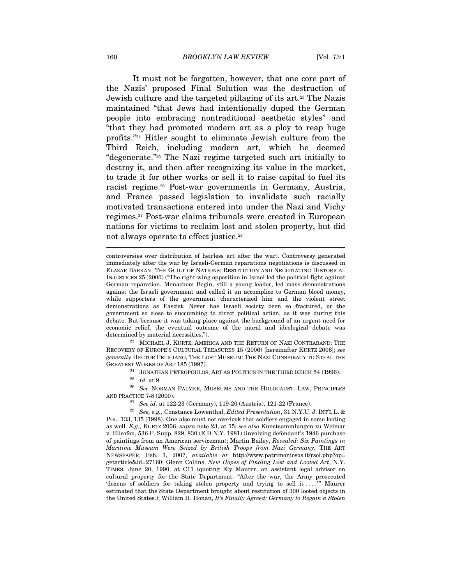It must not be forgotten, however, that one core part of the Nazis' proposed Final Solution was the destruction of Jewish culture and the targeted pillaging of its art.<sup>23</sup> The Nazis maintained "that Jews had intentionally duped the German people into embracing nontraditional aesthetic styles" and "that they had promoted modern art as a ploy to reap huge profits."24 Hitler sought to eliminate Jewish culture from the Third Reich, including modern art, which he deemed "degenerate."25 The Nazi regime targeted such art initially to destroy it, and then after recognizing its value in the market, to trade it for other works or sell it to raise capital to fuel its racist regime.26 Post-war governments in Germany, Austria, and France passed legislation to invalidate such racially motivated transactions entered into under the Nazi and Vichy regimes.27 Post-war claims tribunals were created in European nations for victims to reclaim lost and stolen property, but did not always operate to effect justice.28  $\overline{a}$ 

controversies over distribution of heirless art after the war). Controversy generated immediately after the war by Israeli-German reparations negotiations is discussed in ELAZAR BARKAN, THE GUILT OF NATIONS: RESTITUTION AND NEGOTIATING HISTORICAL INJUSTICES 25 (2000) ("The right-wing opposition in Israel led the political fight against German reparation. Menachem Begin, still a young leader, led mass demonstrations against the Israeli government and called it an accomplice to German blood money, while supporters of the government characterized him and the violent street demonstrations as Fascist. Never has Israeli society been so fractured, or the government so close to succumbing to direct political action, as it was during this debate. But because it was taking place against the background of an urgent need for economic relief, the eventual outcome of the moral and ideological debate was determined by material necessities."). 23 MICHAEL J. KURTZ, AMERICA AND THE RETURN OF NAZI CONTRABAND: THE

RECOVERY OF EUROPE'S CULTURAL TREASURES 15 (2006) [hereinafter KURTZ 2006]; see generally HECTOR FELICIANO, THE LOST MUSEUM: THE NAZI CONSPIRACY TO STEAL THE GREATEST WORKS OF ART 185 (1997).  $^{24}$  JONATHAN PETROPOULOS, ART AS POLITICS IN THE THIRD REICH 54 (1996).  $^{25}$  Id. at 9.

 $^{26}\,$   $See$  NORMAN PALMER, MUSEUMS AND THE HOLOCAUST: LAW, PRINCIPLES AND PRACTICE 7-8 (2000).

<sup>27</sup> See id. at 122-23 (Germany), 119-20 (Austria), 121-22 (France).  $28$  See, e.g., Constance Lowenthal, Edited Presentation, 31 N.Y.U. J. INT'L L. & POL. 133, 135 (1998). One also must not overlook that soldiers engaged in some looting as well. E.g., KURTZ 2006, supra note 23, at 15; see also Kunstsammlungen zu Weimar v. Elicofon, 536 F. Supp. 829, 830 (E.D.N.Y. 1981) (involving defendant's 1946 purchase of paintings from an American serviceman); Martin Bailey, Revealed: Six Paintings in Maritime Museum Were Seized by British Troops from Nazi Germany, THE ART NEWSPAPER, Feb. 1, 2007, available at http://www.patrimoniosos.it/rsol.php?op= getarticle&id=27160; Glenn Collins, New Hopes of Finding Lost and Looted Art, N.Y. TIMES, June 20, 1990, at C11 (quoting Ely Maurer, an assistant legal advisor on cultural property for the State Department: "After the war, the Army prosecuted 'dozens of soldiers for taking stolen property and trying to sell it . . . .'" Maurer estimated that the State Department brought about restitution of 300 looted objects in the United States.); William H. Honan, It's Finally Agreed: Germany to Regain a Stolen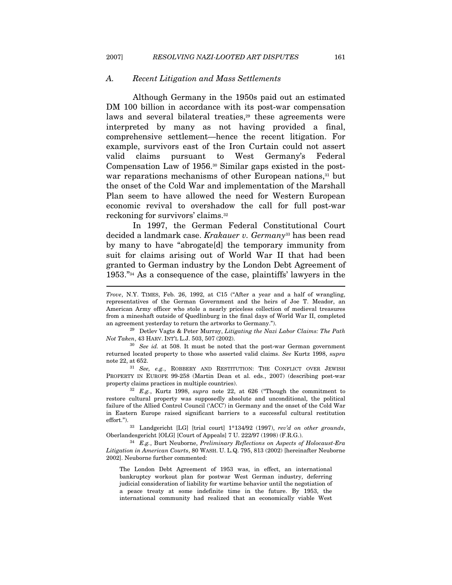### A. Recent Litigation and Mass Settlements

Although Germany in the 1950s paid out an estimated DM 100 billion in accordance with its post-war compensation laws and several bilateral treaties,<sup>29</sup> these agreements were interpreted by many as not having provided a final, comprehensive settlement—hence the recent litigation. For example, survivors east of the Iron Curtain could not assert valid claims pursuant to West Germany's Federal Compensation Law of 1956.30 Similar gaps existed in the postwar reparations mechanisms of other European nations,<sup>31</sup> but the onset of the Cold War and implementation of the Marshall Plan seem to have allowed the need for Western European economic revival to overshadow the call for full post-war reckoning for survivors' claims.32

In 1997, the German Federal Constitutional Court decided a landmark case. Krakauer v. Germany<sup>33</sup> has been read by many to have "abrogate[d] the temporary immunity from suit for claims arising out of World War II that had been granted to German industry by the London Debt Agreement of 1953."34 As a consequence of the case, plaintiffs' lawyers in the

Not Taken, 43 HARV. INT'L L.J. 503, 507 (2002). 30 See id. at 508. It must be noted that the post-war German government

returned located property to those who asserted valid claims. See Kurtz 1998, supra note 22, at 652.<br><sup>31</sup> See, e.g., ROBBERY AND RESTITUTION: THE CONFLICT OVER JEWISH

PROPERTY IN EUROPE 99-258 (Martin Dean et al. eds., 2007) (describing post-war property claims practices in multiple countries).

 $32$  E.g., Kurtz 1998, supra note 22, at 626 ("Though the commitment to restore cultural property was supposedly absolute and unconditional, the political failure of the Allied Control Council ('ACC') in Germany and the onset of the Cold War in Eastern Europe raised significant barriers to a successful cultural restitution

effort.").<br> $33$  Landgericht [LG] [trial court]  $1*134/92$  (1997), rev'd on other grounds,<br>Oberlandesgericht [OLG] [Court of Appeals] 7 U. 222/97 (1998) (F.R.G.).

 $B<sup>34</sup>$  E.g., Burt Neuborne, Preliminary Reflections on Aspects of Holocaust-Era Litigation in American Courts, 80 WASH. U. L.Q. 795, 813 (2002) [hereinafter Neuborne 2002]. Neuborne further commented:

The London Debt Agreement of 1953 was, in effect, an international bankruptcy workout plan for postwar West German industry, deferring judicial consideration of liability for wartime behavior until the negotiation of a peace treaty at some indefinite time in the future. By 1953, the international community had realized that an economically viable West

Trove, N.Y. TIMES, Feb. 26, 1992, at C15 ("After a year and a half of wrangling, representatives of the German Government and the heirs of Joe T. Meador, an American Army officer who stole a nearly priceless collection of medieval treasures from a mineshaft outside of Quedlinburg in the final days of World War II, completed an agreement yesterday to return the artworks to Germany.").<br><sup>29</sup> Detlev Vagts & Peter Murray, *Litigating the Nazi Labor Claims: The Path*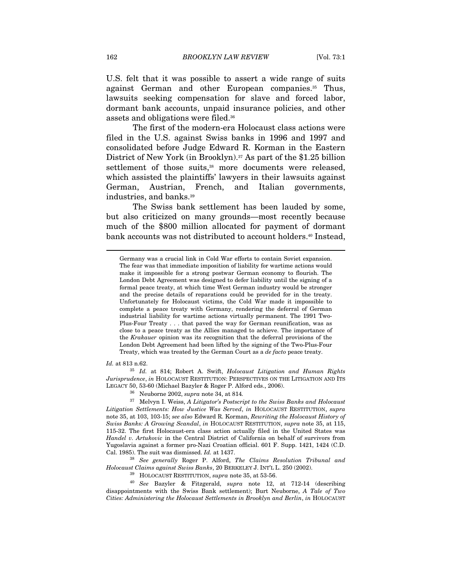U.S. felt that it was possible to assert a wide range of suits against German and other European companies.<sup>35</sup> Thus, lawsuits seeking compensation for slave and forced labor, dormant bank accounts, unpaid insurance policies, and other assets and obligations were filed.36

The first of the modern-era Holocaust class actions were filed in the U.S. against Swiss banks in 1996 and 1997 and consolidated before Judge Edward R. Korman in the Eastern District of New York (in Brooklyn).<sup>37</sup> As part of the \$1.25 billion settlement of those suits,<sup>38</sup> more documents were released, which assisted the plaintiffs' lawyers in their lawsuits against German, Austrian, French, and Italian governments, industries, and banks.<sup>39</sup>

The Swiss bank settlement has been lauded by some, but also criticized on many grounds—most recently because much of the \$800 million allocated for payment of dormant bank accounts was not distributed to account holders.<sup>40</sup> Instead,

Id. at 813 n.62. 35 Id. at 814; Robert A. Swift, Holocaust Litigation and Human Rights Jurisprudence, in HOLOCAUST RESTITUTION: PERSPECTIVES ON THE LITIGATION AND ITS LEGACY 50, 53-60 (Michael Bazyler & Roger P. Alford eds., 2006).

 $^{36}$  Neuborne 2002, supra note 34, at 814.

 $37$  Melvyn I. Weiss, A Litigator's Postscript to the Swiss Banks and Holocaust Litigation Settlements: How Justice Was Served, in HOLOCAUST RESTITUTION, supra note 35, at 103, 103-15; see also Edward R. Korman, Rewriting the Holocaust History of Swiss Banks: A Growing Scandal, in HOLOCAUST RESTITUTION, supra note 35, at 115, 115-32. The first Holocaust-era class action actually filed in the United States was Handel v. Artukovic in the Central District of California on behalf of survivors from Yugoslavia against a former pro-Nazi Croatian official. 601 F. Supp. 1421, 1424 (C.D. Cal. 1985). The suit was dismissed. Id. at 1437. 38 See generally Roger P. Alford, The Claims Resolution Tribunal and

Holocaust Claims against Swiss Banks, 20 BERKELEY J. INT'L L. 250 (2002).<br><sup>39</sup> HOLOCAUST RESTITUTION, *supra* note 35, at 53-56.<br><sup>40</sup> See Bazyler & Fitzgerald, *supra* note 12, at 712-14 (describing

disappointments with the Swiss Bank settlement); Burt Neuborne, A Tale of Two Cities: Administering the Holocaust Settlements in Brooklyn and Berlin, in HOLOCAUST

Germany was a crucial link in Cold War efforts to contain Soviet expansion. The fear was that immediate imposition of liability for wartime actions would make it impossible for a strong postwar German economy to flourish. The London Debt Agreement was designed to defer liability until the signing of a formal peace treaty, at which time West German industry would be stronger and the precise details of reparations could be provided for in the treaty. Unfortunately for Holocaust victims, the Cold War made it impossible to complete a peace treaty with Germany, rendering the deferral of German industrial liability for wartime actions virtually permanent. The 1991 Two-Plus-Four Treaty . . . that paved the way for German reunification, was as close to a peace treaty as the Allies managed to achieve. The importance of the Krakauer opinion was its recognition that the deferral provisions of the London Debt Agreement had been lifted by the signing of the Two-Plus-Four Treaty, which was treated by the German Court as a de facto peace treaty.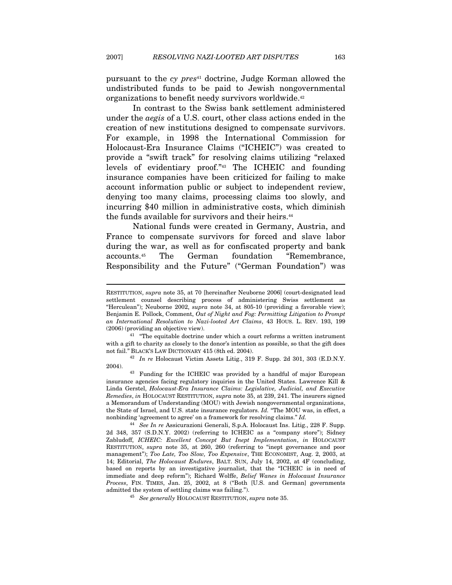pursuant to the  $cy$  pres<sup>41</sup> doctrine, Judge Korman allowed the undistributed funds to be paid to Jewish nongovernmental organizations to benefit needy survivors worldwide.42

In contrast to the Swiss bank settlement administered under the aegis of a U.S. court, other class actions ended in the creation of new institutions designed to compensate survivors. For example, in 1998 the International Commission for Holocaust-Era Insurance Claims ("ICHEIC") was created to provide a "swift track" for resolving claims utilizing "relaxed levels of evidentiary proof."43 The ICHEIC and founding insurance companies have been criticized for failing to make account information public or subject to independent review, denying too many claims, processing claims too slowly, and incurring \$40 million in administrative costs, which diminish the funds available for survivors and their heirs.<sup>44</sup>

National funds were created in Germany, Austria, and France to compensate survivors for forced and slave labor during the war, as well as for confiscated property and bank accounts.45 The German foundation "Remembrance, Responsibility and the Future" ("German Foundation") was

2004). 43 Funding for the ICHEIC was provided by a handful of major European

insurance agencies facing regulatory inquiries in the United States. Lawrence Kill & Linda Gerstel, Holocaust-Era Insurance Claims: Legislative, Judicial, and Executive Remedies, in HOLOCAUST RESTITUTION, supra note 35, at 239, 241. The insurers signed a Memorandum of Understanding (MOU) with Jewish nongovernmental organizations, the State of Israel, and U.S. state insurance regulators. Id. "The MOU was, in effect, a nonbinding 'agreement to agree' on a framework for resolving claims." Id. 44 See In re Assicurazioni Generali, S.p.A. Holocaust Ins. Litig., 228 F. Supp.

2d 348, 357 (S.D.N.Y. 2002) (referring to ICHEIC as a "company store"); Sidney Zabludoff, ICHEIC: Excellent Concept But Inept Implementation, in HOLOCAUST RESTITUTION, supra note 35, at 260, 260 (referring to "inept governance and poor management"); Too Late, Too Slow, Too Expensive, THE ECONOMIST, Aug. 2, 2003, at 14; Editorial, The Holocaust Endures, BALT. SUN, July 14, 2002, at 4F (concluding, based on reports by an investigative journalist, that the "ICHEIC is in need of immediate and deep reform"); Richard Wolffe, Belief Wanes in Holocaust Insurance Process, FIN. TIMES, Jan. 25, 2002, at 8 ("Both [U.S. and German] governments admitted the system of settling claims was failing.").<br><sup>45</sup> See generally HOLOCAUST RESTITUTION, supra note 35.

RESTITUTION, supra note 35, at 70 [hereinafter Neuborne 2006] (court-designated lead settlement counsel describing process of administering Swiss settlement as "Herculean"); Neuborne 2002, supra note 34, at 805-10 (providing a favorable view); Benjamin E. Pollock, Comment, Out of Night and Fog: Permitting Litigation to Prompt an International Resolution to Nazi-looted Art Claims, 43 HOUS. L. REV. 193, 199  $(2006)$  (providing an objective view).  $41$  "The equitable doctrine under which a court reforms a written instrument

with a gift to charity as closely to the donor's intention as possible, so that the gift does not fail." BLACK'S LAW DICTIONARY 415 (8th ed. 2004).  $42 \text{ In } re$  Holocaust Victim Assets Litig., 319 F. Supp. 2d 301, 303 (E.D.N.Y.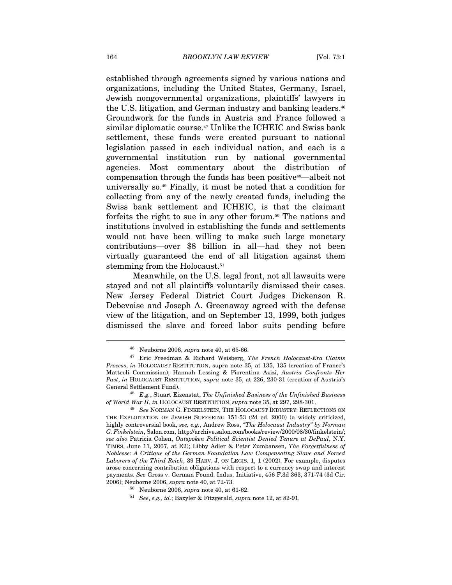established through agreements signed by various nations and organizations, including the United States, Germany, Israel, Jewish nongovernmental organizations, plaintiffs' lawyers in the U.S. litigation, and German industry and banking leaders.<sup>46</sup> Groundwork for the funds in Austria and France followed a similar diplomatic course.<sup>47</sup> Unlike the ICHEIC and Swiss bank settlement, these funds were created pursuant to national legislation passed in each individual nation, and each is a governmental institution run by national governmental agencies. Most commentary about the distribution of compensation through the funds has been positive<sup>48</sup>—albeit not universally so.49 Finally, it must be noted that a condition for collecting from any of the newly created funds, including the Swiss bank settlement and ICHEIC, is that the claimant forfeits the right to sue in any other forum.<sup>50</sup> The nations and institutions involved in establishing the funds and settlements would not have been willing to make such large monetary contributions—over \$8 billion in all—had they not been virtually guaranteed the end of all litigation against them stemming from the Holocaust.<sup>51</sup>

Meanwhile, on the U.S. legal front, not all lawsuits were stayed and not all plaintiffs voluntarily dismissed their cases. New Jersey Federal District Court Judges Dickenson R. Debevoise and Joseph A. Greenaway agreed with the defense view of the litigation, and on September 13, 1999, both judges dismissed the slave and forced labor suits pending before

 $^{46}\,$  Neuborne 2006, supra note 40, at 65-66.  $^{47}\,$  Eric Freedman & Richard Weisberg, The French Holocaust-Era Claims Process, in HOLOCAUST RESTITUTION, supra note 35, at 135, 135 (creation of France's Matteoli Commission); Hannah Lessing & Fiorentina Azizi, Austria Confronts Her Past, in HOLOCAUST RESTITUTION, supra note 35, at 226, 230-31 (creation of Austria's General Settlement Fund).

 $E.g.,$  Stuart Eizenstat, The Unfinished Business of the Unfinished Business of World War II, in HOLOCAUST RESTITUTION, supra note 35, at 297, 298-301.<br><sup>49</sup> See NORMAN G. FINKELSTEIN, THE HOLOCAUST INDUSTRY: REFLECTIONS ON

THE EXPLOITATION OF JEWISH SUFFERING 151-53 (2d ed. 2000) (a widely criticized, highly controversial book, see, e.g., Andrew Ross, "The Holocaust Industry" by Norman G. Finkelstein, Salon.com, http://archive.salon.com/books/review/2000/08/30/finkelstein/; see also Patricia Cohen, Outspoken Political Scientist Denied Tenure at DePaul, N.Y. TIMES, June 11, 2007, at E2); Libby Adler & Peter Zumbansen, The Forgetfulness of Noblesse: A Critique of the German Foundation Law Compensating Slave and Forced Laborers of the Third Reich, 39 HARV. J. ON LEGIS. 1, 1 (2002). For example, disputes arose concerning contribution obligations with respect to a currency swap and interest payments. See Gross v. German Found. Indus. Initiative, 456 F.3d 363, 371-74 (3d Cir. 2006); Neuborne 2006, supra note 40, at 72-73.<br><sup>50</sup> Neuborne 2006, supra note 40, at 61-62.<br><sup>51</sup> See, e.g., id.; Bazyler & Fitzgerald, supra note 12, at 82-91.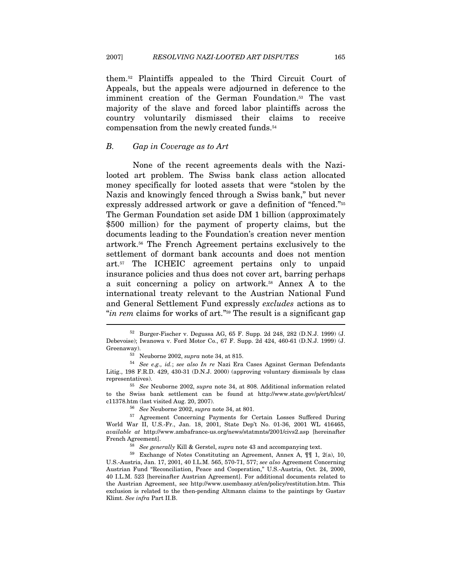them.52 Plaintiffs appealed to the Third Circuit Court of Appeals, but the appeals were adjourned in deference to the imminent creation of the German Foundation.<sup>53</sup> The vast majority of the slave and forced labor plaintiffs across the country voluntarily dismissed their claims to receive compensation from the newly created funds.54

### B. Gap in Coverage as to Art

None of the recent agreements deals with the Nazilooted art problem. The Swiss bank class action allocated money specifically for looted assets that were "stolen by the Nazis and knowingly fenced through a Swiss bank," but never expressly addressed artwork or gave a definition of "fenced."<sup>55</sup> The German Foundation set aside DM 1 billion (approximately \$500 million) for the payment of property claims, but the documents leading to the Foundation's creation never mention artwork.56 The French Agreement pertains exclusively to the settlement of dormant bank accounts and does not mention art.57 The ICHEIC agreement pertains only to unpaid insurance policies and thus does not cover art, barring perhaps a suit concerning a policy on artwork.58 Annex A to the international treaty relevant to the Austrian National Fund and General Settlement Fund expressly excludes actions as to "*in rem* claims for works of art."<sup>59</sup> The result is a significant gap

<sup>52</sup> Burger-Fischer v. Degussa AG, 65 F. Supp. 2d 248, 282 (D.N.J. 1999) (J. Debevoise); Iwanowa v. Ford Motor Co., 67 F. Supp. 2d 424, 460-61 (D.N.J. 1999) (J. Greenaway).  $$^{53}$$  Neuborne 2002, supra note 34, at 815.  $$^{54}$$  See e.g., id.; see also In re Nazi Era Cases Against German Defendants

Litig., 198 F.R.D. 429, 430-31 (D.N.J. 2000) (approving voluntary dismissals by class representatives). 55 See Neuborne 2002, supra note 34, at 808. Additional information related

to the Swiss bank settlement can be found at http://www.state.gov/p/ert/hlcst/ c11378.htm (last visited Aug. 20, 2007).<br> $56\,$  See Neuborne 2002, supra note 34, at 801.

<sup>57</sup> Agreement Concerning Payments for Certain Losses Suffered During World War II, U.S.-Fr., Jan. 18, 2001, State Dep't No. 01-36, 2001 WL 416465, available at http://www.ambafrance-us.org/news/statmnts/2001/civs2.asp [hereinafter French Agreement].<br><sup>58</sup> See generally Kill & Gerstel, supra note 43 and accompanying text.<br><sup>59</sup> Exchange of Notes Constituting an Agreement, Annex A, ¶¶ 1, 2(a), 10,

U.S.-Austria, Jan. 17, 2001, 40 I.L.M. 565, 570-71, 577; see also Agreement Concerning Austrian Fund "Reconciliation, Peace and Cooperation," U.S.-Austria, Oct. 24, 2000, 40 I.L.M. 523 [hereinafter Austrian Agreement]. For additional documents related to the Austrian Agreement, see http://www.usembassy.at/en/policy/restitution.htm. This exclusion is related to the then-pending Altmann claims to the paintings by Gustav Klimt. See infra Part II.B.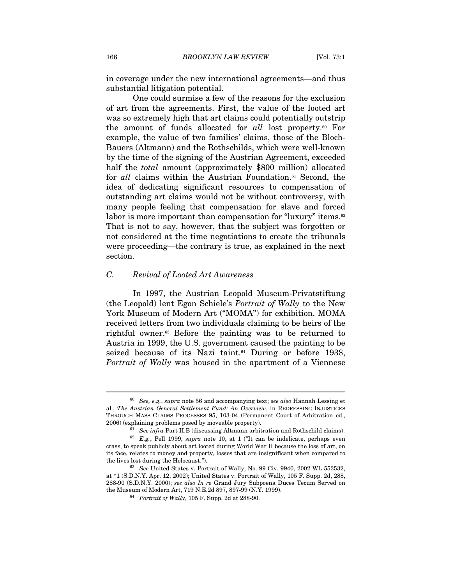in coverage under the new international agreements—and thus substantial litigation potential.

One could surmise a few of the reasons for the exclusion of art from the agreements. First, the value of the looted art was so extremely high that art claims could potentially outstrip the amount of funds allocated for all lost property.<sup>60</sup> For example, the value of two families' claims, those of the Bloch-Bauers (Altmann) and the Rothschilds, which were well-known by the time of the signing of the Austrian Agreement, exceeded half the *total* amount (approximately \$800 million) allocated for all claims within the Austrian Foundation.<sup>61</sup> Second, the idea of dedicating significant resources to compensation of outstanding art claims would not be without controversy, with many people feeling that compensation for slave and forced labor is more important than compensation for "luxury" items.<sup>62</sup> That is not to say, however, that the subject was forgotten or not considered at the time negotiations to create the tribunals were proceeding—the contrary is true, as explained in the next section.

### C. Revival of Looted Art Awareness

In 1997, the Austrian Leopold Museum-Privatstiftung (the Leopold) lent Egon Schiele's Portrait of Wally to the New York Museum of Modern Art ("MOMA") for exhibition. MOMA received letters from two individuals claiming to be heirs of the rightful owner.63 Before the painting was to be returned to Austria in 1999, the U.S. government caused the painting to be seized because of its Nazi taint.<sup>64</sup> During or before 1938, Portrait of Wally was housed in the apartment of a Viennese

 $60$  See, e.g., supra note 56 and accompanying text; see also Hannah Lessing et al., The Austrian General Settlement Fund: An Overview, in REDRESSING INJUSTICES THROUGH MASS CLAIMS PROCESSES 95, 103-04 (Permanent Court of Arbitration ed., 2006) (explaining problems posed by moveable property).<br><sup>61</sup> See infra Part II.B (discussing Altmann arbitration and Rothschild claims).<br><sup>62</sup> E.g., Pell 1999, *supra* note 10, at 1 ("It can be indelicate, perhaps even

crass, to speak publicly about art looted during World War II because the loss of art, on its face, relates to money and property, losses that are insignificant when compared to the lives lost during the Holocaust."). 63 See United States v. Portrait of Wally, No. 99 Civ. 9940, 2002 WL 553532,

at \*1 (S.D.N.Y. Apr. 12, 2002); United States v. Portrait of Wally, 105 F. Supp. 2d, 288, 288-90 (S.D.N.Y. 2000); see also In re Grand Jury Subpoena Duces Tecum Served on the Museum of Modern Art, 719 N.E.2d 897, 897-99 (N.Y. 1999).<br> $64$  Portrait of Wally, 105 F. Supp. 2d at 288-90.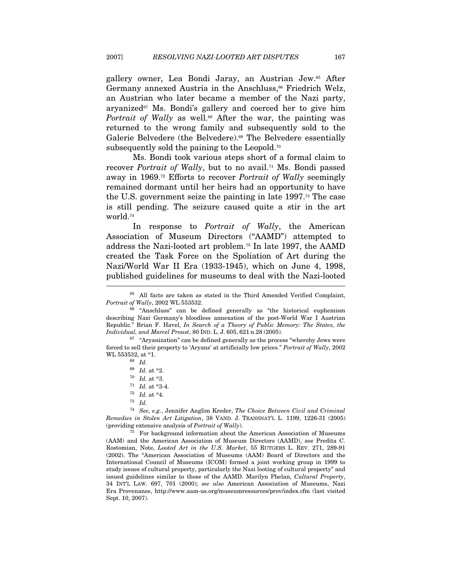gallery owner, Lea Bondi Jaray, an Austrian Jew.65 After Germany annexed Austria in the Anschluss,<sup>66</sup> Friedrich Welz, an Austrian who later became a member of the Nazi party, aryanized $67$  Ms. Bondi's gallery and coerced her to give him Portrait of Wally as well.<sup>68</sup> After the war, the painting was returned to the wrong family and subsequently sold to the Galerie Belvedere (the Belvedere).69 The Belvedere essentially subsequently sold the paining to the Leopold.<sup>70</sup>

Ms. Bondi took various steps short of a formal claim to recover *Portrait of Wally*, but to no avail.<sup>71</sup> Ms. Bondi passed away in 1969.<sup>72</sup> Efforts to recover *Portrait of Wally* seemingly remained dormant until her heirs had an opportunity to have the U.S. government seize the painting in late 1997.73 The case is still pending. The seizure caused quite a stir in the art world.74

In response to *Portrait of Wally*, the American Association of Museum Directors ("AAMD") attempted to address the Nazi-looted art problem.75 In late 1997, the AAMD created the Task Force on the Spoliation of Art during the Nazi/World War II Era (1933-1945), which on June 4, 1998, published guidelines for museums to deal with the Nazi-looted ŗ

 $75$  For background information about the American Association of Museums (AAM) and the American Association of Museum Directors (AAMD), see Predita C. Rostomian, Note, Looted Art in the U.S. Market, 55 RUTGERS L. REV. 271, 289-91 (2002). The "American Association of Museums (AAM) Board of Directors and the International Council of Museums (ICOM) formed a joint working group in 1999 to study issues of cultural property, particularly the Nazi looting of cultural property" and issued guidelines similar to those of the AAMD. Marilyn Phelan, Cultural Property, 34 INT'L LAW. 697, 701 (2000); see also American Association of Museums, Nazi Era Provenance, http://www.aam-us.org/museumresources/prov/index.cfm (last visited Sept. 10, 2007).

<sup>65</sup> All facts are taken as stated in the Third Amended Verified Complaint, Portrait of Wally, 2002 WL 553532.<br><sup>66</sup> "Anschluss" can be defined generally as "the historical euphemism

describing Nazi Germany's bloodless annexation of the post-World War I Austrian Republic." Brian F. Havel, In Search of a Theory of Public Memory: The States, the Individual, and Marcel Proust, 80 IND. L. J. 605, 621 n.28 (2005).

 $^{67} \,$  "Aryanization" can be defined generally as the process "whereby Jews were forced to sell their property to 'Aryans' at artificially low prices." Portrait of Wally, 2002 WL 553532, at \*1.<br> $^{68}$  *Id.*<br> $^{69}$  *Id.* at \*2.

<sup>&</sup>lt;sup>70</sup> Id. at \*3.<br>
<sup>71</sup> Id. at \*3-4.<br>
<sup>72</sup> Id. at \*4.<br>
<sup>73</sup> Id.

<sup>74</sup> See, e.g., Jennifer Anglim Kreder, The Choice Between Civil and Criminal Remedies in Stolen Art Litigation, 38 VAND. J. TRANSNAT'L L. 1199, 1226-31 (2005) (providing extensive analysis of *Portrait of Wally*).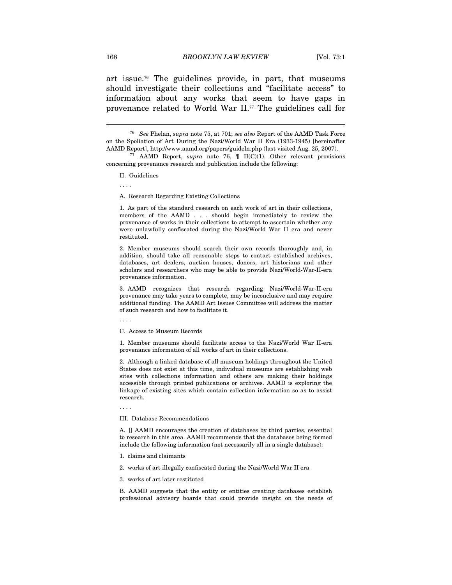art issue.76 The guidelines provide, in part, that museums should investigate their collections and "facilitate access" to information about any works that seem to have gaps in provenance related to World War II.77 The guidelines call for

. . . .

A. Research Regarding Existing Collections

1. As part of the standard research on each work of art in their collections, members of the AAMD . . . should begin immediately to review the provenance of works in their collections to attempt to ascertain whether any were unlawfully confiscated during the Nazi/World War II era and never restituted.

2. Member museums should search their own records thoroughly and, in addition, should take all reasonable steps to contact established archives, databases, art dealers, auction houses, donors, art historians and other scholars and researchers who may be able to provide Nazi/World-War-II-era provenance information.

3. AAMD recognizes that research regarding Nazi/World-War-II-era provenance may take years to complete, may be inconclusive and may require additional funding. The AAMD Art Issues Committee will address the matter of such research and how to facilitate it.

C. Access to Museum Records

1. Member museums should facilitate access to the Nazi/World War II-era provenance information of all works of art in their collections.

2. Although a linked database of all museum holdings throughout the United States does not exist at this time, individual museums are establishing web sites with collections information and others are making their holdings accessible through printed publications or archives. AAMD is exploring the linkage of existing sites which contain collection information so as to assist research.

. . . .

### III. Database Recommendations

A. [] AAMD encourages the creation of databases by third parties, essential to research in this area. AAMD recommends that the databases being formed include the following information (not necessarily all in a single database):

- 1. claims and claimants
- 2. works of art illegally confiscated during the Nazi/World War II era
- 3. works of art later restituted

B. AAMD suggests that the entity or entities creating databases establish professional advisory boards that could provide insight on the needs of

 $^{76}\;$  See Phelan, supra note 75, at 701; see also Report of the AAMD Task Force on the Spoliation of Art During the Nazi/World War II Era (1933-1945) [hereinafter AAMD Report], http://www.aamd.org/papers/guideln.php (last visited Aug. 25, 2007).<br><sup>77</sup> AAMD Report, *supra* note 76,  $\parallel$  II(C)(1). Other relevant provisions

concerning provenance research and publication include the following:

II. Guidelines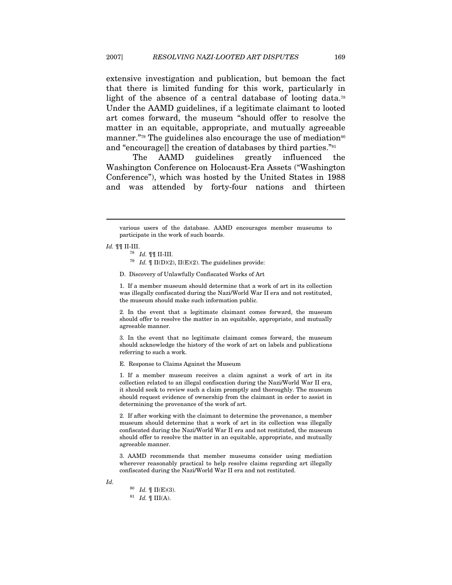extensive investigation and publication, but bemoan the fact that there is limited funding for this work, particularly in light of the absence of a central database of looting data.<sup>78</sup> Under the AAMD guidelines, if a legitimate claimant to looted art comes forward, the museum "should offer to resolve the matter in an equitable, appropriate, and mutually agreeable manner." $79$  The guidelines also encourage the use of mediation $80$ and "encourage<sup>[]</sup> the creation of databases by third parties."<sup>81</sup>

The AAMD guidelines greatly influenced the Washington Conference on Holocaust-Era Assets ("Washington Conference"), which was hosted by the United States in 1988 and was attended by forty-four nations and thirteen

## *Id.*  $\P$ ¶ II-III.<br><sup>78</sup> *Id.*  $\P$ ¶ II-III.

 $\overline{a}$ 

 $^{79}$   $Id.$   $\parallel$  II(D)(2), II(E)(2). The guidelines provide:

D. Discovery of Unlawfully Confiscated Works of Art

1. If a member museum should determine that a work of art in its collection was illegally confiscated during the Nazi/World War II era and not restituted, the museum should make such information public.

2. In the event that a legitimate claimant comes forward, the museum should offer to resolve the matter in an equitable, appropriate, and mutually agreeable manner.

3. In the event that no legitimate claimant comes forward, the museum should acknowledge the history of the work of art on labels and publications referring to such a work.

E. Response to Claims Against the Museum

1. If a member museum receives a claim against a work of art in its collection related to an illegal confiscation during the Nazi/World War II era, it should seek to review such a claim promptly and thoroughly. The museum should request evidence of ownership from the claimant in order to assist in determining the provenance of the work of art.

2. If after working with the claimant to determine the provenance, a member museum should determine that a work of art in its collection was illegally confiscated during the Nazi/World War II era and not restituted, the museum should offer to resolve the matter in an equitable, appropriate, and mutually agreeable manner.

3. AAMD recommends that member museums consider using mediation wherever reasonably practical to help resolve claims regarding art illegally confiscated during the Nazi/World War II era and not restituted.

Id.

various users of the database. AAMD encourages member museums to participate in the work of such boards.

<sup>80</sup> Id.  $\P$  II(E)(3).<br>81 Id.  $\P$  III(A).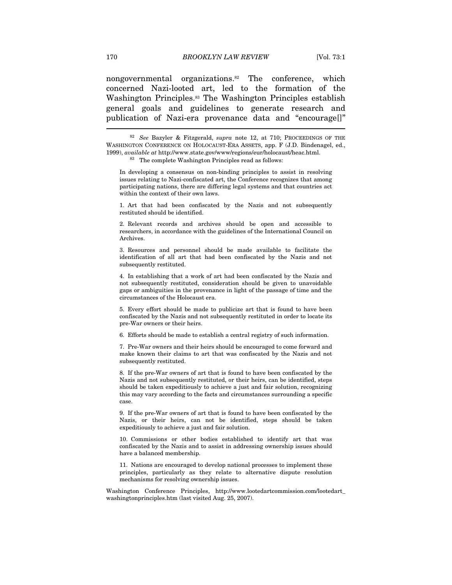nongovernmental organizations.<sup>82</sup> The conference, which concerned Nazi-looted art, led to the formation of the Washington Principles.<sup>83</sup> The Washington Principles establish general goals and guidelines to generate research and publication of Nazi-era provenance data and "encourage[]"  $\overline{\phantom{a}}$ 

<sup>82</sup> See Bazyler & Fitzgerald, supra note 12, at 710; PROCEEDINGS OF THE WASHINGTON CONFERENCE ON HOLOCAUST-ERA ASSETS, app. F (J.D. Bindenagel, ed., 1999), *available at* http://www.state.gov/www/regions/eur/holocaust/heac.html.<br><sup>83</sup> The complete Washington Principles read as follows:

In developing a consensus on non-binding principles to assist in resolving issues relating to Nazi-confiscated art, the Conference recognizes that among participating nations, there are differing legal systems and that countries act within the context of their own laws.

1. Art that had been confiscated by the Nazis and not subsequently restituted should be identified.

2. Relevant records and archives should be open and accessible to researchers, in accordance with the guidelines of the International Council on Archives.

3. Resources and personnel should be made available to facilitate the identification of all art that had been confiscated by the Nazis and not subsequently restituted.

4. In establishing that a work of art had been confiscated by the Nazis and not subsequently restituted, consideration should be given to unavoidable gaps or ambiguities in the provenance in light of the passage of time and the circumstances of the Holocaust era.

5. Every effort should be made to publicize art that is found to have been confiscated by the Nazis and not subsequently restituted in order to locate its pre-War owners or their heirs.

6. Efforts should be made to establish a central registry of such information.

7. Pre-War owners and their heirs should be encouraged to come forward and make known their claims to art that was confiscated by the Nazis and not subsequently restituted.

8. If the pre-War owners of art that is found to have been confiscated by the Nazis and not subsequently restituted, or their heirs, can be identified, steps should be taken expeditiously to achieve a just and fair solution, recognizing this may vary according to the facts and circumstances surrounding a specific case.

9. If the pre-War owners of art that is found to have been confiscated by the Nazis, or their heirs, can not be identified, steps should be taken expeditiously to achieve a just and fair solution.

10. Commissions or other bodies established to identify art that was confiscated by the Nazis and to assist in addressing ownership issues should have a balanced membership.

11. Nations are encouraged to develop national processes to implement these principles, particularly as they relate to alternative dispute resolution mechanisms for resolving ownership issues.

Washington Conference Principles, http://www.lootedartcommission.com/lootedart\_ washingtonprinciples.htm (last visited Aug. 25, 2007).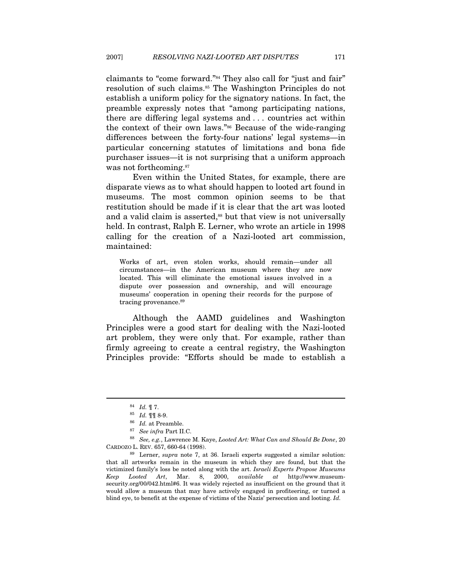claimants to "come forward."84 They also call for "just and fair" resolution of such claims.85 The Washington Principles do not establish a uniform policy for the signatory nations. In fact, the preamble expressly notes that "among participating nations, there are differing legal systems and . . . countries act within the context of their own laws."86 Because of the wide-ranging differences between the forty-four nations' legal systems—in particular concerning statutes of limitations and bona fide purchaser issues—it is not surprising that a uniform approach was not forthcoming.<sup>87</sup>

Even within the United States, for example, there are disparate views as to what should happen to looted art found in museums. The most common opinion seems to be that restitution should be made if it is clear that the art was looted and a valid claim is asserted,<sup>88</sup> but that view is not universally held. In contrast, Ralph E. Lerner, who wrote an article in 1998 calling for the creation of a Nazi-looted art commission, maintained:

Works of art, even stolen works, should remain—under all circumstances—in the American museum where they are now located. This will eliminate the emotional issues involved in a dispute over possession and ownership, and will encourage museums' cooperation in opening their records for the purpose of tracing provenance.89

Although the AAMD guidelines and Washington Principles were a good start for dealing with the Nazi-looted art problem, they were only that. For example, rather than firmly agreeing to create a central registry, the Washington Principles provide: "Efforts should be made to establish a

<sup>&</sup>lt;sup>84</sup> Id.  $\P$  7.<br><sup>85</sup> Id.  $\P$   $\P$  8-9.<br><sup>86</sup> Id. at Preamble.

<sup>&</sup>lt;sup>87</sup> See infra Part II.C.<br><sup>88</sup> See, e.g., Lawrence M. Kaye, Looted Art: What Can and Should Be Done, 20 CARDOZO L. REV. 657, 660-64 (1998).<br><sup>89</sup> Lerner, *supra* note 7, at 36. Israeli experts suggested a similar solution:

that all artworks remain in the museum in which they are found, but that the victimized family's loss be noted along with the art. Israeli Experts Propose Museums Keep Looted Art, Mar. 8, 2000, available at http://www.museumsecurity.org/00/042.html#6. It was widely rejected as insufficient on the ground that it would allow a museum that may have actively engaged in profiteering, or turned a blind eye, to benefit at the expense of victims of the Nazis' persecution and looting. Id.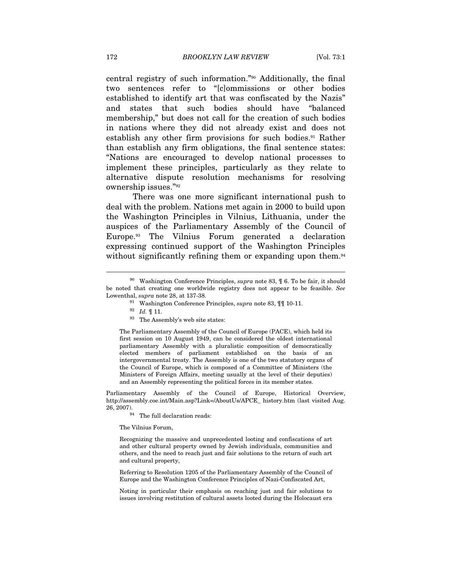central registry of such information."90 Additionally, the final two sentences refer to "[c]ommissions or other bodies established to identify art that was confiscated by the Nazis" and states that such bodies should have "balanced membership," but does not call for the creation of such bodies in nations where they did not already exist and does not establish any other firm provisions for such bodies.91 Rather than establish any firm obligations, the final sentence states: "Nations are encouraged to develop national processes to implement these principles, particularly as they relate to alternative dispute resolution mechanisms for resolving ownership issues."92

There was one more significant international push to deal with the problem. Nations met again in 2000 to build upon the Washington Principles in Vilnius, Lithuania, under the auspices of the Parliamentary Assembly of the Council of Europe.93 The Vilnius Forum generated a declaration expressing continued support of the Washington Principles without significantly refining them or expanding upon them.<sup>94</sup>

 $^{93}$  The Assembly's web site states:

The Parliamentary Assembly of the Council of Europe (PACE), which held its first session on 10 August 1949, can be considered the oldest international parliamentary Assembly with a pluralistic composition of democratically elected members of parliament established on the basis of an intergovernmental treaty. The Assembly is one of the two statutory organs of the Council of Europe, which is composed of a Committee of Ministers (the Ministers of Foreign Affairs, meeting usually at the level of their deputies) and an Assembly representing the political forces in its member states.

Parliamentary Assembly of the Council of Europe, Historical Overview, http://assembly.coe.int/Main.asp?Link=/AboutUs/APCE\_ history.htm (last visited Aug. 26, 2007).<br> $^{94}$  The full declaration reads:

The Vilnius Forum,

Recognizing the massive and unprecedented looting and confiscations of art and other cultural property owned by Jewish individuals, communities and others, and the need to reach just and fair solutions to the return of such art and cultural property,

Referring to Resolution 1205 of the Parliamentary Assembly of the Council of Europe and the Washington Conference Principles of Nazi-Confiscated Art,

Noting in particular their emphasis on reaching just and fair solutions to issues involving restitution of cultural assets looted during the Holocaust era

<sup>&</sup>lt;sup>90</sup> Washington Conference Principles, *supra* note 83,  $\parallel$  6. To be fair, it should be noted that creating one worldwide registry does not appear to be feasible. See Lowenthal, supra note 28, at 137-38.

 $^{91}$  Washington Conference Principles,  $supra$  note 83,  $\mathbb{q}\mathbb{q}$  10-11.  $^{92}$   $Id.$   $\mathbb{q}$  11.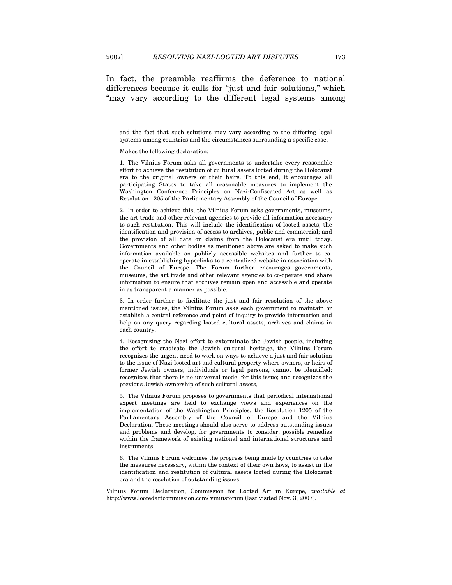$\overline{a}$ 

In fact, the preamble reaffirms the deference to national differences because it calls for "just and fair solutions," which "may vary according to the different legal systems among

and the fact that such solutions may vary according to the differing legal systems among countries and the circumstances surrounding a specific case,

Makes the following declaration:

1. The Vilnius Forum asks all governments to undertake every reasonable effort to achieve the restitution of cultural assets looted during the Holocaust era to the original owners or their heirs. To this end, it encourages all participating States to take all reasonable measures to implement the Washington Conference Principles on Nazi-Confiscated Art as well as Resolution 1205 of the Parliamentary Assembly of the Council of Europe.

2. In order to achieve this, the Vilnius Forum asks governments, museums, the art trade and other relevant agencies to provide all information necessary to such restitution. This will include the identification of looted assets; the identification and provision of access to archives, public and commercial; and the provision of all data on claims from the Holocaust era until today. Governments and other bodies as mentioned above are asked to make such information available on publicly accessible websites and further to cooperate in establishing hyperlinks to a centralized website in association with the Council of Europe. The Forum further encourages governments, museums, the art trade and other relevant agencies to co-operate and share information to ensure that archives remain open and accessible and operate in as transparent a manner as possible.

3. In order further to facilitate the just and fair resolution of the above mentioned issues, the Vilnius Forum asks each government to maintain or establish a central reference and point of inquiry to provide information and help on any query regarding looted cultural assets, archives and claims in each country.

4. Recognizing the Nazi effort to exterminate the Jewish people, including the effort to eradicate the Jewish cultural heritage, the Vilnius Forum recognizes the urgent need to work on ways to achieve a just and fair solution to the issue of Nazi-looted art and cultural property where owners, or heirs of former Jewish owners, individuals or legal persons, cannot be identified; recognizes that there is no universal model for this issue; and recognizes the previous Jewish ownership of such cultural assets,

5. The Vilnius Forum proposes to governments that periodical international expert meetings are held to exchange views and experiences on the implementation of the Washington Principles, the Resolution 1205 of the Parliamentary Assembly of the Council of Europe and the Vilnius Declaration. These meetings should also serve to address outstanding issues and problems and develop, for governments to consider, possible remedies within the framework of existing national and international structures and instruments.

6. The Vilnius Forum welcomes the progress being made by countries to take the measures necessary, within the context of their own laws, to assist in the identification and restitution of cultural assets looted during the Holocaust era and the resolution of outstanding issues.

Vilnius Forum Declaration, Commission for Looted Art in Europe, available at http://www.lootedartcommission.com/ viniusforum (last visited Nov. 3, 2007).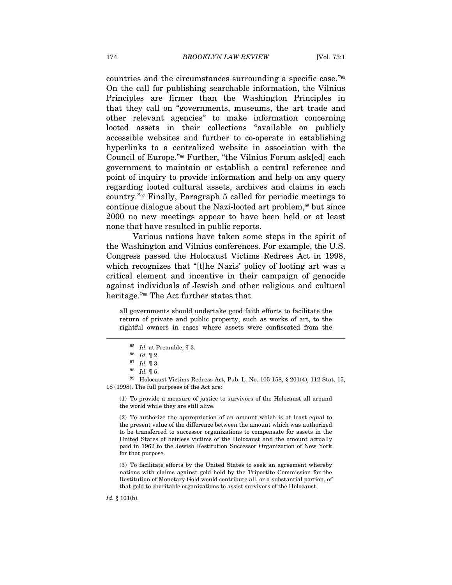countries and the circumstances surrounding a specific case."95 On the call for publishing searchable information, the Vilnius Principles are firmer than the Washington Principles in that they call on "governments, museums, the art trade and other relevant agencies" to make information concerning looted assets in their collections "available on publicly accessible websites and further to co-operate in establishing hyperlinks to a centralized website in association with the Council of Europe."96 Further, "the Vilnius Forum ask[ed] each government to maintain or establish a central reference and point of inquiry to provide information and help on any query regarding looted cultural assets, archives and claims in each country."97 Finally, Paragraph 5 called for periodic meetings to continue dialogue about the Nazi-looted art problem,<sup>98</sup> but since 2000 no new meetings appear to have been held or at least none that have resulted in public reports.

Various nations have taken some steps in the spirit of the Washington and Vilnius conferences. For example, the U.S. Congress passed the Holocaust Victims Redress Act in 1998, which recognizes that "[t]he Nazis' policy of looting art was a critical element and incentive in their campaign of genocide against individuals of Jewish and other religious and cultural heritage."99 The Act further states that

all governments should undertake good faith efforts to facilitate the return of private and public property, such as works of art, to the rightful owners in cases where assets were confiscated from the

 $\overline{a}$ 

<sup>95</sup> Id. at Preamble, ¶ 3.<br><sup>96</sup> Id. ¶ 2.<br><sup>97</sup> Id. ¶ 3.<br><sup>98</sup> Id. ¶ 5.<br><sup>99</sup> Holocaust Victims Redress Act, Pub. L. No. 105-158, § 201(4), 112 Stat. 15, 18 (1998). The full purposes of the Act are:

(1) To provide a measure of justice to survivors of the Holocaust all around the world while they are still alive.

(2) To authorize the appropriation of an amount which is at least equal to the present value of the difference between the amount which was authorized to be transferred to successor organizations to compensate for assets in the United States of heirless victims of the Holocaust and the amount actually paid in 1962 to the Jewish Restitution Successor Organization of New York for that purpose.

(3) To facilitate efforts by the United States to seek an agreement whereby nations with claims against gold held by the Tripartite Commission for the Restitution of Monetary Gold would contribute all, or a substantial portion, of that gold to charitable organizations to assist survivors of the Holocaust.

Id. § 101(b).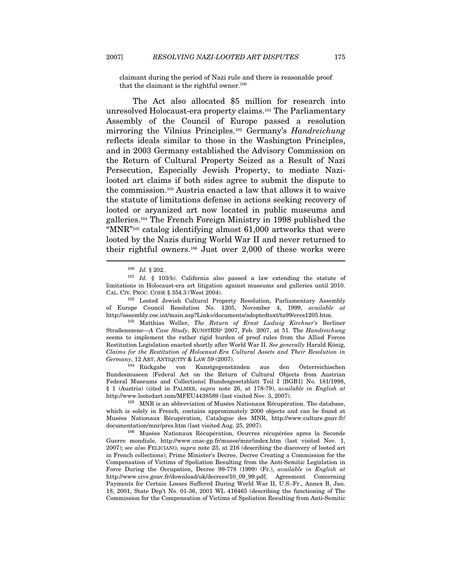claimant during the period of Nazi rule and there is reasonable proof that the claimant is the rightful owner.<sup>100</sup>

The Act also allocated \$5 million for research into unresolved Holocaust-era property claims.101 The Parliamentary Assembly of the Council of Europe passed a resolution mirroring the Vilnius Principles.<sup>102</sup> Germany's *Handreichung* reflects ideals similar to those in the Washington Principles, and in 2003 Germany established the Advisory Commission on the Return of Cultural Property Seized as a Result of Nazi Persecution, Especially Jewish Property, to mediate Nazilooted art claims if both sides agree to submit the dispute to the commission.103 Austria enacted a law that allows it to waive the statute of limitations defense in actions seeking recovery of looted or aryanized art now located in public museums and galleries.104 The French Foreign Ministry in 1998 published the "MNR"105 catalog identifying almost 61,000 artworks that were looted by the Nazis during World War II and never returned to their rightful owners.106 Just over 2,000 of these works were

Germany, 12 ART, ANTIQUITY & LAW 59 (2007).<br><sup>104</sup> Rückgabe von Kunstgegenständen aus den Österreichischen Bundesmuseen [Federal Act on the Return of Cultural Objects from Austrian Federal Museums and Collections] Bundesgesetzblatt Teil I [BGB1] No. 181/1998, § 1 (Austria) (cited in PALMER, supra note 26, at 178-79), available in English at http://www.lootedart.com/MFEU4438589 (last visited Nov. 3, 2007). 105 MNR is an abbreviation of Musées Nationaux Récupération. The database,

which is solely in French, contains approximately 2000 objects and can be found at Musées Nationaux Récupération, Catalogue des MNR, http://www.culture.gouv.fr/ documentation/mnr/pres.htm (last visited Aug. 25, 2007). 106 Musées Nationaux Récupération, Oeuvres récupérées apres la Seconde

 $^{100}$   $Id.$   $\S$   $202.$   $^{101}$   $Id.$   $\S$   $103(b).$  California also passed a law extending the statute of limitations in Holocaust-era art litigation against museums and galleries until 2010. CAL. CIV. PROC. CODE § 354.3 (West 2004). 102 Looted Jewish Cultural Property Resolution, Parliamentary Assembly

of Europe Council Resolution No. 1205, November 4, 1999, available at http://assembly.coe.int/main.asp?Link=/documents/adoptedtext/ta99/eres1205.htm. 103 Matthias Weller, The Return of Ernst Ludwig Kirchner's Berliner

Straßenszene—A Case Study, KUNSTRSP 2007, Feb. 2007, at 51. The Handreichung seems to implement the rather rigid burden of proof rules from the Allied Forces Restitution Legislation enacted shortly after World War II. See generally Harald König, Claims for the Restitution of Holocaust-Era Cultural Assets and Their Resolution in

Guerre mondiale, http://www.cnac-gp.fr/musee/mnr/index.htm (last visited Nov. 1, 2007); see also FELICIANO, supra note 23, at 216 (describing the discovery of looted art in French collections); Prime Minister's Decree, Decree Creating a Commission for the Compensation of Victims of Spoliation Resulting from the Anti-Semitic Legislation in Force During the Occupation, Decree 99-778 (1999) (Fr.), available in English at http://www.civs.gouv.fr/download/uk/decrees/10\_09\_99.pdf; Agreement Concerning Payments for Certain Losses Suffered During World War II, U.S.-Fr., Annex B, Jan. 18, 2001, State Dep't No. 01-36, 2001 WL 416465 (describing the functioning of The Commission for the Compensation of Victims of Spoliation Resulting from Anti-Semitic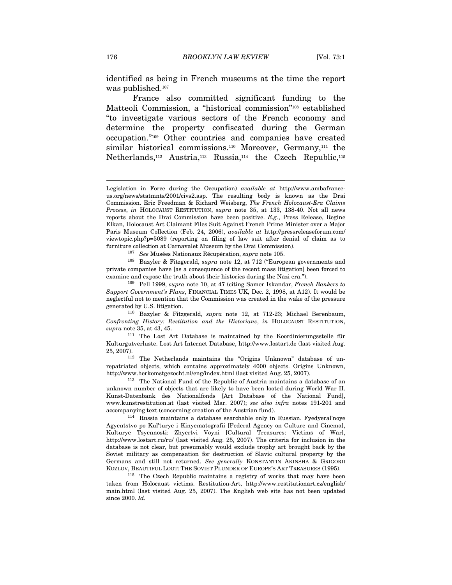identified as being in French museums at the time the report was published.<sup>107</sup>

France also committed significant funding to the Matteoli Commission, a "historical commission"108 established "to investigate various sectors of the French economy and determine the property confiscated during the German occupation."109 Other countries and companies have created similar historical commissions.<sup>110</sup> Moreover, Germany,<sup>111</sup> the Netherlands,<sup>112</sup> Austria,<sup>113</sup> Russia,<sup>114</sup> the Czech Republic,<sup>115</sup>

private companies have [as a consequence of the recent mass litigation] been forced to

examine and expose the truth about their histories during the Nazi era.").<br><sup>109</sup> Pell 1999, *supra* note 10, at 47 (citing Samer Iskandar, *French Bankers to* Support Government's Plans, FINANCIAL TIMES UK, Dec. 2, 1998, at A12). It would be neglectful not to mention that the Commission was created in the wake of the pressure generated by U.S. litigation.<br><sup>110</sup> Bazyler & Fitzgerald, *supra* note 12, at 712-23; Michael Berenbaum,

Confronting History: Restitution and the Historians, in HOLOCAUST RESTITUTION, supra note 35, at 43, 45.

 $111$  The Lost Art Database is maintained by the Koordinierungsstelle für Kulturgutverluste. Lost Art Internet Database, http://www.lostart.de (last visited Aug. 25, 2007). 112 The Netherlands maintains the "Origins Unknown" database of un-

repatriated objects, which contains approximately 4000 objects. Origins Unknown,

http://www.herkomstgezocht.nl/eng/index.html (last visited Aug. 25, 2007). 113 The National Fund of the Republic of Austria maintains a database of an unknown number of objects that are likely to have been looted during World War II. Kunst-Datenbank des Nationalfonds [Art Database of the National Fund], www.kunstrestitution.at (last visited Mar. 2007); see also infra notes 191-201 and accompanying text (concerning creation of the Austrian fund). 114 Russia maintains a database searchable only in Russian. Fyedyeral'noye

Agyentstvo po Kul'turye i Kinyematografii [Federal Agency on Culture and Cinema], Kulturye Tsyennosti: Zhyertvi Voyni [Cultural Treasures: Victims of War], http://www.lostart.ru/ru/ (last visited Aug. 25, 2007). The criteria for inclusion in the database is not clear, but presumably would exclude trophy art brought back by the Soviet military as compensation for destruction of Slavic cultural property by the Germans and still not returned. See generally KONSTANTIN AKINSHA & GRIGORII KOZLOV, BEAUTIFUL LOOT: THE SOVIET PLUNDER OF EUROPE'S ART TREASURES (1995).

115 The Czech Republic maintains a registry of works that may have been taken from Holocaust victims. Restitution-Art, http://www.restitutionart.cz/english/ main.html (last visited Aug. 25, 2007). The English web site has not been updated since 2000. Id.

Legislation in Force during the Occupation) available at http://www.ambafranceus.org/news/statmnts/2001/civs2.asp. The resulting body is known as the Drai Commission. Eric Freedman & Richard Weisberg, The French Holocaust-Era Claims Process, in HOLOCAUST RESTITUTION, supra note 35, at 133, 138-40. Not all news reports about the Drai Commission have been positive. E.g., Press Release, Regine Elkan, Holocaust Art Claimant Files Suit Against French Prime Minister over a Major Paris Museum Collection (Feb. 24, 2006), available at http://pressreleaseforum.com/ viewtopic.php?p=5089 (reporting on filing of law suit after denial of claim as to furniture collection at Carnavalet Museum by the Drai Commission).<br><sup>107</sup> See Musées Nationaux Récupération, *supra* note 105.<br><sup>108</sup> Bazyler & Fitzgerald, *supra* note 12, at 712 ("European governments and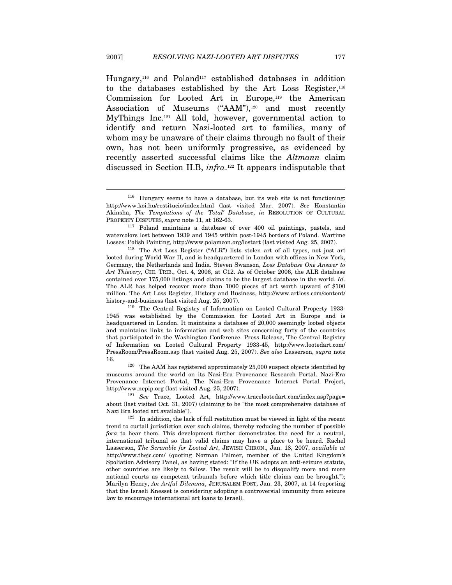Hungary,116 and Poland117 established databases in addition to the databases established by the Art Loss Register,118 Commission for Looted Art in Europe,<sup>119</sup> the American Association of Museums ("AAM"),<sup>120</sup> and most recently MyThings Inc.121 All told, however, governmental action to identify and return Nazi-looted art to families, many of whom may be unaware of their claims through no fault of their own, has not been uniformly progressive, as evidenced by recently asserted successful claims like the Altmann claim discussed in Section II.B, infra.122 It appears indisputable that

<sup>116</sup> Hungary seems to have a database, but its web site is not functioning: http://www.koi.hu/restitucio/index.html (last visited Mar. 2007). See Konstantin Akinsha, The Temptations of the 'Total' Database, in RESOLUTION OF CULTURAL PROPERTY DISPUTES, *supra* note 11, at 162-63.<br><sup>117</sup> Poland maintains a database of over 400 oil paintings, pastels, and

watercolors lost between 1939 and 1945 within post-1945 borders of Poland. Wartime Losses: Polish Painting, http://www.polamcon.org/lostart (last visited Aug. 25, 2007). 118 The Art Loss Register ("ALR") lists stolen art of all types, not just art

looted during World War II, and is headquartered in London with offices in New York, Germany, the Netherlands and India. Steven Swanson, Loss Database One Answer to Art Thievery, CHI. TRIB., Oct. 4, 2006, at C12. As of October 2006, the ALR database contained over 175,000 listings and claims to be the largest database in the world. Id. The ALR has helped recover more than 1000 pieces of art worth upward of \$100 million. The Art Loss Register, History and Business, http://www.artloss.com/content/ history-and-business (last visited Aug. 25, 2007).<br><sup>119</sup> The Central Registry of Information on Looted Cultural Property 1933-

<sup>1945</sup> was established by the Commission for Looted Art in Europe and is headquartered in London. It maintains a database of 20,000 seemingly looted objects and maintains links to information and web sites concerning forty of the countries that participated in the Washington Conference. Press Release, The Central Registry of Information on Looted Cultural Property 1933-45, http://www.lootedart.com/ PressRoom/PressRoom.asp (last visited Aug. 25, 2007). See also Lasserson, supra note 16. 120 The AAM has registered approximately 25,000 suspect objects identified by

museums around the world on its Nazi-Era Provenance Research Portal. Nazi-Era Provenance Internet Portal, The Nazi-Era Provenance Internet Portal Project, http://www.nepip.org (last visited Aug. 25, 2007).<br>
<sup>121</sup> See Trace, Looted Art, http://www.tracelootedart.com/index.asp?page=

about (last visited Oct. 31, 2007) (claiming to be "the most comprehensive database of Nazi Era looted art available"). 122 In addition, the lack of full restitution must be viewed in light of the recent

trend to curtail jurisdiction over such claims, thereby reducing the number of possible fora to hear them. This development further demonstrates the need for a neutral, international tribunal so that valid claims may have a place to be heard. Rachel Lasserson, The Scramble for Looted Art, JEWISH CHRON., Jan. 18, 2007, available at http://www.thejc.com/ (quoting Norman Palmer, member of the United Kingdom's Spoliation Advisory Panel, as having stated: "If the UK adopts an anti-seizure statute, other countries are likely to follow. The result will be to disqualify more and more national courts as competent tribunals before which title claims can be brought."); Marilyn Henry, An Artful Dilemma, JERUSALEM POST, Jan. 23, 2007, at 14 (reporting that the Israeli Knesset is considering adopting a controversial immunity from seizure law to encourage international art loans to Israel).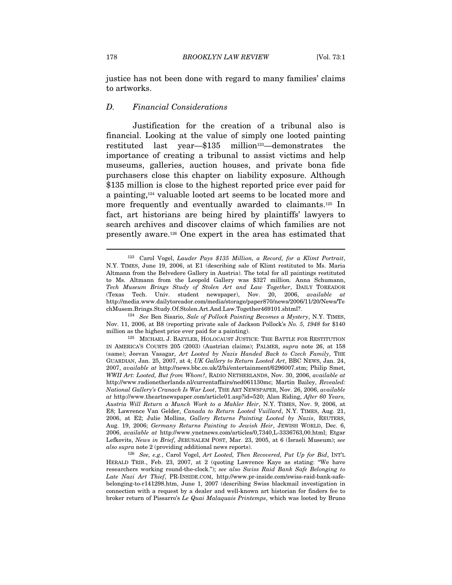justice has not been done with regard to many families' claims to artworks.

### D. Financial Considerations

Justification for the creation of a tribunal also is financial. Looking at the value of simply one looted painting restituted last year—\$135 million<sup>123</sup>—demonstrates the importance of creating a tribunal to assist victims and help museums, galleries, auction houses, and private bona fide purchasers close this chapter on liability exposure. Although \$135 million is close to the highest reported price ever paid for a painting,124 valuable looted art seems to be located more and more frequently and eventually awarded to claimants.125 In fact, art historians are being hired by plaintiffs' lawyers to search archives and discover claims of which families are not presently aware.126 One expert in the area has estimated that

<sup>124</sup> See Ben Sisario, Sale of Pollock Painting Becomes a Mystery, N.Y. TIMES, Nov. 11, 2006, at B8 (reporting private sale of Jackson Pollock's No. 5, 1948 for \$140 million as the highest price ever paid for a painting).  $125$  MICHAEL J. BAZYLER, HOLOCAUST JUSTICE: THE BATTLE FOR RESTITUTION

<sup>&</sup>lt;sup>123</sup> Carol Vogel, Lauder Pays \$135 Million, a Record, for a Klimt Portrait, N.Y. TIMES, June 19, 2006, at E1 (describing sale of Klimt restituted to Ms. Maria Altmann from the Belvedere Gallery in Austria). The total for all paintings restituted to Ms. Altmann from the Leopold Gallery was \$327 million. Anna Schumann, Tech Museum Brings Study of Stolen Art and Law Together, DAILY TOREADOR (Texas Tech. Univ. student newspaper), Nov. 20, 2006, available at http://media.www.dailytoreador.com/media/storage/paper870/news/2006/11/20/News/Te

IN AMERICA'S COURTS 205 (2003) (Austrian claims); PALMER, supra note 26, at 158 (same); Jeevan Vasagar, Art Looted by Nazis Handed Back to Czech Family, THE GUARDIAN, Jan. 25, 2007, at 4; UK Gallery to Return Looted Art, BBC NEWS, Jan. 24, 2007, available at http://news.bbc.co.uk/2/hi/entertainment/6296007.stm; Philip Smet, WWII Art: Looted, But from Whom?, RADIO NETHERLANDS, Nov. 30, 2006, available at http://www.radionetherlands.nl/currentaffairs/ned061130mc; Martin Bailey, Revealed: National Gallery's Cranach Is War Loot, THE ART NEWSPAPER, Nov. 26, 2006, available at http://www.theartnewspaper.com/article01.asp?id=520; Alan Riding, After 60 Years, Austria Will Return a Munch Work to a Mahler Heir, N.Y. TIMES, Nov. 9, 2006, at E8; Lawrence Van Gelder, Canada to Return Looted Vuillard, N.Y. TIMES, Aug. 21, 2006, at E2; Julie Mollins, Gallery Returns Painting Looted by Nazis, REUTERS, Aug. 19, 2006; Germany Returns Painting to Jewish Heir, JEWISH WORLD, Dec. 6, 2006, available at http://www.ynetnews.com/articles/0,7340,L-3336763,00.html; Etgar Lefkovits, News in Brief, JERUSALEM POST, Mar. 23, 2005, at 6 (Israeli Museum); see

also supra note 2 (providing additional news reports).<br><sup>126</sup> See, e.g., Carol Vogel, Art Looted, Then Recovered, Put Up for Bid, INT'L HERALD TRIB., Feb. 23, 2007, at 2 (quoting Lawrence Kaye as stating: "We have researchers working round-the-clock."); see also Swiss Raid Bank Safe Belonging to Late Nazi Art Thief, PR-INSIDE.COM, http://www.pr-inside.com/swiss-raid-bank-safebelonging-to-r141298.htm, June 1, 2007 (describing Swiss blackmail investigation in connection with a request by a dealer and well-known art historian for finders fee to broker return of Pissarro's Le Quai Malaquais Printemps, which was looted by Bruno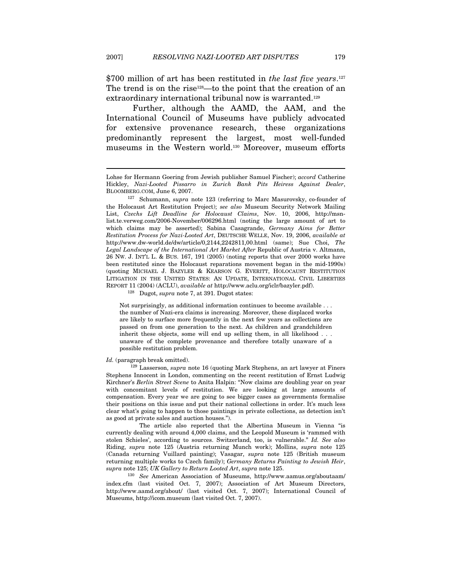\$700 million of art has been restituted in the last five years. $127$ The trend is on the rise<sup>128</sup>—to the point that the creation of an extraordinary international tribunal now is warranted.<sup>129</sup>

Further, although the AAMD, the AAM, and the International Council of Museums have publicly advocated for extensive provenance research, these organizations predominantly represent the largest, most well-funded museums in the Western world.130 Moreover, museum efforts

Not surprisingly, as additional information continues to become available . . . the number of Nazi-era claims is increasing. Moreover, these displaced works are likely to surface more frequently in the next few years as collections are passed on from one generation to the next. As children and grandchildren inherit these objects, some will end up selling them, in all likelihood . . . unaware of the complete provenance and therefore totally unaware of a possible restitution problem.

Id. (paragraph break omitted).

 $\overline{a}$ 

<sup>129</sup> Lasserson, *supra* note 16 (quoting Mark Stephens, an art lawyer at Finers Stephens Innocent in London, commenting on the recent restitution of Ernst Ludwig Kirchner's Berlin Street Scene to Anita Halpin: "Now claims are doubling year on year with concomitant levels of restitution. We are looking at large amounts of compensation. Every year we are going to see bigger cases as governments formalise their positions on this issue and put their national collections in order. It's much less clear what's going to happen to those paintings in private collections, as detection isn't as good at private sales and auction houses.").

 The article also reported that the Albertina Museum in Vienna "is currently dealing with around 4,000 claims, and the Leopold Museum is 'rammed with stolen Schieles', according to sources. Switzerland, too, is vulnerable." Id. See also Riding, supra note 125 (Austria returning Munch work); Mollins, supra note 125 (Canada returning Vuillard painting); Vasagar, supra note 125 (British museum returning multiple works to Czech family); Germany Returns Painting to Jewish Heir, supra note 125; UK Gallery to Return Looted Art, supra note 125.<br><sup>130</sup> See American Association of Museums, http://www.aamus.org/aboutaam/

index.cfm (last visited Oct. 7, 2007); Association of Art Museum Directors, http://www.aamd.org/about/ (last visited Oct. 7, 2007); International Council of Museums, http://icom.museum (last visited Oct. 7, 2007).

Lohse for Hermann Goering from Jewish publisher Samuel Fischer); accord Catherine Hickley, Nazi-Looted Pissarro in Zurich Bank Pits Heiress Against Dealer, BLOOMBERG.COM, June 6, 2007.<br><sup>127</sup> Schumann, *supra* note 123 (referring to Marc Masurovsky, co-founder of

the Holocaust Art Restitution Project); see also Museum Security Network Mailing List, Czechs Lift Deadline for Holocaust Claims, Nov. 10, 2006, http://msnlist.te.verweg.com/2006-November/006296.html (noting the large amount of art to which claims may be asserted); Sabina Casagrande, Germany Aims for Better Restitution Process for Nazi-Looted Art, DEUTSCHE WELLE, Nov. 19, 2006, available at http://www.dw-world.de/dw/article/0,2144,2242811,00.html (same); Sue Choi, The Legal Landscape of the International Art Market After Republic of Austria v. Altmann, 26 NW. J. INT'L L. & BUS. 167, 191 (2005) (noting reports that over 2000 works have been restituted since the Holocaust reparations movement began in the mid-1990s) (quoting MICHAEL J. BAZYLER & KEARSON G. EVERITT, HOLOCAUST RESTITUTION LITIGATION IN THE UNITED STATES: AN UPDATE, INTERNATIONAL CIVIL LIBERTIES REPORT 11 (2004) (ACLU), available at http://www.aclu.org/iclr/bazyler.pdf). 128 Dugot, supra note 7, at 391. Dugot states: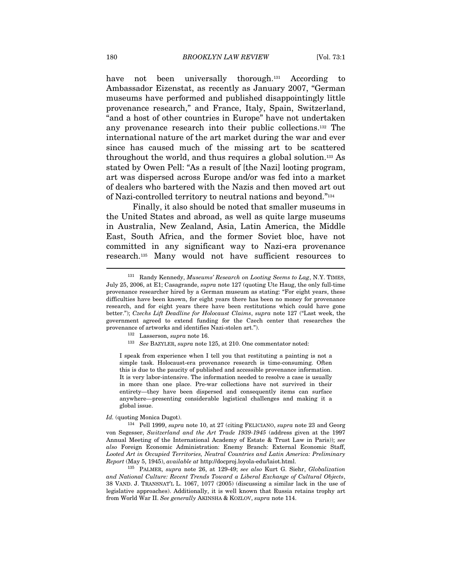have not been universally thorough.<sup>131</sup> According to Ambassador Eizenstat, as recently as January 2007, "German museums have performed and published disappointingly little provenance research," and France, Italy, Spain, Switzerland, "and a host of other countries in Europe" have not undertaken any provenance research into their public collections.132 The international nature of the art market during the war and ever since has caused much of the missing art to be scattered throughout the world, and thus requires a global solution.133 As stated by Owen Pell: "As a result of [the Nazi] looting program, art was dispersed across Europe and/or was fed into a market of dealers who bartered with the Nazis and then moved art out of Nazi-controlled territory to neutral nations and beyond."134

Finally, it also should be noted that smaller museums in the United States and abroad, as well as quite large museums in Australia, New Zealand, Asia, Latin America, the Middle East, South Africa, and the former Soviet bloc, have not committed in any significant way to Nazi-era provenance research.135 Many would not have sufficient resources to

- 
- <sup>133</sup> See BAZYLER, supra note 125, at 210. One commentator noted:

I speak from experience when I tell you that restituting a painting is not a simple task. Holocaust-era provenance research is time-consuming. Often this is due to the paucity of published and accessible provenance information. It is very labor-intensive. The information needed to resolve a case is usually in more than one place. Pre-war collections have not survived in their entirety—they have been dispersed and consequently items can surface anywhere—presenting considerable logistical challenges and making it a global issue.

Id. (quoting Monica Dugot).<br><sup>134</sup> Pell 1999, *supra* note 10, at 27 (citing FELICIANO, *supra* note 23 and Georg von Segesser, Switzerland and the Art Trade 1939-1945 (address given at the 1997 Annual Meeting of the International Academy of Estate & Trust Law in Paris)); see also Foreign Economic Administration: Enemy Branch: External Economic Staff, Looted Art in Occupied Territories, Neutral Countries and Latin America: Preliminary Report (May 5, 1945), available at http://docproj.loyola-edu/laiot.html. 135 PALMER, supra note 26, at 129-49; see also Kurt G. Siehr, Globalization

and National Culture: Recent Trends Toward a Liberal Exchange of Cultural Objects, 38 VAND. J. TRANSNAT'L L. 1067, 1077 (2005) (discussing a similar lack in the use of legislative approaches). Additionally, it is well known that Russia retains trophy art from World War II. See generally AKINSHA & KOZLOV, supra note 114.

<sup>&</sup>lt;sup>131</sup> Randy Kennedy, *Museums' Research on Looting Seems to Lag*, N.Y. TIMES, July 25, 2006, at E1; Casagrande, supra note 127 (quoting Ute Haug, the only full-time provenance researcher hired by a German museum as stating: "For eight years, these difficulties have been known, for eight years there has been no money for provenance research, and for eight years there have been restitutions which could have gone better."); Czechs Lift Deadline for Holocaust Claims, supra note 127 ("Last week, the government agreed to extend funding for the Czech center that researches the provenance of artworks and identifies Nazi-stolen art."). 132 Lasserson, supra note 16.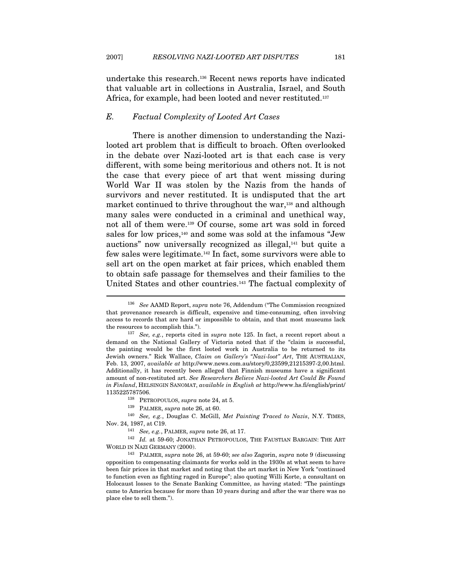undertake this research.136 Recent news reports have indicated that valuable art in collections in Australia, Israel, and South Africa, for example, had been looted and never restituted.<sup>137</sup>

### E. Factual Complexity of Looted Art Cases

There is another dimension to understanding the Nazilooted art problem that is difficult to broach. Often overlooked in the debate over Nazi-looted art is that each case is very different, with some being meritorious and others not. It is not the case that every piece of art that went missing during World War II was stolen by the Nazis from the hands of survivors and never restituted. It is undisputed that the art market continued to thrive throughout the war,<sup>138</sup> and although many sales were conducted in a criminal and unethical way, not all of them were.139 Of course, some art was sold in forced sales for low prices,<sup>140</sup> and some was sold at the infamous "Jew auctions" now universally recognized as illegal,141 but quite a few sales were legitimate.142 In fact, some survivors were able to sell art on the open market at fair prices, which enabled them to obtain safe passage for themselves and their families to the United States and other countries.143 The factual complexity of

<sup>136</sup> See AAMD Report, supra note 76, Addendum ("The Commission recognized that provenance research is difficult, expensive and time-consuming, often involving access to records that are hard or impossible to obtain, and that most museums lack the resources to accomplish this.").

 $137$  See, e.g., reports cited in supra note 125. In fact, a recent report about a demand on the National Gallery of Victoria noted that if the "claim is successful, the painting would be the first looted work in Australia to be returned to its Jewish owners." Rick Wallace, Claim on Gallery's "Nazi-loot" Art, THE AUSTRALIAN, Feb. 13, 2007, available at http://www.news.com.au/story/0,23599,21215397-2,00.html. Additionally, it has recently been alleged that Finnish museums have a significant amount of non-restituted art. See Researchers Believe Nazi-looted Art Could Be Found in Finland, HELSINGIN SANOMAT, available in English at http://www.hs.fi/english/print/ 1135225787506.<br><sup>138</sup> PETROPOULOS, *supra* note 24, at 5.<br><sup>139</sup> PALMER, *supra* note 26, at 60.<br><sup>140</sup> See, e.g., Douglas C. McGill, *Met Painting Traced to Nazis*, N.Y. TIMES,

Nov. 24, 1987, at C19.<br>
<sup>141</sup> See, e.g., PALMER, supra note 26, at 17.<br>
<sup>142</sup> Id. at 59-60; JONATHAN PETROPOULOS, THE FAUSTIAN BARGAIN: THE ART WORLD IN NAZI GERMANY (2000).

<sup>&</sup>lt;sup>143</sup> PALMER, supra note 26, at 59-60; see also Zagorin, supra note 9 (discussing opposition to compensating claimants for works sold in the 1930s at what seem to have been fair prices in that market and noting that the art market in New York "continued to function even as fighting raged in Europe"; also quoting Willi Korte, a consultant on Holocaust losses to the Senate Banking Committee, as having stated: "The paintings came to America because for more than 10 years during and after the war there was no place else to sell them.").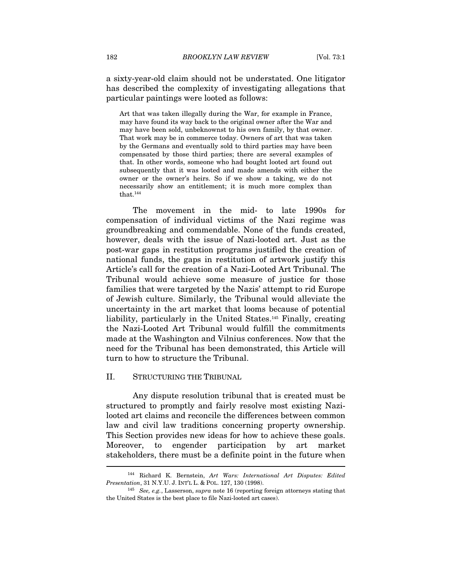a sixty-year-old claim should not be understated. One litigator has described the complexity of investigating allegations that particular paintings were looted as follows:

Art that was taken illegally during the War, for example in France, may have found its way back to the original owner after the War and may have been sold, unbeknownst to his own family, by that owner. That work may be in commerce today. Owners of art that was taken by the Germans and eventually sold to third parties may have been compensated by those third parties; there are several examples of that. In other words, someone who had bought looted art found out subsequently that it was looted and made amends with either the owner or the owner's heirs. So if we show a taking, we do not necessarily show an entitlement; it is much more complex than that. $144$ 

The movement in the mid- to late 1990s for compensation of individual victims of the Nazi regime was groundbreaking and commendable. None of the funds created, however, deals with the issue of Nazi-looted art. Just as the post-war gaps in restitution programs justified the creation of national funds, the gaps in restitution of artwork justify this Article's call for the creation of a Nazi-Looted Art Tribunal. The Tribunal would achieve some measure of justice for those families that were targeted by the Nazis' attempt to rid Europe of Jewish culture. Similarly, the Tribunal would alleviate the uncertainty in the art market that looms because of potential liability, particularly in the United States.145 Finally, creating the Nazi-Looted Art Tribunal would fulfill the commitments made at the Washington and Vilnius conferences. Now that the need for the Tribunal has been demonstrated, this Article will turn to how to structure the Tribunal.

### II. STRUCTURING THE TRIBUNAL

Any dispute resolution tribunal that is created must be structured to promptly and fairly resolve most existing Nazilooted art claims and reconcile the differences between common law and civil law traditions concerning property ownership. This Section provides new ideas for how to achieve these goals. Moreover, to engender participation by art market stakeholders, there must be a definite point in the future when  $\overline{a}$ 

 $^{144}$  Richard K. Bernstein, Art Wars: International Art Disputes: Edited Presentation,  $31$  N.Y.U. J. INT'L L. & POL. 127, 130 (1998).

 $^{145}\,$  See, e.g., Lasserson, supra note 16 (reporting foreign attorneys stating that the United States is the best place to file Nazi-looted art cases).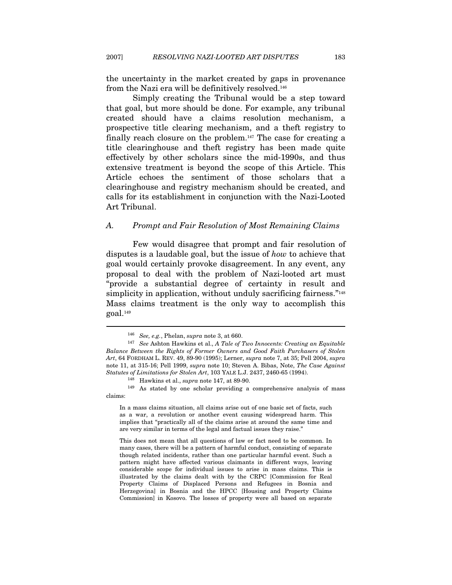the uncertainty in the market created by gaps in provenance from the Nazi era will be definitively resolved.146

Simply creating the Tribunal would be a step toward that goal, but more should be done. For example, any tribunal created should have a claims resolution mechanism, a prospective title clearing mechanism, and a theft registry to finally reach closure on the problem.147 The case for creating a title clearinghouse and theft registry has been made quite effectively by other scholars since the mid-1990s, and thus extensive treatment is beyond the scope of this Article. This Article echoes the sentiment of those scholars that a clearinghouse and registry mechanism should be created, and calls for its establishment in conjunction with the Nazi-Looted Art Tribunal.

### A. Prompt and Fair Resolution of Most Remaining Claims

Few would disagree that prompt and fair resolution of disputes is a laudable goal, but the issue of how to achieve that goal would certainly provoke disagreement. In any event, any proposal to deal with the problem of Nazi-looted art must "provide a substantial degree of certainty in result and simplicity in application, without unduly sacrificing fairness."<sup>148</sup> Mass claims treatment is the only way to accomplish this goal.149

 $\overline{a}$ 

This does not mean that all questions of law or fact need to be common. In many cases, there will be a pattern of harmful conduct, consisting of separate though related incidents, rather than one particular harmful event. Such a pattern might have affected various claimants in different ways, leaving considerable scope for individual issues to arise in mass claims. This is illustrated by the claims dealt with by the CRPC [Commission for Real Property Claims of Displaced Persons and Refugees in Bosnia and Herzegovina] in Bosnia and the HPCC [Housing and Property Claims Commission] in Kosovo. The losses of property were all based on separate

 $146$  See, e.g., Phelan, supra note 3, at 660.

 $147$  See Ashton Hawkins et al., A Tale of Two Innocents: Creating an Equitable Balance Between the Rights of Former Owners and Good Faith Purchasers of Stolen Art, 64 FORDHAM L. REV. 49, 89-90 (1995); Lerner, supra note 7, at 35; Pell 2004, supra note 11, at 315-16; Pell 1999, supra note 10; Steven A. Bibas, Note, The Case Against Statutes of Limitations for Stolen Art, 103 YALE L.J. 2437, 2460-65 (1994).<br><sup>148</sup> Hawkins et al., *supra* note 147, at 89-90.<br><sup>149</sup> As stated by one scholar providing a comprehensive analysis of mass

claims:

In a mass claims situation, all claims arise out of one basic set of facts, such as a war, a revolution or another event causing widespread harm. This implies that "practically all of the claims arise at around the same time and are very similar in terms of the legal and factual issues they raise."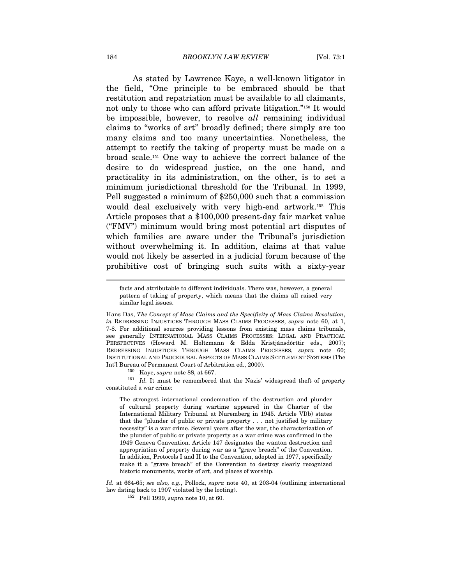As stated by Lawrence Kaye, a well-known litigator in the field, "One principle to be embraced should be that restitution and repatriation must be available to all claimants, not only to those who can afford private litigation."150 It would be impossible, however, to resolve all remaining individual claims to "works of art" broadly defined; there simply are too many claims and too many uncertainties. Nonetheless, the attempt to rectify the taking of property must be made on a broad scale.151 One way to achieve the correct balance of the desire to do widespread justice, on the one hand, and practicality in its administration, on the other, is to set a minimum jurisdictional threshold for the Tribunal. In 1999, Pell suggested a minimum of \$250,000 such that a commission would deal exclusively with very high-end artwork.152 This Article proposes that a \$100,000 present-day fair market value ("FMV") minimum would bring most potential art disputes of which families are aware under the Tribunal's jurisdiction without overwhelming it. In addition, claims at that value would not likely be asserted in a judicial forum because of the prohibitive cost of bringing such suits with a sixty-year

constituted a war crime:

The strongest international condemnation of the destruction and plunder of cultural property during wartime appeared in the Charter of the International Military Tribunal at Nuremberg in 1945. Article VI(b) states that the "plunder of public or private property . . . not justified by military necessity" is a war crime. Several years after the war, the characterization of the plunder of public or private property as a war crime was confirmed in the 1949 Geneva Convention. Article 147 designates the wanton destruction and appropriation of property during war as a "grave breach" of the Convention. In addition, Protocols I and II to the Convention, adopted in 1977, specifically make it a "grave breach" of the Convention to destroy clearly recognized historic monuments, works of art, and places of worship.

Id. at 664-65; see also, e.g., Pollock, supra note 40, at 203-04 (outlining international law dating back to 1907 violated by the looting).<br> $^{152}$  Pell 1999, supra note 10, at 60.

facts and attributable to different individuals. There was, however, a general pattern of taking of property, which means that the claims all raised very similar legal issues.

Hans Das, The Concept of Mass Claims and the Specificity of Mass Claims Resolution, in REDRESSING INJUSTICES THROUGH MASS CLAIMS PROCESSES, supra note 60, at 1, 7-8. For additional sources providing lessons from existing mass claims tribunals, see generally INTERNATIONAL MASS CLAIMS PROCESSES: LEGAL AND PRACTICAL PERSPECTIVES (Howard M. Holtzmann & Edda Kristjánsdórttir eds., 2007); REDRESSING INJUSTICES THROUGH MASS CLAIMS PROCESSES, supra note 60; INSTITUTIONAL AND PROCEDURAL ASPECTS OF MASS CLAIMS SETTLEMENT SYSTEMS (The Int'l Bureau of Permanent Court of Arbitration ed., 2000).<br><sup>150</sup> Kaye, *supra* note 88, at 667.<br><sup>151</sup> Id. It must be remembered that the Nazis' widespread theft of property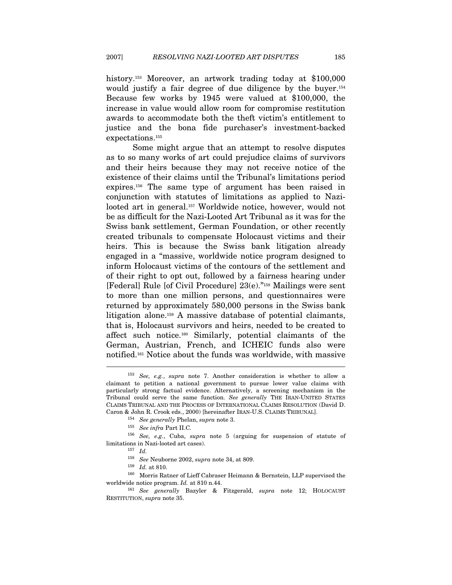history.<sup>153</sup> Moreover, an artwork trading today at \$100,000 would justify a fair degree of due diligence by the buyer.154 Because few works by 1945 were valued at \$100,000, the increase in value would allow room for compromise restitution awards to accommodate both the theft victim's entitlement to justice and the bona fide purchaser's investment-backed expectations.155

Some might argue that an attempt to resolve disputes as to so many works of art could prejudice claims of survivors and their heirs because they may not receive notice of the existence of their claims until the Tribunal's limitations period expires.156 The same type of argument has been raised in conjunction with statutes of limitations as applied to Nazilooted art in general.<sup>157</sup> Worldwide notice, however, would not be as difficult for the Nazi-Looted Art Tribunal as it was for the Swiss bank settlement, German Foundation, or other recently created tribunals to compensate Holocaust victims and their heirs. This is because the Swiss bank litigation already engaged in a "massive, worldwide notice program designed to inform Holocaust victims of the contours of the settlement and of their right to opt out, followed by a fairness hearing under [Federal] Rule [of Civil Procedure] 23(e)."158 Mailings were sent to more than one million persons, and questionnaires were returned by approximately 580,000 persons in the Swiss bank litigation alone.159 A massive database of potential claimants, that is, Holocaust survivors and heirs, needed to be created to affect such notice.160 Similarly, potential claimants of the German, Austrian, French, and ICHEIC funds also were notified.161 Notice about the funds was worldwide, with massive

 $^{160}\;$  Morris Ratner of Lieff Cabraser Heimann & Bernstein, LLP supervised the worldwide notice program. Id. at 810 n.44.<br><sup>161</sup> See generally Bazyler & Fitzgerald, supra note 12; HOLOCAUST

<sup>153</sup> See, e.g., supra note 7. Another consideration is whether to allow a claimant to petition a national government to pursue lower value claims with particularly strong factual evidence. Alternatively, a screening mechanism in the Tribunal could serve the same function. See generally THE IRAN-UNITED STATES CLAIMS TRIBUNAL AND THE PROCESS OF INTERNATIONAL CLAIMS RESOLUTION (David D. Caron & John R. Crook eds., 2000) [hereinafter IRAN-U.S. CLAIMS TRIBUNAL].<br><sup>154</sup> See generally Phelan, supra note 3.

 $^{155}\;$  See in<br>fra Part II.C.

<sup>156</sup> See, e.g., Cuba, supra note 5 (arguing for suspension of statute of limitations in Nazi-looted art cases). 157  $Id$ .<br>158 See Neuborne 2002, supra note 34, at 809.<br>159  $Id$ . at 810.

RESTITUTION, supra note 35.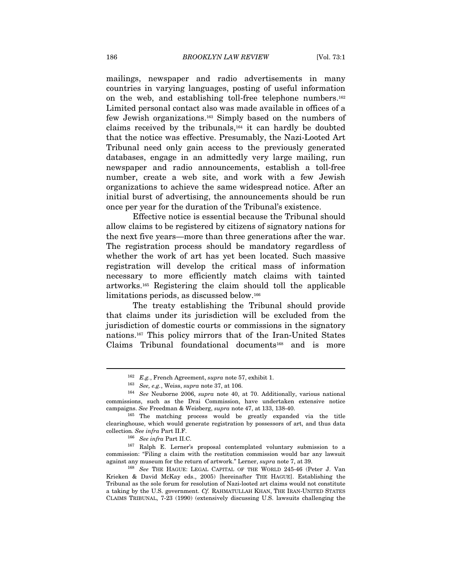mailings, newspaper and radio advertisements in many countries in varying languages, posting of useful information on the web, and establishing toll-free telephone numbers.162 Limited personal contact also was made available in offices of a few Jewish organizations.163 Simply based on the numbers of claims received by the tribunals,164 it can hardly be doubted that the notice was effective. Presumably, the Nazi-Looted Art Tribunal need only gain access to the previously generated databases, engage in an admittedly very large mailing, run newspaper and radio announcements, establish a toll-free number, create a web site, and work with a few Jewish organizations to achieve the same widespread notice. After an initial burst of advertising, the announcements should be run once per year for the duration of the Tribunal's existence.

Effective notice is essential because the Tribunal should allow claims to be registered by citizens of signatory nations for the next five years—more than three generations after the war. The registration process should be mandatory regardless of whether the work of art has yet been located. Such massive registration will develop the critical mass of information necessary to more efficiently match claims with tainted artworks.165 Registering the claim should toll the applicable limitations periods, as discussed below.<sup>166</sup>

The treaty establishing the Tribunal should provide that claims under its jurisdiction will be excluded from the jurisdiction of domestic courts or commissions in the signatory nations.167 This policy mirrors that of the Iran-United States Claims Tribunal foundational documents<sup>168</sup> and is more

<sup>&</sup>lt;sup>162</sup> E.g., French Agreement, *supra* note 57, exhibit 1.<br><sup>163</sup> See, e.g., Weiss, *supra* note 37, at 106.<br><sup>164</sup> See Neuborne 2006, *supra* note 40, at 70. Additionally, various national commissions, such as the Drai Commission, have undertaken extensive notice campaigns. See Freedman & Weisberg,  $supra$  note 47, at 133, 138-40.

 $165$  The matching process would be greatly expanded via the title clearinghouse, which would generate registration by possessors of art, and thus data collection. See infra Part II.F. 166 See infra Part II.C. 166 See infra Part II.C. 167 Ralph E. Lerner's proposal contemplated voluntary submission to a

commission: "Filing a claim with the restitution commission would bar any lawsuit against any museum for the return of artwork." Lerner, *supra* note 7, at 39.<br><sup>168</sup> See THE HAGUE: LEGAL CAPITAL OF THE WORLD 245-46 (Peter J. Van

Krieken & David McKay eds., 2005) [hereinafter THE HAGUE]. Establishing the Tribunal as the sole forum for resolution of Nazi-looted art claims would not constitute a taking by the U.S. government. Cf. RAHMATULLAH KHAN, THE IRAN-UNITED STATES CLAIMS TRIBUNAL, 7-23 (1990) (extensively discussing U.S. lawsuits challenging the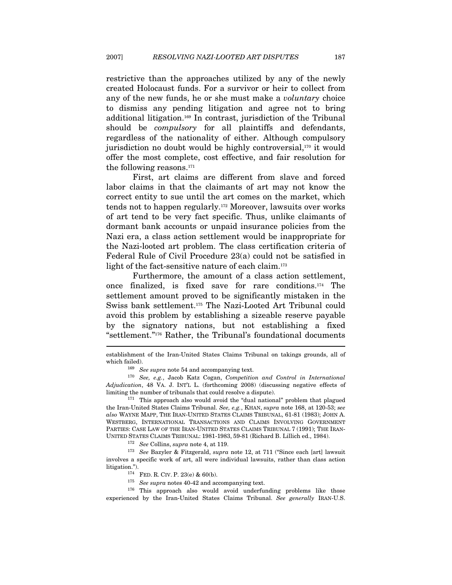restrictive than the approaches utilized by any of the newly created Holocaust funds. For a survivor or heir to collect from any of the new funds, he or she must make a voluntary choice to dismiss any pending litigation and agree not to bring additional litigation.169 In contrast, jurisdiction of the Tribunal should be *compulsory* for all plaintiffs and defendants, regardless of the nationality of either. Although compulsory jurisdiction no doubt would be highly controversial,170 it would offer the most complete, cost effective, and fair resolution for the following reasons.171

First, art claims are different from slave and forced labor claims in that the claimants of art may not know the correct entity to sue until the art comes on the market, which tends not to happen regularly.172 Moreover, lawsuits over works of art tend to be very fact specific. Thus, unlike claimants of dormant bank accounts or unpaid insurance policies from the Nazi era, a class action settlement would be inappropriate for the Nazi-looted art problem. The class certification criteria of Federal Rule of Civil Procedure 23(a) could not be satisfied in light of the fact-sensitive nature of each claim.<sup>173</sup>

Furthermore, the amount of a class action settlement, once finalized, is fixed save for rare conditions.174 The settlement amount proved to be significantly mistaken in the Swiss bank settlement.175 The Nazi-Looted Art Tribunal could avoid this problem by establishing a sizeable reserve payable by the signatory nations, but not establishing a fixed "settlement."176 Rather, the Tribunal's foundational documents

establishment of the Iran-United States Claims Tribunal on takings grounds, all of which failed).<br><sup>169</sup> See supra note 54 and accompanying text.

<sup>170</sup> See, e.g., Jacob Katz Cogan, Competition and Control in International Adjudication, 48 VA. J. INT'L L. (forthcoming 2008) (discussing negative effects of limiting the number of tribunals that could resolve a dispute).

 $171$  This approach also would avoid the "dual national" problem that plagued the Iran-United States Claims Tribunal. See, e.g., KHAN, supra note 168, at 120-53; see also WAYNE MAPP, THE IRAN-UNITED STATES CLAIMS TRIBUNAL, 61-81 (1983); JOHN A. WESTBERG, INTERNATIONAL TRANSACTIONS AND CLAIMS INVOLVING GOVERNMENT PARTIES: CASE LAW OF THE IRAN-UNITED STATES CLAIMS TRIBUNAL 7 (1991); THE IRAN-UNITED STATES CLAIMS TRIBUNAL: 1981-1983, 59-81 (Richard B. Lillich ed., 1984).<br><sup>172</sup> See Collins, supra note 4, at 119.<br><sup>173</sup> See Bazyler & Fitzgerald, supra note 12, at 711 ("Since each [art] lawsuit

involves a specific work of art, all were individual lawsuits, rather than class action

<sup>&</sup>lt;sup>174</sup> FED. R. CIV. P. 23(e) & 60(b). <sup>175</sup> See supra notes 40-42 and accompanying text. <sup>176</sup> This approach also would avoid underfunding problems like those experienced by the Iran-United States Claims Tribunal. See generally IRAN-U.S.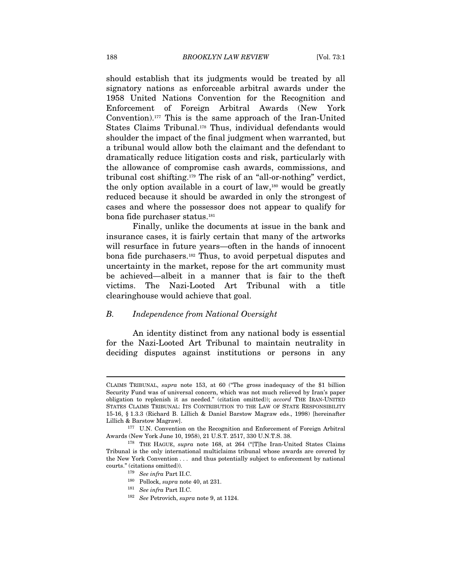should establish that its judgments would be treated by all signatory nations as enforceable arbitral awards under the 1958 United Nations Convention for the Recognition and Enforcement of Foreign Arbitral Awards (New York Convention).177 This is the same approach of the Iran-United States Claims Tribunal.178 Thus, individual defendants would shoulder the impact of the final judgment when warranted, but a tribunal would allow both the claimant and the defendant to dramatically reduce litigation costs and risk, particularly with the allowance of compromise cash awards, commissions, and tribunal cost shifting.179 The risk of an "all-or-nothing" verdict, the only option available in a court of law,180 would be greatly reduced because it should be awarded in only the strongest of cases and where the possessor does not appear to qualify for bona fide purchaser status.181

Finally, unlike the documents at issue in the bank and insurance cases, it is fairly certain that many of the artworks will resurface in future years—often in the hands of innocent bona fide purchasers.182 Thus, to avoid perpetual disputes and uncertainty in the market, repose for the art community must be achieved—albeit in a manner that is fair to the theft victims. The Nazi-Looted Art Tribunal with a title clearinghouse would achieve that goal.

### B. Independence from National Oversight

An identity distinct from any national body is essential for the Nazi-Looted Art Tribunal to maintain neutrality in deciding disputes against institutions or persons in any

CLAIMS TRIBUNAL, supra note 153, at 60 ("The gross inadequacy of the \$1 billion Security Fund was of universal concern, which was not much relieved by Iran's paper obligation to replenish it as needed." (citation omitted)); accord THE IRAN-UNITED STATES CLAIMS TRIBUNAL: ITS CONTRIBUTION TO THE LAW OF STATE RESPONSIBILITY 15-16, § 1.3.3 (Richard B. Lillich & Daniel Barstow Magraw eds., 1998) [hereinafter Lillich & Barstow Magraw].<br><sup>177</sup> U.N. Convention on the Recognition and Enforcement of Foreign Arbitral

Awards (New York June 10, 1958), 21 U.S.T. 2517, 330 U.N.T.S. 38.<br><sup>178</sup> THE HAGUE, *supra* note 168, at 264 ("[T]he Iran-United States Claims

Tribunal is the only international multiclaims tribunal whose awards are covered by the New York Convention . . . and thus potentially subject to enforcement by national courts." (citations omitted)).  $179$  See infra Part II.C.

<sup>&</sup>lt;sup>180</sup> Pollock, *supra* note 40, at 231.<br><sup>181</sup> See infra Part II.C.<br><sup>182</sup> See Petrovich, *supra* note 9, at 1124.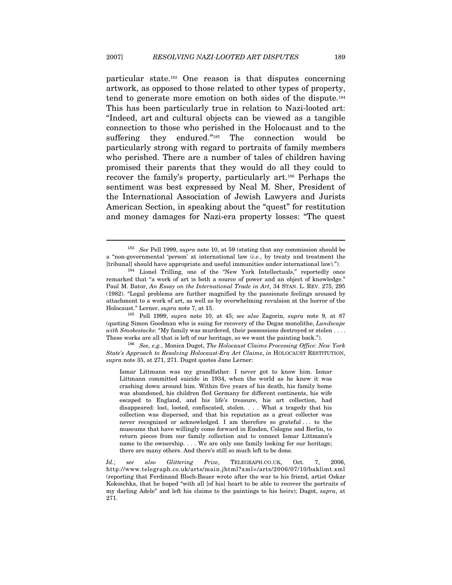particular state.183 One reason is that disputes concerning artwork, as opposed to those related to other types of property, tend to generate more emotion on both sides of the dispute.184 This has been particularly true in relation to Nazi-looted art: "Indeed, art and cultural objects can be viewed as a tangible connection to those who perished in the Holocaust and to the suffering they endured."<sup>185</sup> The connection would be particularly strong with regard to portraits of family members who perished. There are a number of tales of children having promised their parents that they would do all they could to recover the family's property, particularly art.186 Perhaps the sentiment was best expressed by Neal M. Sher, President of the International Association of Jewish Lawyers and Jurists American Section, in speaking about the "quest" for restitution and money damages for Nazi-era property losses: "The quest

 $\overline{a}$ 

(quoting Simon Goodman who is suing for recovery of the Degas monolithe, Landscape with Smokestacks: "My family was murdered, their possessions destroyed or stolen . . . . These works are all that is left of our heritage, so we want the painting back.").<br><sup>186</sup> See, e.g., Monica Dugot, The Holocaust Claims Processing Office: New York

State's Approach to Resolving Holocaust-Era Art Claims, in HOLOCAUST RESTITUTION, supra note 35, at 271, 271. Dugot quotes Jane Lerner:

Ismar Littmann was my grandfather. I never got to know him. Ismar Littmann committed suicide in 1934, when the world as he knew it was crashing down around him. Within five years of his death, his family home was abandoned, his children fled Germany for different continents, his wife escaped to England, and his life's treasure, his art collection, had disappeared: lost, looted, confiscated, stolen. . . . What a tragedy that his collection was dispersed, and that his reputation as a great collector was never recognized or acknowledged. I am therefore so grateful . . . to the museums that have willingly come forward in Emden, Cologne and Berlin, to return pieces from our family collection and to connect Ismar Littmann's name to the ownership. . . . We are only one family looking for our heritage; there are many others. And there's still so much left to be done.

Id.; see also Glittering Prize, TELEGRAPH.CO.UK, Oct. 7, 2006, http://www.telegraph.co.uk/arts/main.jhtml?xml=/arts/2006/07/10/baklimt.xml (reporting that Ferdinand Bloch-Bauer wrote after the war to his friend, artist Oskar Kokoschka, that he hoped "with all [of his] heart to be able to recover the portraits of my darling Adele" and left his claims to the paintings to his heirs); Dugot, supra, at 271.

<sup>&</sup>lt;sup>183</sup> See Pell 1999, supra note 10, at 59 (stating that any commission should be a "non-governmental 'person' at international law  $(i.e.,$  by treaty and treatment the [tribunal] should have appropriate and useful immunities under international law).").

 $184$  Lionel Trilling, one of the "New York Intellectuals," reportedly once remarked that "a work of art is both a source of power and an object of knowledge." Paul M. Bator, An Essay on the International Trade in Art, 34 STAN. L. REV. 275, 295 (1982). "Legal problems are further magnified by the passionate feelings aroused by attachment to a work of art, as well as by overwhelming revulsion at the horror of the Holocaust." Lerner, supra note 7, at 15. 185 Pell 1999, supra note 10, at 45; see also Zagorin, supra note 9, at 87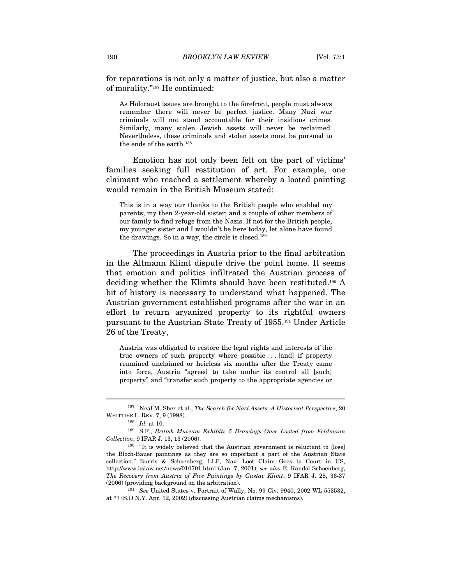for reparations is not only a matter of justice, but also a matter of morality."187 He continued:

As Holocaust issues are brought to the forefront, people must always remember there will never be perfect justice. Many Nazi war criminals will not stand accountable for their insidious crimes. Similarly, many stolen Jewish assets will never be reclaimed. Nevertheless, these criminals and stolen assets must be pursued to the ends of the earth.188

Emotion has not only been felt on the part of victims' families seeking full restitution of art. For example, one claimant who reached a settlement whereby a looted painting would remain in the British Museum stated:

This is in a way our thanks to the British people who enabled my parents; my then 2-year-old sister; and a couple of other members of our family to find refuge from the Nazis. If not for the British people, my younger sister and I wouldn't be here today, let alone have found the drawings. So in a way, the circle is closed.189

The proceedings in Austria prior to the final arbitration in the Altmann Klimt dispute drive the point home. It seems that emotion and politics infiltrated the Austrian process of deciding whether the Klimts should have been restituted.190 A bit of history is necessary to understand what happened. The Austrian government established programs after the war in an effort to return aryanized property to its rightful owners pursuant to the Austrian State Treaty of 1955.191 Under Article 26 of the Treaty,

Austria was obligated to restore the legal rights and interests of the true owners of such property where possible . . . [and] if property remained unclaimed or heirless six months after the Treaty came into force, Austria "agreed to take under its control all [such] property" and "transfer such property to the appropriate agencies or

 $187$  Neal M. Sher et al., The Search for Nazi Assets: A Historical Perspective, 20 WHITTIER L. REV. 7, 9 (1998).<br> $^{188}$  *Id.* at 10.

<sup>189</sup> S.F., British Museum Exhibits 5 Drawings Once Looted from Feldmann  $Collection$ , 9 IFAR J. 13, 13 (2006). <sup>190</sup> "It is widely believed that the Austrian government is reluctant to [lose]

the Bloch-Bauer paintings as they are so important a part of the Austrian State collection." Burris & Schoenberg, LLP, Nazi Loot Claim Goes to Court in US, http://www.bslaw.net/news/010701.html (Jan. 7, 2001); see also E. Randol Schoenberg, The Recovery from Austria of Five Paintings by Gustav Klimt, 9 IFAR J. 28, 36-37  $(2006)$  (providing background on the arbitration).<br><sup>191</sup> See United States v. Portrait of Wally, No. 99 Civ. 9940, 2002 WL 553532,

at \*7 (S.D.N.Y. Apr. 12, 2002) (discussing Austrian claims mechanisms).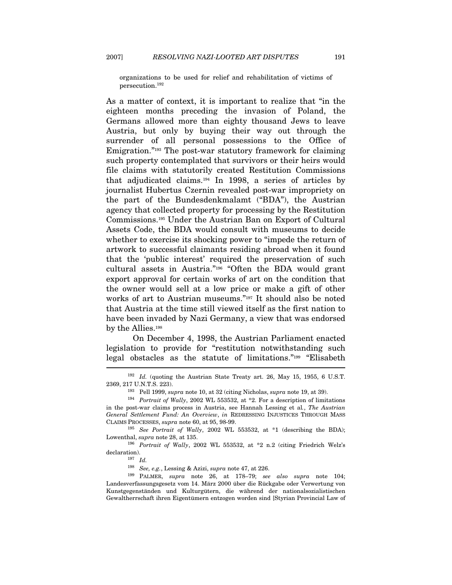organizations to be used for relief and rehabilitation of victims of persecution.192

As a matter of context, it is important to realize that "in the eighteen months preceding the invasion of Poland, the Germans allowed more than eighty thousand Jews to leave Austria, but only by buying their way out through the surrender of all personal possessions to the Office of Emigration."193 The post-war statutory framework for claiming such property contemplated that survivors or their heirs would file claims with statutorily created Restitution Commissions that adjudicated claims.194 In 1998, a series of articles by journalist Hubertus Czernin revealed post-war impropriety on the part of the Bundesdenkmalamt ("BDA"), the Austrian agency that collected property for processing by the Restitution Commissions.195 Under the Austrian Ban on Export of Cultural Assets Code, the BDA would consult with museums to decide whether to exercise its shocking power to "impede the return of artwork to successful claimants residing abroad when it found that the 'public interest' required the preservation of such cultural assets in Austria."196 "Often the BDA would grant export approval for certain works of art on the condition that the owner would sell at a low price or make a gift of other works of art to Austrian museums."197 It should also be noted that Austria at the time still viewed itself as the first nation to have been invaded by Nazi Germany, a view that was endorsed by the Allies.198

On December 4, 1998, the Austrian Parliament enacted legislation to provide for "restitution notwithstanding such legal obstacles as the statute of limitations."199 "Elisabeth

Lowenthal, supra note 28, at 135.<br><sup>196</sup> Portrait of Wally, 2002 WL 553532, at \*2 n.2 (citing Friedrich Welz's

declaration).<br><sup>197</sup> Id. <sup>198</sup> See, e.g., Lessing & Azizi, supra note 47, at 226.<br><sup>199</sup> PALMER, supra note 26, at 178–79; see also supra note 104;

Landesverfassungsgesetz vom 14. März 2000 über die Rückgabe oder Verwertung von Kunstgegenständen und Kulturgütern, die während der nationalsozialistischen Gewaltherrschaft ihren Eigentümern entzogen worden sind [Styrian Provincial Law of

 $192$  Id. (quoting the Austrian State Treaty art. 26, May 15, 1955, 6 U.S.T. 2369. 217 U.N.T.S. 223).

<sup>&</sup>lt;sup>193</sup> Pell 1999, supra note 10, at 32 (citing Nicholas, supra note 19, at 39). <sup>194</sup> Portrait of Wally, 2002 WL 553532, at \*2. For a description of limitations

in the post-war claims process in Austria, see Hannah Lessing et al., The Austrian General Settlement Fund: An Overview, in REDRESSING INJUSTICES THROUGH MASS CLAIMS PROCESSES, supra note 60, at 95, 98-99.<br><sup>195</sup> See Portrait of Wally, 2002 WL 553532, at \*1 (describing the BDA);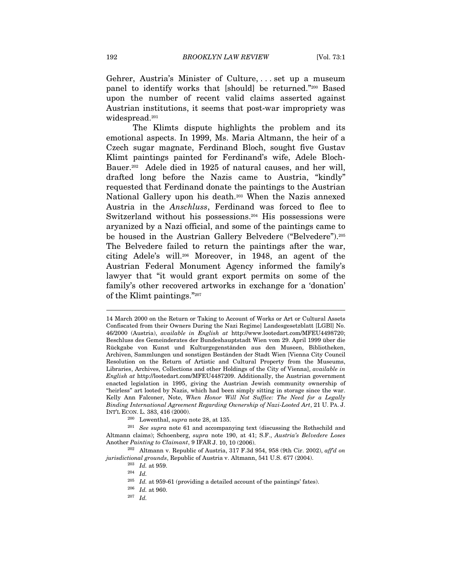Gehrer, Austria's Minister of Culture, . . . set up a museum panel to identify works that [should] be returned."200 Based upon the number of recent valid claims asserted against Austrian institutions, it seems that post-war impropriety was widespread.201

The Klimts dispute highlights the problem and its emotional aspects. In 1999, Ms. Maria Altmann, the heir of a Czech sugar magnate, Ferdinand Bloch, sought five Gustav Klimt paintings painted for Ferdinand's wife, Adele Bloch-Bauer.202 Adele died in 1925 of natural causes, and her will, drafted long before the Nazis came to Austria, "kindly" requested that Ferdinand donate the paintings to the Austrian National Gallery upon his death.203 When the Nazis annexed Austria in the Anschluss, Ferdinand was forced to flee to Switzerland without his possessions.<sup>204</sup> His possessions were aryanized by a Nazi official, and some of the paintings came to be housed in the Austrian Gallery Belvedere ("Belvedere").205 The Belvedere failed to return the paintings after the war, citing Adele's will.206 Moreover, in 1948, an agent of the Austrian Federal Monument Agency informed the family's lawyer that "it would grant export permits on some of the family's other recovered artworks in exchange for a 'donation' of the Klimt paintings."207

<sup>14</sup> March 2000 on the Return or Taking to Account of Works or Art or Cultural Assets Confiscated from their Owners During the Nazi Regime] Landesgesetzblatt [LGBl] No. 46/2000 (Austria), available in English at http://www.lootedart.com/MFEU4498720; Beschluss des Gemeinderates der Bundeshauptstadt Wien vom 29. April 1999 über die Rückgabe von Kunst und Kulturgegenständen aus den Museen, Bibliotheken, Archiven, Sammlungen und sonstigen Beständen der Stadt Wien [Vienna City Council Resolution on the Return of Artistic and Cultural Property from the Museums, Libraries, Archives, Collections and other Holdings of the City of Vienna], available in English at http://lootedart.com/MFEU4487209. Additionally, the Austrian government enacted legislation in 1995, giving the Austrian Jewish community ownership of "heirless" art looted by Nazis, which had been simply sitting in storage since the war. Kelly Ann Falconer, Note, When Honor Will Not Suffice: The Need for a Legally Binding International Agreement Regarding Ownership of Nazi-Looted Art, 21 U. PA. J.  $$\tt INT'L$  ECON. L. 383, 416 (2000). <br>  $$\tt 200$  Lowenthal,  $supra$  note 28, at 135.

 $201$  See supra note 61 and accompanying text (discussing the Rothschild and Altmann claims); Schoenberg, supra note 190, at 41; S.F., Austria's Belvedere Loses Another Painting to Claimant, 9 IFAR J. 10, 10 (2006).<br><sup>202</sup> Altmann v. Republic of Austria, 317 F.3d 954, 958 (9th Cir. 2002), aff'd on

jurisdictional grounds, Republic of Austria v. Altmann, 541 U.S. 677 (2004).<br><sup>203</sup> Id. at 959.<br><sup>204</sup> Id.

<sup>&</sup>lt;sup>205</sup> Id. at 959-61 (providing a detailed account of the paintings' fates).<br><sup>206</sup> Id. at 960.<br><sup>207</sup> Id.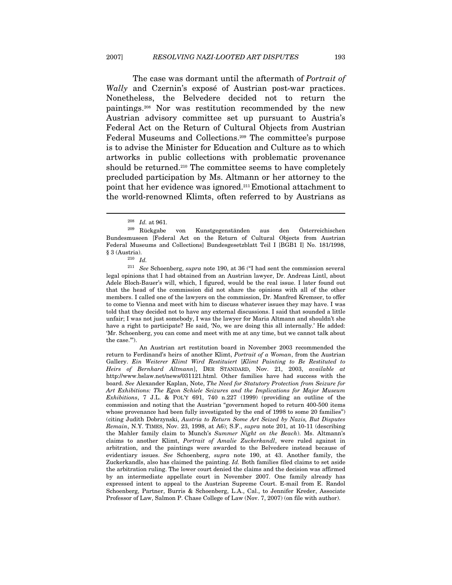The case was dormant until the aftermath of Portrait of Wally and Czernin's exposé of Austrian post-war practices. Nonetheless, the Belvedere decided not to return the paintings.208 Nor was restitution recommended by the new Austrian advisory committee set up pursuant to Austria's Federal Act on the Return of Cultural Objects from Austrian Federal Museums and Collections.209 The committee's purpose is to advise the Minister for Education and Culture as to which artworks in public collections with problematic provenance should be returned.<sup>210</sup> The committee seems to have completely precluded participation by Ms. Altmann or her attorney to the point that her evidence was ignored.211 Emotional attachment to the world-renowned Klimts, often referred to by Austrians as

<sup>210</sup> Id.

 $\overline{a}$ 

 $^{211}\,$  See Schoenberg, supra note 190, at 36 ("I had sent the commission several legal opinions that I had obtained from an Austrian lawyer, Dr. Andreas Lintl, about Adele Bloch-Bauer's will, which, I figured, would be the real issue. I later found out that the head of the commission did not share the opinions with all of the other members. I called one of the lawyers on the commission, Dr. Manfred Kremser, to offer to come to Vienna and meet with him to discuss whatever issues they may have. I was told that they decided not to have any external discussions. I said that sounded a little unfair; I was not just somebody, I was the lawyer for Maria Altmann and shouldn't she have a right to participate? He said, 'No, we are doing this all internally.' He added: 'Mr. Schoenberg, you can come and meet with me at any time, but we cannot talk about the case.'").

 An Austrian art restitution board in November 2003 recommended the return to Ferdinand's heirs of another Klimt, Portrait of a Woman, from the Austrian Gallery. Ein Weiterer Klimt Wird Restituiert [Klimt Painting to Be Restituted to Heirs of Bernhard Altmann], DER STANDARD, Nov. 21, 2003, available at http://www.bslaw.net/news/031121.html. Other families have had success with the board. See Alexander Kaplan, Note, The Need for Statutory Protection from Seizure for Art Exhibitions: The Egon Schiele Seizures and the Implications for Major Museum Exhibitions, 7 J.L. & POL'Y 691, 740 n.227 (1999) (providing an outline of the commission and noting that the Austrian "government hoped to return 400-500 items whose provenance had been fully investigated by the end of 1998 to some 20 families") (citing Judith Dobrzynski, Austria to Return Some Art Seized by Nazis, But Disputes Remain, N.Y. TIMES, Nov. 23, 1998, at A6); S.F., supra note 201, at 10-11 (describing the Mahler family claim to Munch's Summer Night on the Beach). Ms. Altmann's claims to another Klimt, Portrait of Amalie Zuckerkandl, were ruled against in arbitration, and the paintings were awarded to the Belvedere instead because of evidentiary issues. See Schoenberg, supra note 190, at 43. Another family, the Zuckerkandls, also has claimed the painting. Id. Both families filed claims to set aside the arbitration ruling. The lower court denied the claims and the decision was affirmed by an intermediate appellate court in November 2007. One family already has expressed intent to appeal to the Austrian Supreme Court. E-mail from E. Randol Schoenberg, Partner, Burris & Schoenberg, L.A., Cal., to Jennifer Kreder, Associate Professor of Law, Salmon P. Chase College of Law (Nov. 7, 2007) (on file with author).

<sup>208</sup> Id. at 961.

<sup>209</sup> Rückgabe von Kunstgegenständen aus den Österreichischen Bundesmuseen [Federal Act on the Return of Cultural Objects from Austrian Federal Museums and Collections] Bundesgesetzblatt Teil I [BGB1 I] No. 181/1998, § 3 (Austria).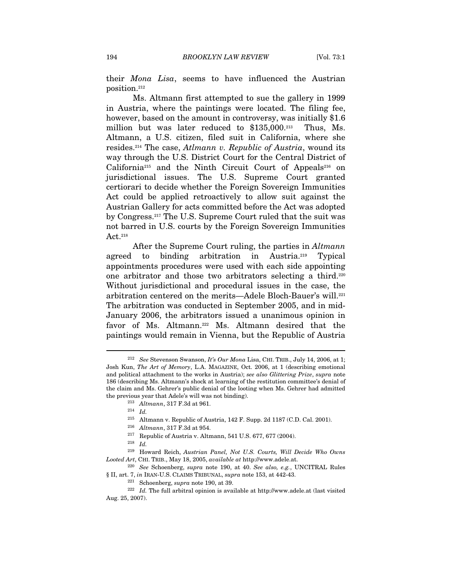their Mona Lisa, seems to have influenced the Austrian position.212

Ms. Altmann first attempted to sue the gallery in 1999 in Austria, where the paintings were located. The filing fee, however, based on the amount in controversy, was initially \$1.6 million but was later reduced to \$135,000.<sup>213</sup> Thus, Ms. Altmann, a U.S. citizen, filed suit in California, where she resides.214 The case, Atlmann v. Republic of Austria, wound its way through the U.S. District Court for the Central District of California215 and the Ninth Circuit Court of Appeals216 on jurisdictional issues. The U.S. Supreme Court granted certiorari to decide whether the Foreign Sovereign Immunities Act could be applied retroactively to allow suit against the Austrian Gallery for acts committed before the Act was adopted by Congress.217 The U.S. Supreme Court ruled that the suit was not barred in U.S. courts by the Foreign Sovereign Immunities  $Act.<sup>218</sup>$ 

After the Supreme Court ruling, the parties in Altmann agreed to binding arbitration in Austria.219 Typical appointments procedures were used with each side appointing one arbitrator and those two arbitrators selecting a third.220 Without jurisdictional and procedural issues in the case, the arbitration centered on the merits—Adele Bloch-Bauer's will.221 The arbitration was conducted in September 2005, and in mid-January 2006, the arbitrators issued a unanimous opinion in favor of Ms. Altmann.<sup>222</sup> Ms. Altmann desired that the paintings would remain in Vienna, but the Republic of Austria

<sup>&</sup>lt;sup>212</sup> See Stevenson Swanson, It's Our Mona Lisa, CHI. TRIB., July 14, 2006, at 1; Josh Kun, The Art of Memory, L.A. MAGAZINE, Oct. 2006, at 1 (describing emotional and political attachment to the works in Austria); see also Glittering Prize, supra note 186 (describing Ms. Altmann's shock at learning of the restitution committee's denial of the claim and Ms. Gehrer's public denial of the looting when Ms. Gehrer had admitted the previous year that Adele's will was not binding).<br> $^{213}$  Altmann, 317 F.3d at 961.

 $^{214}\;$   $Id.$ 

 $^{215}\;$  Altmann v. Republic of Austria, 142 F. Supp. 2d 1187 (C.D. Cal. 2001).

<sup>&</sup>lt;sup>216</sup> Altmann, 317 F.3d at 954.<br><sup>217</sup> Republic of Austria v. Altmann, 541 U.S. 677, 677 (2004).<br><sup>218</sup> Id

<sup>219</sup> Howard Reich, Austrian Panel, Not U.S. Courts, Will Decide Who Owns

Looted Art, CHI. TRIB., May 18, 2005, available at http://www.adele.at. 220 See Schoenberg, supra note 190, at 40. See also, e.g., UNCITRAL Rules

 $\,$ II, art. 7,  $in$  IRAN-U.S. CLAIMS TRIBUNAL, su*pra* note 153, at 442-43. 2<sup>21</sup> Schoenberg, *supra* note 190, at 39. 222 Id. The full arbitral opinion is available at http://www.adele.at (last visited Aug. 25, 2007).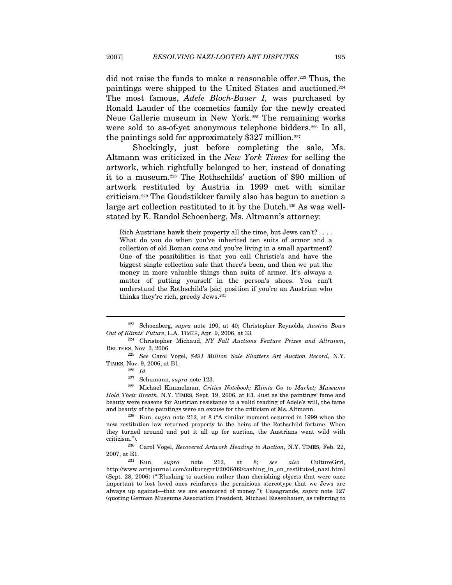did not raise the funds to make a reasonable offer.<sup>223</sup> Thus, the paintings were shipped to the United States and auctioned.224 The most famous, *Adele Bloch-Bauer I*, was purchased by Ronald Lauder of the cosmetics family for the newly created Neue Gallerie museum in New York.225 The remaining works were sold to as-of-yet anonymous telephone bidders.<sup>226</sup> In all, the paintings sold for approximately  $$327$  million.<sup>227</sup>

Shockingly, just before completing the sale, Ms. Altmann was criticized in the New York Times for selling the artwork, which rightfully belonged to her, instead of donating it to a museum.228 The Rothschilds' auction of \$90 million of artwork restituted by Austria in 1999 met with similar criticism.229 The Goudstikker family also has begun to auction a large art collection restituted to it by the Dutch.<sup>230</sup> As was wellstated by E. Randol Schoenberg, Ms. Altmann's attorney:

Rich Austrians hawk their property all the time, but Jews can't? . . . . What do you do when you've inherited ten suits of armor and a collection of old Roman coins and you're living in a small apartment? One of the possibilities is that you call Christie's and have the biggest single collection sale that there's been, and then we put the money in more valuable things than suits of armor. It's always a matter of putting yourself in the person's shoes. You can't understand the Rothschild's [sic] position if you're an Austrian who thinks they're rich, greedy Jews.<sup>231</sup>

<sup>225</sup> See Carol Vogel, \$491 Million Sale Shatters Art Auction Record, N.Y. TIMES, Nov. 9, 2006, at B1.

 $\overline{a}$ 

<sup>227</sup> Schumann, supra note 123.<br><sup>228</sup> Michael Kimmelman, Critics Notebook; Klimts Go to Market; Museums Hold Their Breath, N.Y. TIMES, Sept. 19, 2006, at E1. Just as the paintings' fame and beauty were reasons for Austrian resistance to a valid reading of Adele's will, the fame and beauty of the paintings were an excuse for the criticism of Ms. Altmann.<br><sup>229</sup> Kun, *supra* note 212, at 8 ("A similar moment occurred in 1999 when the

new restitution law returned property to the heirs of the Rothschild fortune. When they turned around and put it all up for auction, the Austrians went wild with criticism."). 230 Carol Vogel, Recovered Artwork Heading to Auction, N.Y. TIMES, Feb. 22,

2007, at E1.<br><sup>231</sup> Kun, *supra* note 212, at 8; *see also* CultureGrrl,

http://www.artsjournal.com/culturegrrl/2006/09/cashing\_in\_on\_restituted\_nazi.html (Sept. 28, 2006) ("[R]ushing to auction rather than cherishing objects that were once important to lost loved ones reinforces the pernicious stereotype that we Jews are always up against—that we are enamored of money."); Casagrande, supra note 127 (quoting German Museums Association President, Michael Eissenhauer, as referring to

<sup>223</sup> Schoenberg, supra note 190, at 40; Christopher Reynolds, Austria Bows Out of Klimts' Future, L.A. TIMES, Apr. 9, 2006, at 33.<br><sup>224</sup> Christopher Michaud, NY Fall Auctions Feature Prizes and Altruism,

REUTERS, Nov. 3, 2006.

 $226$  *Id.*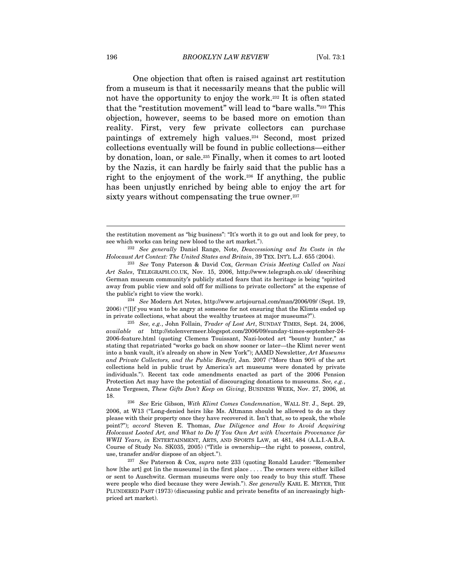One objection that often is raised against art restitution from a museum is that it necessarily means that the public will not have the opportunity to enjoy the work.232 It is often stated that the "restitution movement" will lead to "bare walls."233 This objection, however, seems to be based more on emotion than reality. First, very few private collectors can purchase paintings of extremely high values.234 Second, most prized collections eventually will be found in public collections—either by donation, loan, or sale.235 Finally, when it comes to art looted by the Nazis, it can hardly be fairly said that the public has a right to the enjoyment of the work.236 If anything, the public has been unjustly enriched by being able to enjoy the art for sixty years without compensating the true owner.<sup>237</sup>

the public's right to view the work). 234 See Modern Art Notes, http://www.artsjournal.com/man/2006/09/ (Sept. 19, 2006) ("[I]f you want to be angry at someone for not ensuring that the Klimts ended up in private collections, what about the wealthy trustees at major museums?").<br><sup>235</sup> See, e.g., John Follain, *Trader of Lost Art*, SUNDAY TIMES, Sept. 24, 2006,

the restitution movement as "big business": "It's worth it to go out and look for prey, to see which works can bring new blood to the art market."). <sup>232</sup> See generally Daniel Range, Note, Deaccessioning and Its Costs in the

Holocaust Art Context: The United States and Britain, 39 TEX. INT'L L.J. 655 (2004). 233 See Tony Paterson & David Cox, German Crisis Meeting Called on Nazi

Art Sales, TELEGRAPH.CO.UK, Nov. 15, 2006, http://www.telegraph.co.uk/ (describing German museum community's publicly stated fears that its heritage is being "spirited away from public view and sold off for millions to private collectors" at the expense of

available at http://stolenvermeer.blogspot.com/2006/09/sunday-times-september-24- 2006-feature.html (quoting Clemens Touissant, Nazi-looted art "bounty hunter," as stating that repatriated "works go back on show sooner or later—the Klimt never went into a bank vault, it's already on show in New York"); AAMD Newsletter, Art Museums and Private Collectors, and the Public Benefit, Jan. 2007 ("More than 90% of the art collections held in public trust by America's art museums were donated by private individuals."). Recent tax code amendments enacted as part of the 2006 Pension Protection Act may have the potential of discouraging donations to museums. See, e.g., Anne Tergesen, These Gifts Don't Keep on Giving, BUSINESS WEEK, Nov. 27, 2006, at

<sup>18. 236</sup> See Eric Gibson, With Klimt Comes Condemnation, WALL ST. J., Sept. 29, 2006, at W13 ("Long-denied heirs like Ms. Altmann should be allowed to do as they please with their property once they have recovered it. Isn't that, so to speak, the whole point?"); accord Steven E. Thomas, Due Diligence and How to Avoid Acquiring Holocaust Looted Art, and What to Do If You Own Art with Uncertain Provenance for WWII Years, in ENTERTAINMENT, ARTS, AND SPORTS LAW, at 481, 484 (A.L.I.-A.B.A. Course of Study No. SK035, 2005) ("Title is ownership—the right to possess, control, use, transfer and/or dispose of an object.").<br><sup>237</sup> See Paterson & Cox, *supra* note 233 (quoting Ronald Lauder: "Remember

how [the art] got [in the museums] in the first place . . . . The owners were either killed or sent to Auschwitz. German museums were only too ready to buy this stuff. These were people who died because they were Jewish."). See generally KARL E. MEYER, THE PLUNDERED PAST (1973) (discussing public and private benefits of an increasingly highpriced art market).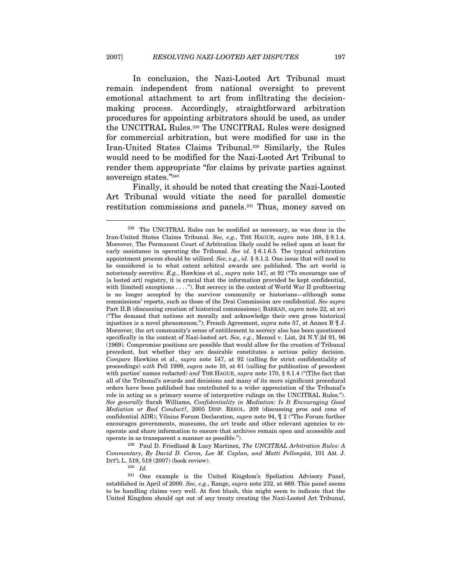In conclusion, the Nazi-Looted Art Tribunal must remain independent from national oversight to prevent emotional attachment to art from infiltrating the decisionmaking process. Accordingly, straightforward arbitration procedures for appointing arbitrators should be used, as under the UNCITRAL Rules.238 The UNCITRAL Rules were designed for commercial arbitration, but were modified for use in the Iran-United States Claims Tribunal.239 Similarly, the Rules would need to be modified for the Nazi-Looted Art Tribunal to render them appropriate "for claims by private parties against sovereign states."240

Finally, it should be noted that creating the Nazi-Looted Art Tribunal would vitiate the need for parallel domestic restitution commissions and panels.241 Thus, money saved on

% operate in as transparent a manner as possible.").  $\frac{239}{239}$  Paul D. Friedland & Lucy Martinez, *The UNCITRAL Arbitration Rules: A* Commentary, By David D. Caron, Lee M. Caplan, and Matti Pellonpää, 101 AM. J. INT'L L. 519, 519 (2007) (book review).  $\frac{^{240}}{1d.}$ 

 $\overline{a}$ 

241 One example is the United Kingdom's Spoliation Advisory Panel, established in April of 2000. See, e.g., Range, supra note 232, at 669. This panel seems to be handling claims very well. At first blush, this might seem to indicate that the United Kingdom should opt out of any treaty creating the Nazi-Looted Art Tribunal,

<sup>238</sup> The UNCITRAL Rules can be modified as necessary, as was done in the Iran-United States Claims Tribunal. See, e.g., THE HAGUE, supra note 168, § 8.1.4. Moreover, The Permanent Court of Arbitration likely could be relied upon at least for early assistance in operating the Tribunal. See id.  $\S 6.1.6.5$ . The typical arbitration appointment process should be utilized. See, e.g., id.  $\S 8.1.2$ . One issue that will need to be considered is to what extent arbitral awards are published. The art world is notoriously secretive. E.g., Hawkins et al., supra note 147, at 92 ("To encourage use of [a looted art] registry, it is crucial that the information provided be kept confidential, with [limited] exceptions . . . ."). But secrecy in the context of World War II profiteering is no longer accepted by the survivor community or historians—although some commissions' reports, such as those of the Drai Commission are confidential. See supra Part II.B (discussing creation of historical commissions); BARKAN, supra note 22, at xvi ("The demand that nations act morally and acknowledge their own gross historical injustices is a novel phenomenon."); French Agreement, supra note 57, at Annex B ¶ J. Moreover, the art community's sense of entitlement to secrecy also has been questioned specifically in the context of Nazi-looted art. See, e.g., Menzel v. List, 24 N.Y.2d 91, 96 (1969). Compromise positions are possible that would allow for the creation of Tribunal precedent, but whether they are desirable constitutes a serious policy decision. Compare Hawkins et al., supra note 147, at 92 (calling for strict confidentiality of proceedings) with Pell 1999, supra note 10, at 61 (calling for publication of precedent with parties' names redacted) and THE HAGUE, supra note 170, § 8.1.4 ("[T]he fact that all of the Tribunal's awards and decisions and many of its more significant procedural orders have been published has contributed to a wider appreciation of the Tribunal's role in acting as a primary source of interpretive rulings on the UNCITRAL Rules."). See generally Sarah Williams, Confidentiality in Mediation: Is It Encouraging Good Mediation or Bad Conduct?, 2005 DISP. RESOL. 209 (discussing pros and cons of confidential ADR); Vilnius Forum Declaration, supra note 94, ¶ 2 ("The Forum further encourages governments, museums, the art trade and other relevant agencies to cooperate and share information to ensure that archives remain open and accessible and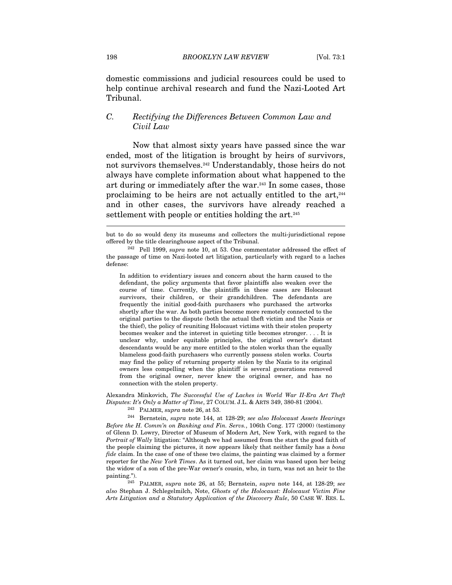domestic commissions and judicial resources could be used to help continue archival research and fund the Nazi-Looted Art Tribunal.

### C. Rectifying the Differences Between Common Law and Civil Law

Now that almost sixty years have passed since the war ended, most of the litigation is brought by heirs of survivors, not survivors themselves.242 Understandably, those heirs do not always have complete information about what happened to the art during or immediately after the war.243 In some cases, those proclaiming to be heirs are not actually entitled to the  $art,244$ and in other cases, the survivors have already reached a settlement with people or entities holding the art.<sup>245</sup>

but to do so would deny its museums and collectors the multi-jurisdictional repose % offered by the title clearinghouse aspect of the Tribunal.<br><sup>242</sup> Pell 1999, *supra* note 10, at 53. One commentator addressed the effect of

In addition to evidentiary issues and concern about the harm caused to the defendant, the policy arguments that favor plaintiffs also weaken over the course of time. Currently, the plaintiffs in these cases are Holocaust survivors, their children, or their grandchildren. The defendants are frequently the initial good-faith purchasers who purchased the artworks shortly after the war. As both parties become more remotely connected to the original parties to the dispute (both the actual theft victim and the Nazis or the thief), the policy of reuniting Holocaust victims with their stolen property becomes weaker and the interest in quieting title becomes stronger. . . . It is unclear why, under equitable principles, the original owner's distant descendants would be any more entitled to the stolen works than the equally blameless good-faith purchasers who currently possess stolen works. Courts may find the policy of returning property stolen by the Nazis to its original owners less compelling when the plaintiff is several generations removed from the original owner, never knew the original owner, and has no connection with the stolen property.

Alexandra Minkovich, The Successful Use of Laches in World War II-Era Art Theft Disputes: It's Only a Matter of Time, 27 COLUM. J.L. & ARTS 349, 380-81 (2004).<br><sup>243</sup> PALMER, supra note 26, at 53.<br><sup>244</sup> Bernstein, *supra* note 144, at 128-29; see also Holocaust Assets Hearings

Before the H. Comm'n on Banking and Fin. Servs., 106th Cong. 177 (2000) (testimony of Glenn D. Lowry, Director of Museum of Modern Art, New York, with regard to the Portrait of Wally litigation: "Although we had assumed from the start the good faith of the people claiming the pictures, it now appears likely that neither family has a bona fide claim. In the case of one of these two claims, the painting was claimed by a former reporter for the New York Times. As it turned out, her claim was based upon her being the widow of a son of the pre-War owner's cousin, who, in turn, was not an heir to the painting."). 245 PALMER, supra note 26, at 55; Bernstein, supra note 144, at 128-29; see

also Stephan J. Schlegelmilch, Note, Ghosts of the Holocaust: Holocaust Victim Fine Arts Litigation and a Statutory Application of the Discovery Rule, 50 CASE W. RES. L.

the passage of time on Nazi-looted art litigation, particularly with regard to a laches defense: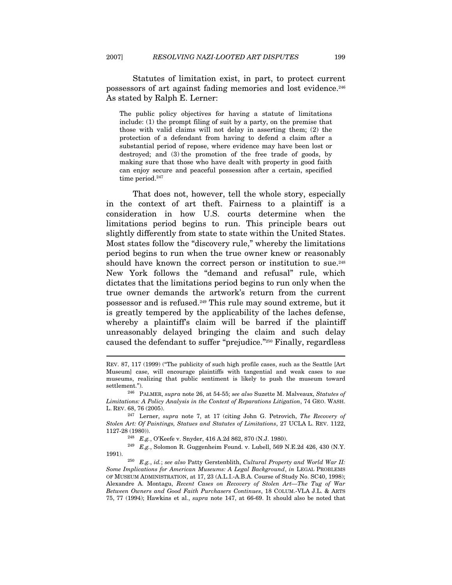Statutes of limitation exist, in part, to protect current possessors of art against fading memories and lost evidence.246 As stated by Ralph E. Lerner:

The public policy objectives for having a statute of limitations include: (1) the prompt filing of suit by a party, on the premise that those with valid claims will not delay in asserting them; (2) the protection of a defendant from having to defend a claim after a substantial period of repose, where evidence may have been lost or destroyed; and (3) the promotion of the free trade of goods, by making sure that those who have dealt with property in good faith can enjoy secure and peaceful possession after a certain, specified time period.<sup>247</sup>

That does not, however, tell the whole story, especially in the context of art theft. Fairness to a plaintiff is a consideration in how U.S. courts determine when the limitations period begins to run. This principle bears out slightly differently from state to state within the United States. Most states follow the "discovery rule," whereby the limitations period begins to run when the true owner knew or reasonably should have known the correct person or institution to sue.<sup>248</sup> New York follows the "demand and refusal" rule, which dictates that the limitations period begins to run only when the true owner demands the artwork's return from the current possessor and is refused.249 This rule may sound extreme, but it is greatly tempered by the applicability of the laches defense, whereby a plaintiff's claim will be barred if the plaintiff unreasonably delayed bringing the claim and such delay caused the defendant to suffer "prejudice."250 Finally, regardless

 $\overline{a}$ 

1991).<br><sup>250</sup> E.g., id.; see also Patty Gerstenblith, Cultural Property and World War II:

REV. 87, 117 (1999) ("The publicity of such high profile cases, such as the Seattle [Art Museum] case, will encourage plaintiffs with tangential and weak cases to sue museums, realizing that public sentiment is likely to push the museum toward settlement.").

<sup>&</sup>lt;sup>246</sup> PALMER, supra note 26, at 54-55; see also Suzette M. Malveaux, Statutes of Limitations: A Policy Analysis in the Context of Reparations Litigation, 74 GEO. WASH. L. REV. 68, 76 (2005).

<sup>&</sup>lt;sup>247</sup> Lerner, supra note 7, at 17 (citing John G. Petrovich, The Recovery of Stolen Art: Of Paintings, Statues and Statutes of Limitations, 27 UCLA L. REV. 1122, 1127-28 (1980)).<br><sup>248</sup> E.g., O'Keefe v. Snyder, 416 A.2d 862, 870 (N.J. 1980).<br><sup>249</sup> E.g., Solomon R. Guggenheim Found. v. Lubell, 569 N.E.2d 426, 430 (N.Y.

Some Implications for American Museums: A Legal Background, in LEGAL PROBLEMS OF MUSEUM ADMINISTRATION, at 17, 23 (A.L.I.-A.B.A. Course of Study No. SC40, 1998); Alexandre A. Montagu, Recent Cases on Recovery of Stolen Art—The Tug of War Between Owners and Good Faith Purchasers Continues, 18 COLUM.-VLA J.L. & ARTS 75, 77 (1994); Hawkins et al., supra note 147, at 66-69. It should also be noted that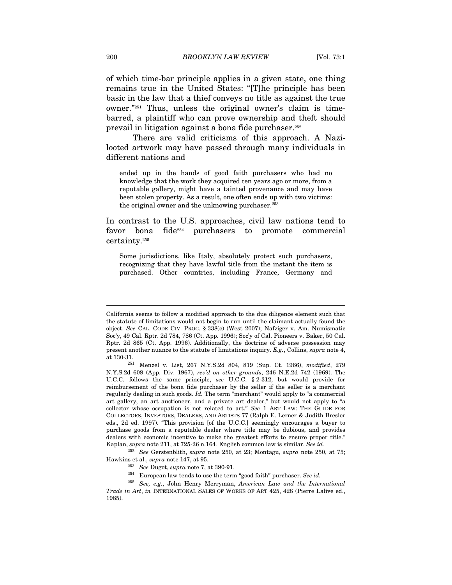of which time-bar principle applies in a given state, one thing remains true in the United States: "[T]he principle has been basic in the law that a thief conveys no title as against the true owner."251 Thus, unless the original owner's claim is timebarred, a plaintiff who can prove ownership and theft should prevail in litigation against a bona fide purchaser.252

There are valid criticisms of this approach. A Nazilooted artwork may have passed through many individuals in different nations and

ended up in the hands of good faith purchasers who had no knowledge that the work they acquired ten years ago or more, from a reputable gallery, might have a tainted provenance and may have been stolen property. As a result, one often ends up with two victims: the original owner and the unknowing purchaser.<sup>253</sup>

In contrast to the U.S. approaches, civil law nations tend to favor bona fide254 purchasers to promote commercial certainty.255

Some jurisdictions, like Italy, absolutely protect such purchasers, recognizing that they have lawful title from the instant the item is purchased. Other countries, including France, Germany and

California seems to follow a modified approach to the due diligence element such that the statute of limitations would not begin to run until the claimant actually found the object. See CAL. CODE CIV. PROC. § 338(c) (West 2007); Nafziger v. Am. Numismatic Soc'y, 49 Cal. Rptr. 2d 784, 786 (Ct. App. 1996); Soc'y of Cal. Pioneers v. Baker, 50 Cal. Rptr. 2d 865 (Ct. App. 1996). Additionally, the doctrine of adverse possession may present another nuance to the statute of limitations inquiry. E.g., Collins, supra note 4, at 130-31. 251 Menzel v. List, 267 N.Y.S.2d 804, 819 (Sup. Ct. 1966), modified, 279

N.Y.S.2d 608 (App. Div. 1967), rev'd on other grounds, 246 N.E.2d 742 (1969). The U.C.C. follows the same principle, see U.C.C. § 2-312, but would provide for reimbursement of the bona fide purchaser by the seller if the seller is a merchant regularly dealing in such goods. Id. The term "merchant" would apply to "a commercial art gallery, an art auctioneer, and a private art dealer," but would not apply to "a collector whose occupation is not related to art." See 1 ART LAW: THE GUIDE FOR COLLECTORS, INVESTORS, DEALERS, AND ARTISTS 77 (Ralph E. Lerner & Judith Bresler eds., 2d ed. 1997). "This provision [of the U.C.C.] seemingly encourages a buyer to purchase goods from a reputable dealer where title may be dubious, and provides dealers with economic incentive to make the greatest efforts to ensure proper title."

Kaplan, supra note 211, at 725-26 n.164. English common law is similar. See id. <sup>252</sup> See Gerstenblith, supra note 250, at 23; Montagu, supra note 250, at 75; Hawkins et al., *supra* note 147, at 95.<br><sup>253</sup> See Dugot, supra note 7, at 390-91.<br><sup>254</sup> European law tends to use the term "good faith" purchaser. See id.<br><sup>255</sup> See, e.g., John Henry Merryman, American Law and the Intern

Trade in Art, in INTERNATIONAL SALES OF WORKS OF ART 425, 428 (Pierre Lalive ed., 1985).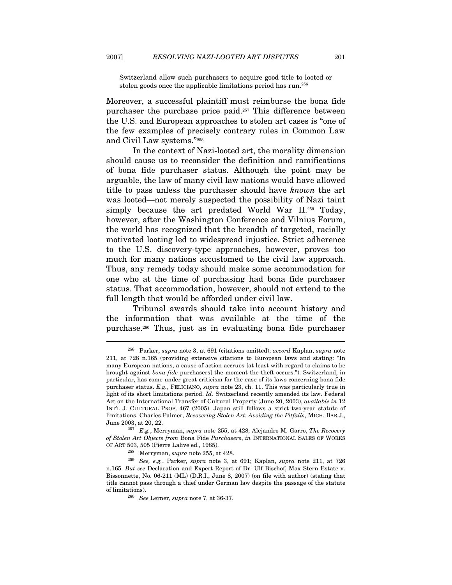Switzerland allow such purchasers to acquire good title to looted or stolen goods once the applicable limitations period has run.<sup>256</sup>

Moreover, a successful plaintiff must reimburse the bona fide purchaser the purchase price paid.257 This difference between the U.S. and European approaches to stolen art cases is "one of the few examples of precisely contrary rules in Common Law and Civil Law systems."258

In the context of Nazi-looted art, the morality dimension should cause us to reconsider the definition and ramifications of bona fide purchaser status. Although the point may be arguable, the law of many civil law nations would have allowed title to pass unless the purchaser should have known the art was looted—not merely suspected the possibility of Nazi taint simply because the art predated World War II.<sup>259</sup> Today, however, after the Washington Conference and Vilnius Forum, the world has recognized that the breadth of targeted, racially motivated looting led to widespread injustice. Strict adherence to the U.S. discovery-type approaches, however, proves too much for many nations accustomed to the civil law approach. Thus, any remedy today should make some accommodation for one who at the time of purchasing had bona fide purchaser status. That accommodation, however, should not extend to the full length that would be afforded under civil law.

Tribunal awards should take into account history and the information that was available at the time of the purchase.260 Thus, just as in evaluating bona fide purchaser

<sup>&</sup>lt;sup>256</sup> Parker, supra note 3, at 691 (citations omitted); accord Kaplan, supra note 211, at 728 n.165 (providing extensive citations to European laws and stating: "In many European nations, a cause of action accrues [at least with regard to claims to be brought against bona fide purchasers] the moment the theft occurs."). Switzerland, in particular, has come under great criticism for the ease of its laws concerning bona fide purchaser status. E.g., FELICIANO, supra note 23, ch. 11. This was particularly true in light of its short limitations period. Id. Switzerland recently amended its law. Federal Act on the International Transfer of Cultural Property (June 20, 2003), available in 12 INT'L J. CULTURAL PROP. 467 (2005). Japan still follows a strict two-year statute of limitations. Charles Palmer, Recovering Stolen Art: Avoiding the Pitfalls, MICH. BAR J., June 2003, at 20, 22.<br><sup>257</sup> E.g., Merryman, supra note 255, at 428; Alejandro M. Garro, *The Recovery* 

of Stolen Art Objects from Bona Fide Purchasers, in INTERNATIONAL SALES OF WORKS OF ART 503, 505 (Pierre Lalive ed., 1985).

<sup>&</sup>lt;sup>258</sup> Merryman, *supra* note 255, at 428.<br><sup>259</sup> See, e.g., Parker, *supra* note 3, at 691; Kaplan, *supra* note 211, at 726 n.165. But see Declaration and Expert Report of Dr. Ulf Bischof, Max Stern Estate v. Bissonnette, No. 06-211 (ML) (D.R.I., June 8, 2007) (on file with author) (stating that title cannot pass through a thief under German law despite the passage of the statute % of limitations). 260 See Lerner, supra note 7, at 36-37.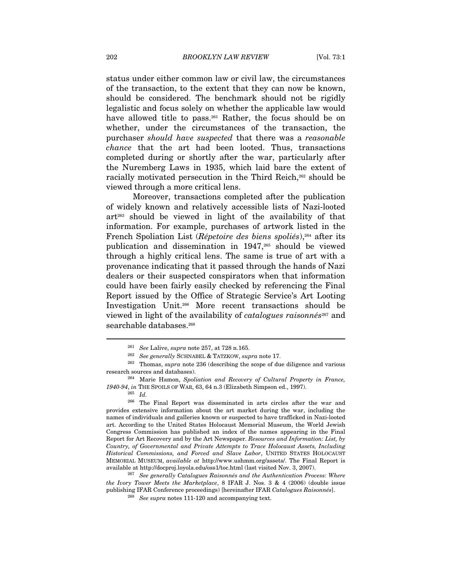status under either common law or civil law, the circumstances of the transaction, to the extent that they can now be known, should be considered. The benchmark should not be rigidly legalistic and focus solely on whether the applicable law would have allowed title to pass.<sup>261</sup> Rather, the focus should be on whether, under the circumstances of the transaction, the purchaser should have suspected that there was a reasonable chance that the art had been looted. Thus, transactions completed during or shortly after the war, particularly after the Nuremberg Laws in 1935, which laid bare the extent of racially motivated persecution in the Third Reich,<sup>262</sup> should be viewed through a more critical lens.

Moreover, transactions completed after the publication of widely known and relatively accessible lists of Nazi-looted art263 should be viewed in light of the availability of that information. For example, purchases of artwork listed in the French Spoliation List (Répetoire des biens spoliés),<sup>264</sup> after its publication and dissemination in 1947,265 should be viewed through a highly critical lens. The same is true of art with a provenance indicating that it passed through the hands of Nazi dealers or their suspected conspirators when that information could have been fairly easily checked by referencing the Final Report issued by the Office of Strategic Service's Art Looting Investigation Unit.266 More recent transactions should be viewed in light of the availability of *catalogues raisonnés*<sup>267</sup> and searchable databases.<sup>268</sup>

<sup>&</sup>lt;sup>261</sup> See Lalive, supra note 257, at 728 n.165.<br><sup>262</sup> See generally SCHNABEL & TATZKOW, supra note 17.<br><sup>263</sup> Thomas, supra note 236 (describing the scope of due diligence and various

research sources and databases). 264 Marie Hamon, Spoliation and Recovery of Cultural Property in France, 1940-94, in THE SPOILS OF WAR, 63, 64 n.3 (Elizabeth Simpson ed., 1997).<br><sup>265</sup> Id.

<sup>266</sup> The Final Report was disseminated in arts circles after the war and provides extensive information about the art market during the war, including the names of individuals and galleries known or suspected to have trafficked in Nazi-looted art. According to the United States Holocaust Memorial Museum, the World Jewish Congress Commission has published an index of the names appearing in the Final Report for Art Recovery and by the Art Newspaper. Resources and Information: List, by Country, of Governmental and Private Attempts to Trace Holocaust Assets, Including Historical Commissions, and Forced and Slave Labor, UNITED STATES HOLOCAUST MEMORIAL MUSEUM, available at http://www.ushmm.org/assets/. The Final Report is available at http://docproj.loyola.edu/oss1/toc.html (last visited Nov. 3, 2007).<br><sup>267</sup> See generally Catalogues Raisonnés and the Authentication Process: Where

the Ivory Tower Meets the Marketplace, 8 IFAR J. Nos. 3 & 4 (2006) (double issue publishing IFAR Conference proceedings) [hereinafter IFAR Catalogues Raisonnés].<br><sup>268</sup> See supra notes 111-120 and accompanying text.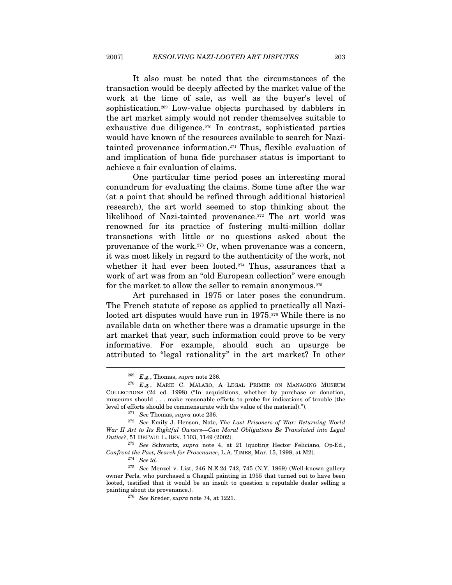It also must be noted that the circumstances of the transaction would be deeply affected by the market value of the work at the time of sale, as well as the buyer's level of sophistication.269 Low-value objects purchased by dabblers in the art market simply would not render themselves suitable to exhaustive due diligence.270 In contrast, sophisticated parties would have known of the resources available to search for Nazitainted provenance information.271 Thus, flexible evaluation of and implication of bona fide purchaser status is important to achieve a fair evaluation of claims.

One particular time period poses an interesting moral conundrum for evaluating the claims. Some time after the war (at a point that should be refined through additional historical research), the art world seemed to stop thinking about the likelihood of Nazi-tainted provenance.<sup>272</sup> The art world was renowned for its practice of fostering multi-million dollar transactions with little or no questions asked about the provenance of the work.273 Or, when provenance was a concern, it was most likely in regard to the authenticity of the work, not whether it had ever been looted.274 Thus, assurances that a work of art was from an "old European collection" were enough for the market to allow the seller to remain anonymous.275

Art purchased in 1975 or later poses the conundrum. The French statute of repose as applied to practically all Nazilooted art disputes would have run in 1975.<sup>276</sup> While there is no available data on whether there was a dramatic upsurge in the art market that year, such information could prove to be very informative. For example, should such an upsurge be attributed to "legal rationality" in the art market? In other  $\overline{a}$ 

 $269$  E.g., Thomas, supra note 236.

 $270$  E.g., MARIE C. MALARO, A LEGAL PRIMER ON MANAGING MUSEUM COLLECTIONS (2d ed. 1998) ("In acquisitions, whether by purchase or donation, museums should . . . make reasonable efforts to probe for indications of trouble (the level of efforts should be commensurate with the value of the material).").<br><sup>271</sup> See Thomas, supra note 236.<br><sup>272</sup> See Emily J. Henson, Note, *The Last Prisoners of War: Returning World* 

War II Art to Its Rightful Owners—Can Moral Obligations Be Translated into Legal Duties?, 51 DEPAUL L. REV. 1103, 1149 (2002). 273 See Schwartz, supra note 4, at 21 (quoting Hector Feliciano, Op-Ed.,

Confront the Past, Search for Provenance, L.A. TIMES, Mar. 15, 1998, at M2).<br> $^{274}$  See id.

<sup>275</sup> See Menzel v. List, 246 N.E.2d 742, 745 (N.Y. 1969) (Well-known gallery owner Perls, who purchased a Chagall painting in 1955 that turned out to have been looted, testified that it would be an insult to question a reputable dealer selling a painting about its provenance.).<br><sup>276</sup> See Kreder, supra note 74, at 1221.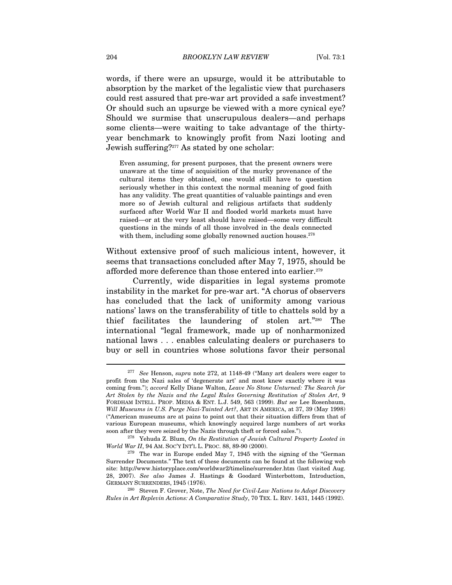words, if there were an upsurge, would it be attributable to absorption by the market of the legalistic view that purchasers could rest assured that pre-war art provided a safe investment? Or should such an upsurge be viewed with a more cynical eye? Should we surmise that unscrupulous dealers—and perhaps some clients—were waiting to take advantage of the thirtyyear benchmark to knowingly profit from Nazi looting and Jewish suffering?277 As stated by one scholar:

Even assuming, for present purposes, that the present owners were unaware at the time of acquisition of the murky provenance of the cultural items they obtained, one would still have to question seriously whether in this context the normal meaning of good faith has any validity. The great quantities of valuable paintings and even more so of Jewish cultural and religious artifacts that suddenly surfaced after World War II and flooded world markets must have raised—or at the very least should have raised—some very difficult questions in the minds of all those involved in the deals connected with them, including some globally renowned auction houses.<sup>278</sup>

Without extensive proof of such malicious intent, however, it seems that transactions concluded after May 7, 1975, should be afforded more deference than those entered into earlier.<sup>279</sup>

Currently, wide disparities in legal systems promote instability in the market for pre-war art. "A chorus of observers has concluded that the lack of uniformity among various nations' laws on the transferability of title to chattels sold by a thief facilitates the laundering of stolen art."280 The international "legal framework, made up of nonharmonized national laws . . . enables calculating dealers or purchasers to buy or sell in countries whose solutions favor their personal

 $277$  See Henson, supra note 272, at 1148-49 ("Many art dealers were eager to profit from the Nazi sales of 'degenerate art' and most knew exactly where it was coming from."); accord Kelly Diane Walton, Leave No Stone Unturned: The Search for Art Stolen by the Nazis and the Legal Rules Governing Restitution of Stolen Art, 9 FORDHAM INTELL. PROP. MEDIA & ENT. L.J. 549, 563 (1999). But see Lee Rosenbaum, Will Museums in U.S. Purge Nazi-Tainted Art?, ART IN AMERICA, at 37, 39 (May 1998) ("American museums are at pains to point out that their situation differs from that of various European museums, which knowingly acquired large numbers of art works soon after they were seized by the Nazis through theft or forced sales.").<br><sup>278</sup> Yehuda Z. Blum, On the Restitution of Jewish Cultural Property Looted in

World War II, 94 AM. SOC'Y INT'L L. PROC. 88, 89-90 (2000).<br><sup>279</sup> The war in Europe ended May 7, 1945 with the signing of the "German

Surrender Documents." The text of these documents can be found at the following web site: http://www.historyplace.com/worldwar2/timeline/surrender.htm (last visited Aug. 28, 2007). See also James J. Hastings & Goodard Winterbottom, Introduction,

GERMANY SURRENDERS, 1945 (1976).<br><sup>280</sup> Steven F. Grover, Note, *The Need for Civil-Law Nations to Adopt Discovery* Rules in Art Replevin Actions: A Comparative Study, 70 TEX. L. REV. 1431, 1445 (1992).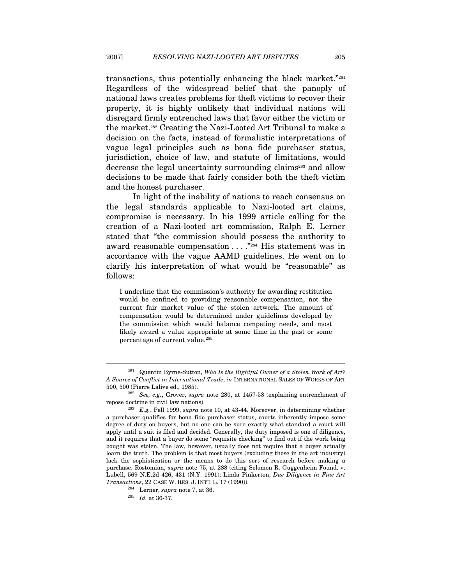transactions, thus potentially enhancing the black market."281 Regardless of the widespread belief that the panoply of national laws creates problems for theft victims to recover their property, it is highly unlikely that individual nations will disregard firmly entrenched laws that favor either the victim or the market.282 Creating the Nazi-Looted Art Tribunal to make a decision on the facts, instead of formalistic interpretations of vague legal principles such as bona fide purchaser status, jurisdiction, choice of law, and statute of limitations, would decrease the legal uncertainty surrounding claims<sup>283</sup> and allow decisions to be made that fairly consider both the theft victim and the honest purchaser.

In light of the inability of nations to reach consensus on the legal standards applicable to Nazi-looted art claims, compromise is necessary. In his 1999 article calling for the creation of a Nazi-looted art commission, Ralph E. Lerner stated that "the commission should possess the authority to award reasonable compensation . . . ."284 His statement was in accordance with the vague AAMD guidelines. He went on to clarify his interpretation of what would be "reasonable" as follows:

I underline that the commission's authority for awarding restitution would be confined to providing reasonable compensation, not the current fair market value of the stolen artwork. The amount of compensation would be determined under guidelines developed by the commission which would balance competing needs, and most likely award a value appropriate at some time in the past or some percentage of current value.285

 $281$  Quentin Byrne-Sutton, Who Is the Rightful Owner of a Stolen Work of Art? A Source of Conflict in International Trade, in INTERNATIONAL SALES OF WORKS OF ART

<sup>500, 500 (</sup>Pierre Lalive ed., 1985). <sup>282</sup> See, e.g., Grover, *supra* note 280, at 1457-58 (explaining entrenchment of repose doctrine in civil law nations).

<sup>&</sup>lt;sup>283</sup> E.g., Pell 1999, supra note 10, at 43-44. Moreover, in determining whether a purchaser qualifies for bona fide purchaser status, courts inherently impose some degree of duty on buyers, but no one can be sure exactly what standard a court will apply until a suit is filed and decided. Generally, the duty imposed is one of diligence, and it requires that a buyer do some "requisite checking" to find out if the work being bought was stolen. The law, however, usually does not require that a buyer actually learn the truth. The problem is that most buyers (excluding those in the art industry) lack the sophistication or the means to do this sort of research before making a purchase. Rostomian, supra note 75, at 288 (citing Solomon R. Guggenheim Found. v. Lubell, 569 N.E.2d 426, 431 (N.Y. 1991); Linda Pinkerton, Due Diligence in Fine Art  $\begin{array}{ll} \textit{Transactions, 22 CASE W. RES. J. INT'L L. 17 (1990))}.\\ \textit{ } & \text{ }^{284} \text{ Lerner, } \textit{supra} \text{ note 7, at 36}.\\ \textit{ }^{285} \textit{ Id. at 36-37}. \end{array}$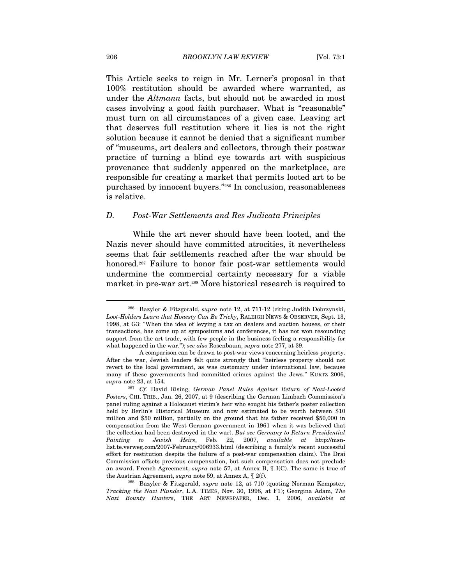This Article seeks to reign in Mr. Lerner's proposal in that 100% restitution should be awarded where warranted, as under the *Altmann* facts, but should not be awarded in most cases involving a good faith purchaser. What is "reasonable" must turn on all circumstances of a given case. Leaving art that deserves full restitution where it lies is not the right solution because it cannot be denied that a significant number of "museums, art dealers and collectors, through their postwar practice of turning a blind eye towards art with suspicious provenance that suddenly appeared on the marketplace, are responsible for creating a market that permits looted art to be purchased by innocent buyers."286 In conclusion, reasonableness is relative.

### D. Post-War Settlements and Res Judicata Principles

While the art never should have been looted, and the Nazis never should have committed atrocities, it nevertheless seems that fair settlements reached after the war should be honored.287 Failure to honor fair post-war settlements would undermine the commercial certainty necessary for a viable market in pre-war art.288 More historical research is required to

<sup>286</sup> Bazyler & Fitzgerald, supra note 12, at 711-12 (citing Judith Dobrzynski, Loot-Holders Learn that Honesty Can Be Tricky, RALEIGH NEWS & OBSERVER, Sept. 13, 1998, at G3: "When the idea of levying a tax on dealers and auction houses, or their transactions, has come up at symposiums and conferences, it has not won resounding support from the art trade, with few people in the business feeling a responsibility for what happened in the war."); see also Rosenbaum, supra note 277, at 39.

A comparison can be drawn to post-war views concerning heirless property. After the war, Jewish leaders felt quite strongly that "heirless property should not revert to the local government, as was customary under international law, because many of these governments had committed crimes against the Jews." KURTZ 2006,

supra note 23, at 154.<br><sup>287</sup> Cf. David Rising, German Panel Rules Against Return of Nazi-Looted Posters, CHI. TRIB., Jan. 26, 2007, at 9 (describing the German Limbach Commission's panel ruling against a Holocaust victim's heir who sought his father's poster collection held by Berlin's Historical Museum and now estimated to be worth between \$10 million and \$50 million, partially on the ground that his father received \$50,000 in compensation from the West German government in 1961 when it was believed that the collection had been destroyed in the war). But see Germany to Return Presidential Painting to Jewish Heirs, Feb. 22, 2007, available at http://msnlist.te.verweg.com/2007-February/006933.html (describing a family's recent successful effort for restitution despite the failure of a post-war compensation claim). The Drai Commission offsets previous compensation, but such compensation does not preclude an award. French Agreement, supra note 57, at Annex B, ¶ I(C). The same is true of

the Austrian Agreement, *supra* note 59, at Annex A,  $\parallel$  2(f).<br><sup>288</sup> Bazyler & Fitzgerald, *supra* note 12, at 710 (quoting Norman Kempster, Tracking the Nazi Plunder, L.A. TIMES, Nov. 30, 1998, at F1); Georgina Adam, The Nazi Bounty Hunters, THE ART NEWSPAPER, Dec. 1, 2006, available at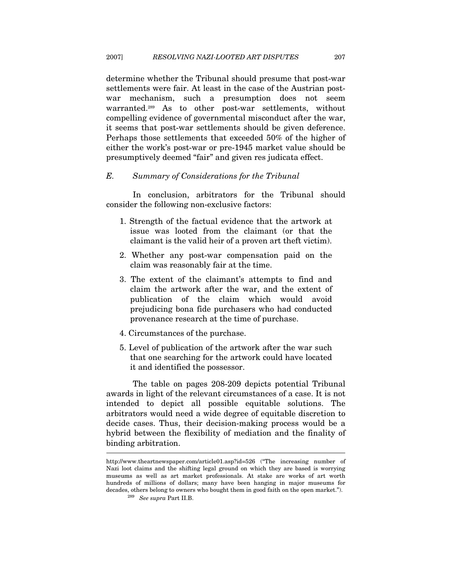determine whether the Tribunal should presume that post-war settlements were fair. At least in the case of the Austrian postwar mechanism, such a presumption does not seem warranted.289 As to other post-war settlements, without compelling evidence of governmental misconduct after the war, it seems that post-war settlements should be given deference. Perhaps those settlements that exceeded 50% of the higher of either the work's post-war or pre-1945 market value should be presumptively deemed "fair" and given res judicata effect.

### E. Summary of Considerations for the Tribunal

In conclusion, arbitrators for the Tribunal should consider the following non-exclusive factors:

- 1. Strength of the factual evidence that the artwork at issue was looted from the claimant (or that the claimant is the valid heir of a proven art theft victim).
- 2. Whether any post-war compensation paid on the claim was reasonably fair at the time.
- 3. The extent of the claimant's attempts to find and claim the artwork after the war, and the extent of publication of the claim which would avoid prejudicing bona fide purchasers who had conducted provenance research at the time of purchase.
- 4. Circumstances of the purchase.
- 5. Level of publication of the artwork after the war such that one searching for the artwork could have located it and identified the possessor.

The table on pages 208-209 depicts potential Tribunal awards in light of the relevant circumstances of a case. It is not intended to depict all possible equitable solutions. The arbitrators would need a wide degree of equitable discretion to decide cases. Thus, their decision-making process would be a hybrid between the flexibility of mediation and the finality of binding arbitration.  $\overline{a}$ 

http://www.theartnewspaper.com/article01.asp?id=526 ("The increasing number of Nazi loot claims and the shifting legal ground on which they are based is worrying museums as well as art market professionals. At stake are works of art worth hundreds of millions of dollars; many have been hanging in major museums for decades, others belong to owners who bought them in good faith on the open market."). <sup>289</sup> See supra Part II.B.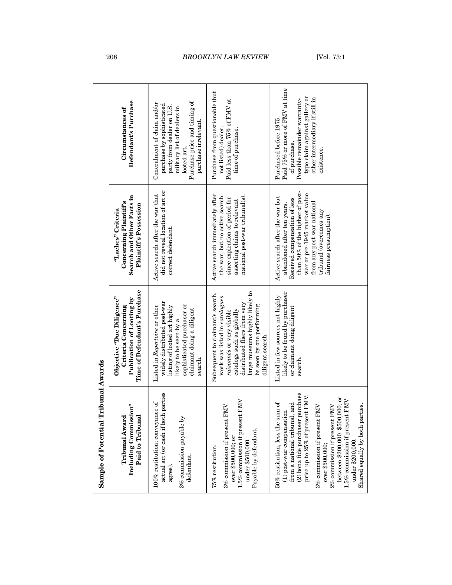| Sample of Potential Tribunal Awards                                                                                                                                                                                                                                                                                                                                                       |                                                                                                                                                                                                                                                |                                                                                                                                                                                                                                                      |                                                                                                                                                                                             |
|-------------------------------------------------------------------------------------------------------------------------------------------------------------------------------------------------------------------------------------------------------------------------------------------------------------------------------------------------------------------------------------------|------------------------------------------------------------------------------------------------------------------------------------------------------------------------------------------------------------------------------------------------|------------------------------------------------------------------------------------------------------------------------------------------------------------------------------------------------------------------------------------------------------|---------------------------------------------------------------------------------------------------------------------------------------------------------------------------------------------|
| Including Commission <sup>"</sup><br>Paid to Tribunal<br>Tribunal Award                                                                                                                                                                                                                                                                                                                   | Time of Defendant's Purchase<br>Objective "Due Diligence"<br>Publication of Looting by<br>Criteria Concerning                                                                                                                                  | Search and Other Facts in<br>Concerning Plaintiff's<br><b>Plaintiff's Possession</b><br>"Laches" Criteria                                                                                                                                            | Defendant's Purchase<br>Circumstances of                                                                                                                                                    |
| actual art (or cash if both parties<br>100% restitution; conveyance of<br>3% commission payable by<br>defendant.<br>agree).                                                                                                                                                                                                                                                               | widely distributed post-war<br>sophisticated purchaser or<br>Listed in Repertoire or other<br>listing of looted art highly<br>claimant doing a diligent<br>likely to be seen by a<br>search.                                                   | did not reveal location of art or<br>Active search after the war that<br>correct defendant.                                                                                                                                                          | Purchase price and timing of<br>Concealment of claim and/or<br>purchase by sophisticated<br>party from dealer on U.S.<br>military list of dealers in<br>purchase irrelevant.<br>looted art. |
| 1.5% commission if present FMV<br>3% commission if present FMV<br>Payable by defendant.<br>over \$500,000; or<br>under \$500,000.<br>75% restitution.                                                                                                                                                                                                                                     | large museums highly likely to<br>Subsequent to claimant's search,<br>work was listed in catalogues<br>distributed fliers from very<br>be seen by one performing<br>catalogs such as globally<br>raisonnés or very visible<br>diligent search. | Active search immediately after<br>national post-war tribunal(s).<br>the war, but no active search<br>since expiration of period for<br>asserting claims to relevant                                                                                 | Purchase from questionable (but<br>Paid less than 75% of FMV at<br>not listed) dealer.<br>time of purchase.                                                                                 |
| (2) bona fide purchaser purchase<br>FMV.<br>between $$200,000-$500,000$ ; or<br>1.5% commission if present FMV<br>J<br>from a national tribunal, and<br>3% commission if present FMV<br>Shared equally by both parties.<br>2% commission if present FMV<br>50% restitution, less the sum<br>(1) post-war compensation<br>price up to 25% of present<br>under \$200,000<br>over \$500,000; | likely to be found by purchaser<br>Listed in few sources not highly<br>or claimant doing diligent<br>search.                                                                                                                                   | than 50% of the higher of post-<br>war or pre-1945 market value<br>Active search after the war but<br>Received compensation of less<br>from any post-war national<br>abandoned after ten years.<br>tribunal (overcomes any<br>fairness presumption). | Paid 75% or more of FMV at time<br>type claim against gallery or<br>other intermediary if still in<br>Possible remainder warranty-<br>Purchased before 1975.<br>of purchase.<br>existence.  |

### 208 BROOKLYN LAW REVIEW [Vol. 73:1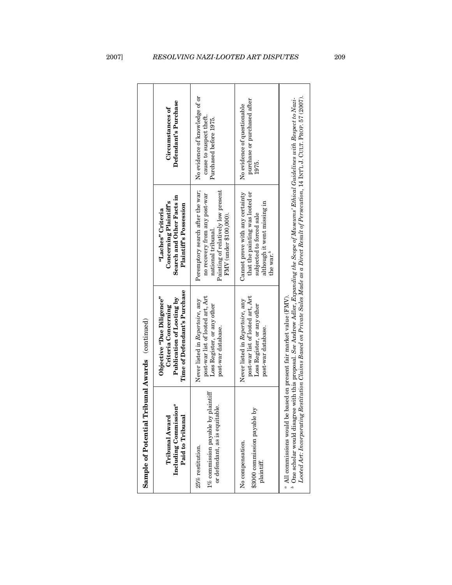| Sample of Potential Tribunal Awards (continued)                                                                                                                                                                                           |                                                                                                                                               |                                                                                                                                                                  |                                                                                     |
|-------------------------------------------------------------------------------------------------------------------------------------------------------------------------------------------------------------------------------------------|-----------------------------------------------------------------------------------------------------------------------------------------------|------------------------------------------------------------------------------------------------------------------------------------------------------------------|-------------------------------------------------------------------------------------|
| Including Commission <sup>a</sup><br>Tribunal Award<br>Paid to Tribunal                                                                                                                                                                   | Time of Defendant's Purchase<br>Objective "Due Diligence"<br>Publication of Looting by<br>Criteria Concerning                                 | Search and Other Facts in<br><b>Concerning Plaintiff's</b><br><b>Plaintiff's Possession</b><br>"Laches" Criteria                                                 | Defendant's Purchase<br>Circumstances of                                            |
| plaintiff<br>or defendant, as is equitable.<br>$1\%$ commission payable by<br>25% restitution.                                                                                                                                            | post-war list of looted art, Art<br>Never listed in Repertoire, any<br>Loss Register, or any other<br>post-war database.                      | Painting of relatively low present<br>Peremptory search after the war;<br>no recovery from any post-war<br>$\text{FMV}$ (under \$100,000).<br>national tribunal. | No evidence of knowledge of or<br>cause to suspect theft.<br>Purchased before 1975. |
| \$3000 commission payable by<br>No compensation.<br>plaintiff.                                                                                                                                                                            | post-war list of looted art, Art<br>Never listed in Repertoire, any<br>Loss Register, or any other<br>post-war database.                      | Cannot prove with any certainty<br>that the painting was looted or<br>although it went missing in<br>subjected to forced sale<br>the war. $^{\circ}$             | purchase or purchased after<br>No evidence of questionable<br>1975.                 |
| <sup>6</sup> One scholar would disagree with this proposal. See Andrew Adler, Expanding the Scope of Museums' Ethical Guidelines with Respect to Nazi-<br><sup>a</sup> All commissions would be based on present fair market value (FMV). | Looted Art: Incorporating Restitution Claims Based on Private Sales Made as a Direct Result of Persecution, 14 INTL J. CULT. PROP. 57 (2007). |                                                                                                                                                                  |                                                                                     |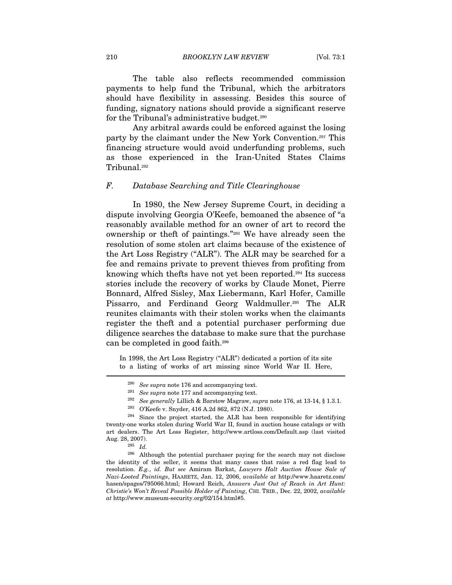The table also reflects recommended commission payments to help fund the Tribunal, which the arbitrators should have flexibility in assessing. Besides this source of funding, signatory nations should provide a significant reserve for the Tribunal's administrative budget.290

Any arbitral awards could be enforced against the losing party by the claimant under the New York Convention.291 This financing structure would avoid underfunding problems, such as those experienced in the Iran-United States Claims Tribunal.<sup>292</sup>

### F. Database Searching and Title Clearinghouse

In 1980, the New Jersey Supreme Court, in deciding a dispute involving Georgia O'Keefe, bemoaned the absence of "a reasonably available method for an owner of art to record the ownership or theft of paintings."293 We have already seen the resolution of some stolen art claims because of the existence of the Art Loss Registry ("ALR"). The ALR may be searched for a fee and remains private to prevent thieves from profiting from knowing which thefts have not yet been reported.<sup>294</sup> Its success stories include the recovery of works by Claude Monet, Pierre Bonnard, Alfred Sisley, Max Liebermann, Karl Hofer, Camille Pissarro, and Ferdinand Georg Waldmuller.295 The ALR reunites claimants with their stolen works when the claimants register the theft and a potential purchaser performing due diligence searches the database to make sure that the purchase can be completed in good faith.296

In 1998, the Art Loss Registry ("ALR") dedicated a portion of its site to a listing of works of art missing since World War II. Here,

- <sup>290</sup> See supra note 176 and accompanying text.<br><sup>291</sup> See supra note 177 and accompanying text.<br><sup>292</sup> See generally Lillich & Barstow Magraw, supra note 176, at 13-14, § 1.3.1.<br><sup>293</sup> O'Keefe v. Snyder, 416 A.2d 862, 872 (
- 

<sup>294</sup> Since the project started, the ALR has been responsible for identifying twenty-one works stolen during World War II, found in auction house catalogs or with art dealers. The Art Loss Register, http://www.artloss.com/Default.asp (last visited Aug. 28, 2007).<br>
<sup>295</sup> Id.

<sup>296</sup> Although the potential purchaser paying for the search may not disclose the identity of the seller, it seems that many cases that raise a red flag lead to resolution. E.g., id. But see Amiram Barkat, Lawyers Halt Auction House Sale of Nazi-Looted Paintings, HAARETZ, Jan. 12, 2006, available at http://www.haaretz.com/ hasen/spages/795066.html; Howard Reich, Answers Just Out of Reach in Art Hunt: Christie's Won't Reveal Possible Holder of Painting, CHI. TRIB., Dec. 22, 2002, available at http://www.museum-security.org/02/154.html#5.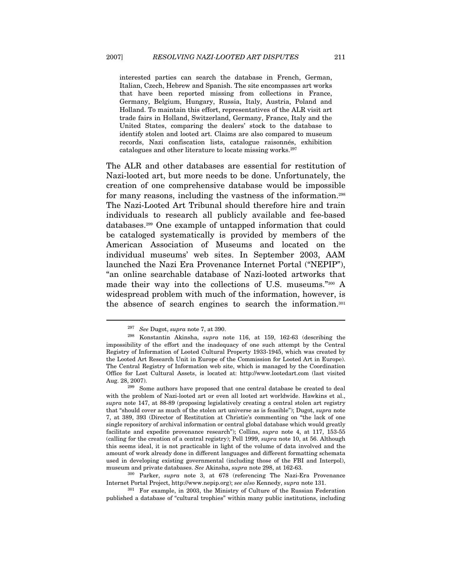interested parties can search the database in French, German, Italian, Czech, Hebrew and Spanish. The site encompasses art works that have been reported missing from collections in France, Germany, Belgium, Hungary, Russia, Italy, Austria, Poland and Holland. To maintain this effort, representatives of the ALR visit art trade fairs in Holland, Switzerland, Germany, France, Italy and the United States, comparing the dealers' stock to the database to identify stolen and looted art. Claims are also compared to museum records, Nazi confiscation lists, catalogue raisonnés, exhibition catalogues and other literature to locate missing works.297

The ALR and other databases are essential for restitution of Nazi-looted art, but more needs to be done. Unfortunately, the creation of one comprehensive database would be impossible for many reasons, including the vastness of the information.298 The Nazi-Looted Art Tribunal should therefore hire and train individuals to research all publicly available and fee-based databases.299 One example of untapped information that could be cataloged systematically is provided by members of the American Association of Museums and located on the individual museums' web sites. In September 2003, AAM launched the Nazi Era Provenance Internet Portal ("NEPIP"), "an online searchable database of Nazi-looted artworks that made their way into the collections of U.S. museums."300 A widespread problem with much of the information, however, is the absence of search engines to search the information.301

 $\overline{a}$ 

Internet Portal Project, http://www.nepip.org); see also Kennedy, supra note 131. 301 For example, in 2003, the Ministry of Culture of the Russian Federation

published a database of "cultural trophies" within many public institutions, including

<sup>&</sup>lt;sup>297</sup> See Dugot, supra note 7, at 390.<br><sup>298</sup> Konstantin Akinsha, *supra* note 116, at 159, 162-63 (describing the impossibility of the effort and the inadequacy of one such attempt by the Central Registry of Information of Looted Cultural Property 1933-1945, which was created by the Looted Art Research Unit in Europe of the Commission for Looted Art in Europe). The Central Registry of Information web site, which is managed by the Coordination Office for Lost Cultural Assets, is located at: http://www.lootedart.com (last visited Aug. 28, 2007).<br><sup>299</sup> Some authors have proposed that one central database be created to deal

with the problem of Nazi-looted art or even all looted art worldwide. Hawkins et al., supra note 147, at 88-89 (proposing legislatively creating a central stolen art registry that "should cover as much of the stolen art universe as is feasible"); Dugot, supra note 7, at 389, 393 (Director of Restitution at Christie's commenting on "the lack of one single repository of archival information or central global database which would greatly facilitate and expedite provenance research"); Collins, supra note 4, at 117, 153-55 (calling for the creation of a central registry); Pell 1999, supra note 10, at 56. Although this seems ideal, it is not practicable in light of the volume of data involved and the amount of work already done in different languages and different formatting schemata used in developing existing governmental (including those of the FBI and Interpol), museum and private databases. See Akinsha, supra note 298, at 162-63.<br><sup>300</sup> Parker, supra note 3, at 678 (referencing The Nazi-Era Provenance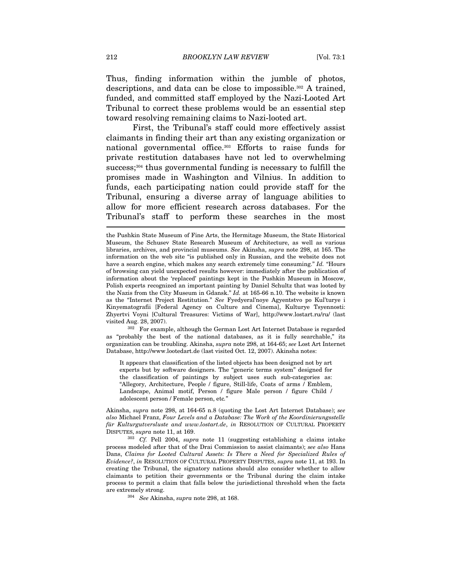Thus, finding information within the jumble of photos, descriptions, and data can be close to impossible.302 A trained, funded, and committed staff employed by the Nazi-Looted Art Tribunal to correct these problems would be an essential step toward resolving remaining claims to Nazi-looted art.

First, the Tribunal's staff could more effectively assist claimants in finding their art than any existing organization or national governmental office.303 Efforts to raise funds for private restitution databases have not led to overwhelming success;304 thus governmental funding is necessary to fulfill the promises made in Washington and Vilnius. In addition to funds, each participating nation could provide staff for the Tribunal, ensuring a diverse array of language abilities to allow for more efficient research across databases. For the Tribunal's staff to perform these searches in the most I

 $302$  For example, although the German Lost Art Internet Database is regarded as "probably the best of the national databases, as it is fully searchable," its organization can be troubling. Akinsha, supra note 298, at 164-65; see Lost Art Internet Database, http://www.lootedart.de (last visited Oct. 12, 2007). Akinsha notes:

It appears that classification of the listed objects has been designed not by art experts but by software designers. The "generic terms system" designed for the classification of paintings by subject uses such sub-categories as: "Allegory, Architecture, People / figure, Still-life, Coats of arms / Emblem, Landscape, Animal motif, Person / figure Male person / figure Child / adolescent person / Female person, etc."

Akinsha, supra note 298, at 164-65 n.8 (quoting the Lost Art Internet Database); see also Michael Franz, Four Levels and a Database: The Work of the Koordinierungsstelle für Kulturgutversluste and www.lostart.de, in RESOLUTION OF CULTURAL PROPERTY

DISPUTES, supra note 11, at 169.  $^{303}$  Cf. Pell 2004, supra note 11 (suggesting establishing a claims intake process modeled after that of the Drai Commission to assist claimants); see also Hans Dans, Claims for Looted Cultural Assets: Is There a Need for Specialized Rules of Evidence?, in RESOLUTION OF CULTURAL PROPERTY DISPUTES, supra note 11, at 193. In creating the Tribunal, the signatory nations should also consider whether to allow claimants to petition their governments or the Tribunal during the claim intake process to permit a claim that falls below the jurisdictional threshold when the facts are extremely strong. 304 See Akinsha, supra note 298, at 168.

the Pushkin State Museum of Fine Arts, the Hermitage Museum, the State Historical Museum, the Schusev State Research Museum of Architecture, as well as various libraries, archives, and provincial museums. See Akinsha, supra note 298, at 165. The information on the web site "is published only in Russian, and the website does not have a search engine, which makes any search extremely time consuming." Id. "Hours of browsing can yield unexpected results however: immediately after the publication of information about the 'replaced' paintings kept in the Pushkin Museum in Moscow, Polish experts recognized an important painting by Daniel Schultz that was looted by the Nazis from the City Museum in Gdansk." Id. at 165-66 n.10. The website is known as the "Internet Project Restitution." See Fyedyeral'noye Agyentstvo po Kul'turye i Kinyematografii [Federal Agency on Culture and Cinema], Kulturye Tsyennosti: Zhyertvi Voyni [Cultural Treasures: Victims of Warl, http://www.lostart.ru/ru/ (last visited Aug. 28, 2007).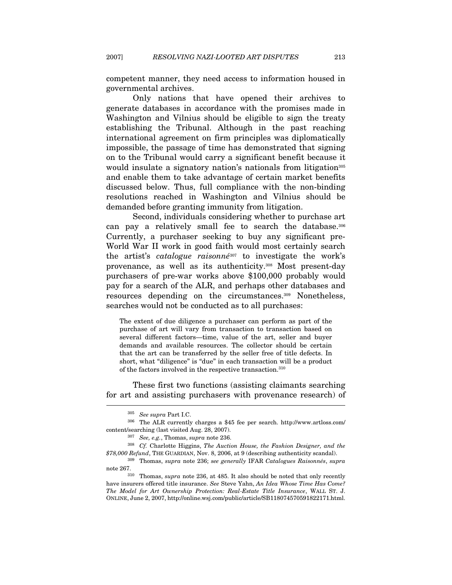competent manner, they need access to information housed in governmental archives.

Only nations that have opened their archives to generate databases in accordance with the promises made in Washington and Vilnius should be eligible to sign the treaty establishing the Tribunal. Although in the past reaching international agreement on firm principles was diplomatically impossible, the passage of time has demonstrated that signing on to the Tribunal would carry a significant benefit because it would insulate a signatory nation's nationals from litigation<sup>305</sup> and enable them to take advantage of certain market benefits discussed below. Thus, full compliance with the non-binding resolutions reached in Washington and Vilnius should be demanded before granting immunity from litigation.

Second, individuals considering whether to purchase art can pay a relatively small fee to search the database.306 Currently, a purchaser seeking to buy any significant pre-World War II work in good faith would most certainly search the artist's *catalogue raisonné*<sup>307</sup> to investigate the work's provenance, as well as its authenticity.308 Most present-day purchasers of pre-war works above \$100,000 probably would pay for a search of the ALR, and perhaps other databases and resources depending on the circumstances.309 Nonetheless, searches would not be conducted as to all purchases:

The extent of due diligence a purchaser can perform as part of the purchase of art will vary from transaction to transaction based on several different factors—time, value of the art, seller and buyer demands and available resources. The collector should be certain that the art can be transferred by the seller free of title defects. In short, what "diligence" is "due" in each transaction will be a product of the factors involved in the respective transaction. $310$ 

These first two functions (assisting claimants searching for art and assisting purchasers with provenance research) of  $\overline{a}$ 

 $^{305}\,$  See supra Part I.C.  $^{306}\,$  The ALR currently charges a \$45 fee per search. http://www.artloss.com/ content/searching (last visited Aug. 28, 2007).<br><sup>307</sup> See, e.g., Thomas, supra note 236.<br><sup>308</sup> Cf. Charlotte Higgins, *The Auction House, the Fashion Designer, and the* 

 $$78,000$  Refund, THE GUARDIAN, Nov. 8, 2006, at 9 (describing authenticity scandal).<br><sup>309</sup> Thomas, *supra* note 236; *see generally* IFAR Catalogues Raisonnés, supra

note 267.<br><sup>310</sup> Thomas, *supra* note 236, at 485. It also should be noted that only recently have insurers offered title insurance. See Steve Yahn, An Idea Whose Time Has Come? The Model for Art Ownership Protection: Real-Estate Title Insurance, WALL ST. J. ONLINE, June 2, 2007, http://online.wsj.com/public/article/SB118074570591822171.html.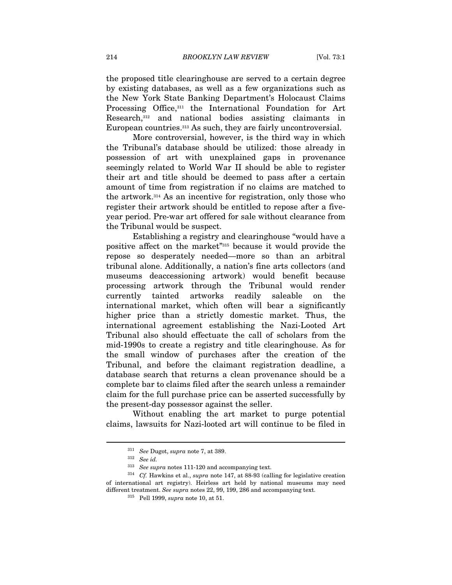the proposed title clearinghouse are served to a certain degree by existing databases, as well as a few organizations such as the New York State Banking Department's Holocaust Claims Processing Office,<sup>311</sup> the International Foundation for Art Research,312 and national bodies assisting claimants in European countries.<sup>313</sup> As such, they are fairly uncontroversial.

More controversial, however, is the third way in which the Tribunal's database should be utilized: those already in possession of art with unexplained gaps in provenance seemingly related to World War II should be able to register their art and title should be deemed to pass after a certain amount of time from registration if no claims are matched to the artwork.314 As an incentive for registration, only those who register their artwork should be entitled to repose after a fiveyear period. Pre-war art offered for sale without clearance from the Tribunal would be suspect.

Establishing a registry and clearinghouse "would have a positive affect on the market"315 because it would provide the repose so desperately needed—more so than an arbitral tribunal alone. Additionally, a nation's fine arts collectors (and museums deaccessioning artwork) would benefit because processing artwork through the Tribunal would render currently tainted artworks readily saleable on the international market, which often will bear a significantly higher price than a strictly domestic market. Thus, the international agreement establishing the Nazi-Looted Art Tribunal also should effectuate the call of scholars from the mid-1990s to create a registry and title clearinghouse. As for the small window of purchases after the creation of the Tribunal, and before the claimant registration deadline, a database search that returns a clean provenance should be a complete bar to claims filed after the search unless a remainder claim for the full purchase price can be asserted successfully by the present-day possessor against the seller.

Without enabling the art market to purge potential claims, lawsuits for Nazi-looted art will continue to be filed in

 $$^{311}$$   $See$  Dugot,  $supra$  note 7, at 389.  $$^{312}$$   $See$   $id.$   $^{313}$   $See$   $supra$  notes 111-120 and accompanying text.

 $314$  Cf. Hawkins et al., supra note 147, at 88-93 (calling for legislative creation of international art registry). Heirless art held by national museums may need different treatment. See supra notes 22, 99, 199, 286 and accompanying text. <sup>315</sup> Pell 1999, *supra* note 10, at 51.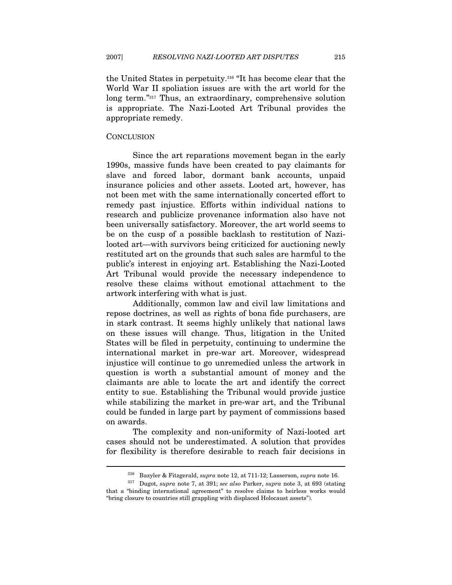the United States in perpetuity.316 "It has become clear that the World War II spoliation issues are with the art world for the long term."317 Thus, an extraordinary, comprehensive solution is appropriate. The Nazi-Looted Art Tribunal provides the appropriate remedy.

### **CONCLUSION**

 $\overline{a}$ 

Since the art reparations movement began in the early 1990s, massive funds have been created to pay claimants for slave and forced labor, dormant bank accounts, unpaid insurance policies and other assets. Looted art, however, has not been met with the same internationally concerted effort to remedy past injustice. Efforts within individual nations to research and publicize provenance information also have not been universally satisfactory. Moreover, the art world seems to be on the cusp of a possible backlash to restitution of Nazilooted art—with survivors being criticized for auctioning newly restituted art on the grounds that such sales are harmful to the public's interest in enjoying art. Establishing the Nazi-Looted Art Tribunal would provide the necessary independence to resolve these claims without emotional attachment to the artwork interfering with what is just.

Additionally, common law and civil law limitations and repose doctrines, as well as rights of bona fide purchasers, are in stark contrast. It seems highly unlikely that national laws on these issues will change. Thus, litigation in the United States will be filed in perpetuity, continuing to undermine the international market in pre-war art. Moreover, widespread injustice will continue to go unremedied unless the artwork in question is worth a substantial amount of money and the claimants are able to locate the art and identify the correct entity to sue. Establishing the Tribunal would provide justice while stabilizing the market in pre-war art, and the Tribunal could be funded in large part by payment of commissions based on awards.

The complexity and non-uniformity of Nazi-looted art cases should not be underestimated. A solution that provides for flexibility is therefore desirable to reach fair decisions in

 $^{316}\,$  Bazyler & Fitzgerald, supra note 12, at 711-12; Lasserson, supra note 16.  $^{317}\,$  Dugot, supra note 7, at 391; see also Parker, supra note 3, at 693 (stating that a "binding international agreement" to resolve claims to heirless works would "bring closure to countries still grappling with displaced Holocaust assets").